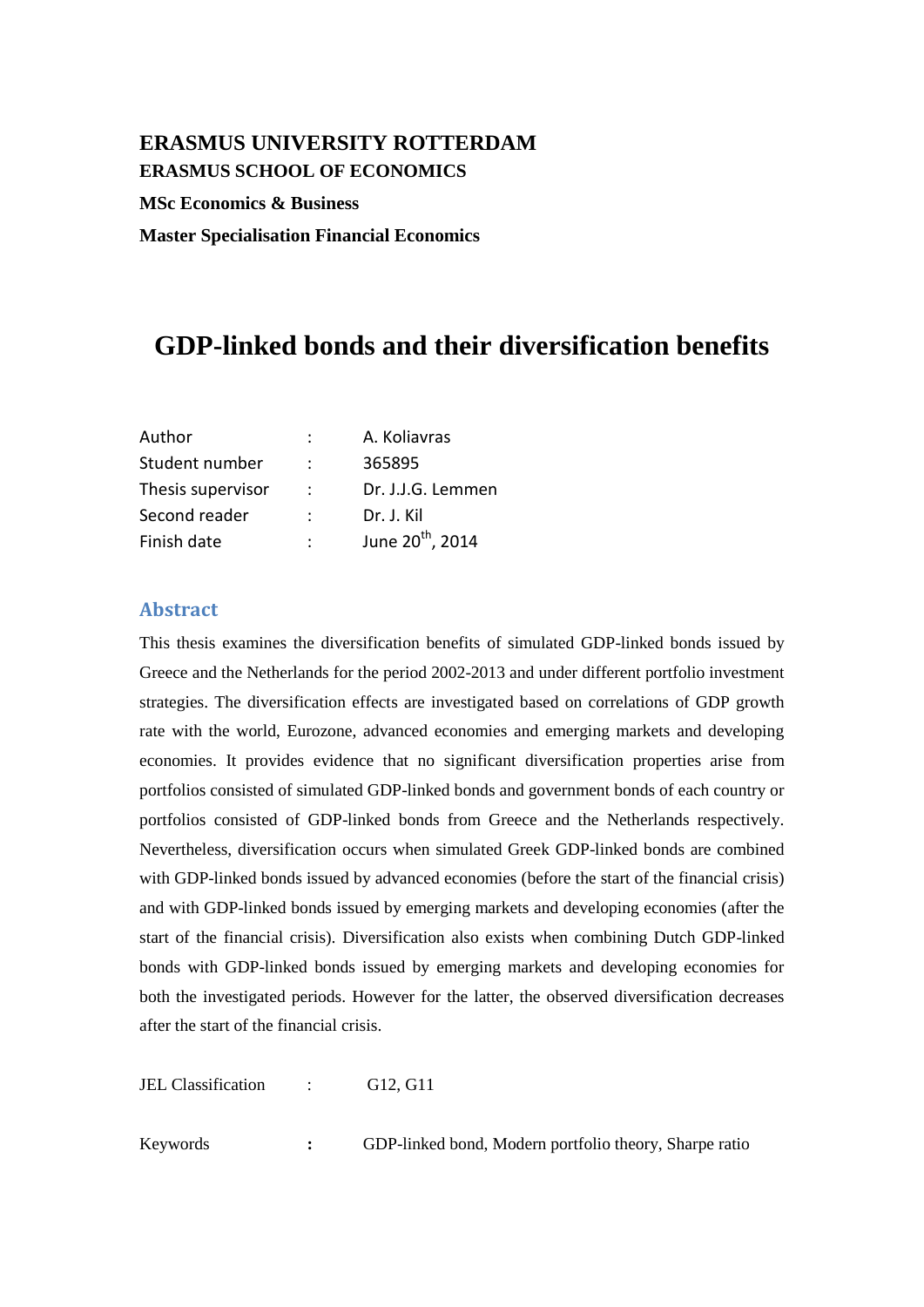## **ERASMUS UNIVERSITY ROTTERDAM ERASMUS SCHOOL OF ECONOMICS**

**MSc Economics & Business** 

**Master Specialisation Financial Economics** 

# **GDP-linked bonds and their diversification benefits**

| Author            |               | A. Koliavras                 |
|-------------------|---------------|------------------------------|
| Student number    |               | 365895                       |
| Thesis supervisor | $\mathcal{L}$ | Dr. J.J.G. Lemmen            |
| Second reader     |               | Dr. J. Kil                   |
| Finish date       |               | June 20 <sup>th</sup> , 2014 |

## <span id="page-0-0"></span>**Abstract**

This thesis examines the diversification benefits of simulated GDP-linked bonds issued by Greece and the Netherlands for the period 2002-2013 and under different portfolio investment strategies. The diversification effects are investigated based on correlations of GDP growth rate with the world, Eurozone, advanced economies and emerging markets and developing economies. It provides evidence that no significant diversification properties arise from portfolios consisted of simulated GDP-linked bonds and government bonds of each country or portfolios consisted of GDP-linked bonds from Greece and the Netherlands respectively. Nevertheless, diversification occurs when simulated Greek GDP-linked bonds are combined with GDP-linked bonds issued by advanced economies (before the start of the financial crisis) and with GDP-linked bonds issued by emerging markets and developing economies (after the start of the financial crisis). Diversification also exists when combining Dutch GDP-linked bonds with GDP-linked bonds issued by emerging markets and developing economies for both the investigated periods. However for the latter, the observed diversification decreases after the start of the financial crisis.

JEL Classification : G12, G11

Keywords **:** GDP-linked bond, Modern portfolio theory, Sharpe ratio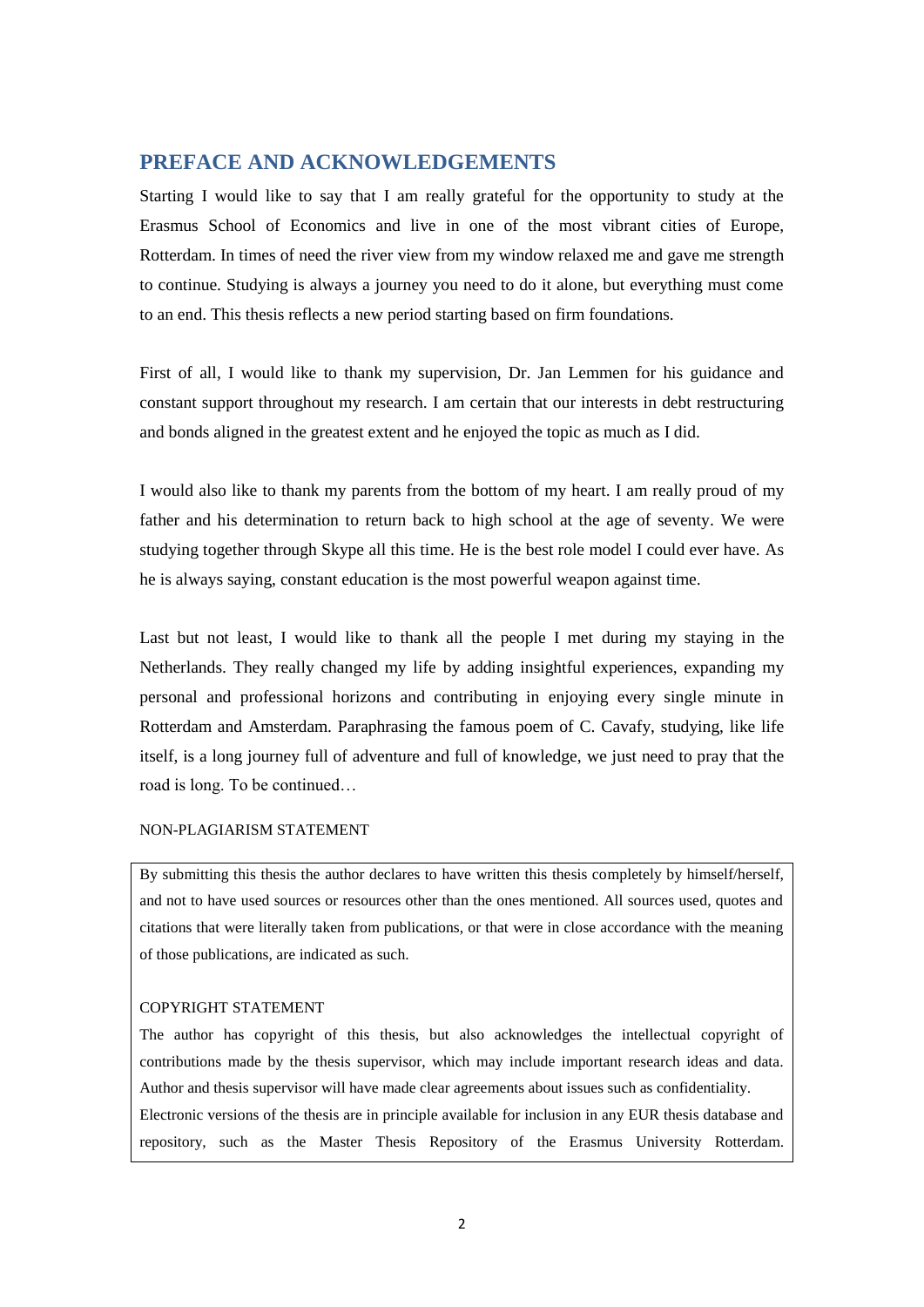## <span id="page-1-0"></span>**PREFACE AND ACKNOWLEDGEMENTS**

Starting I would like to say that I am really grateful for the opportunity to study at the Erasmus School of Economics and live in one of the most vibrant cities of Europe, Rotterdam. In times of need the river view from my window relaxed me and gave me strength to continue. Studying is always a journey you need to do it alone, but everything must come to an end. This thesis reflects a new period starting based on firm foundations.

First of all, I would like to thank my supervision, Dr. Jan Lemmen for his guidance and constant support throughout my research. I am certain that our interests in debt restructuring and bonds aligned in the greatest extent and he enjoyed the topic as much as I did.

I would also like to thank my parents from the bottom of my heart. I am really proud of my father and his determination to return back to high school at the age of seventy. We were studying together through Skype all this time. He is the best role model I could ever have. As he is always saying, constant education is the most powerful weapon against time.

Last but not least, I would like to thank all the people I met during my staying in the Netherlands. They really changed my life by adding insightful experiences, expanding my personal and professional horizons and contributing in enjoying every single minute in Rotterdam and Amsterdam. Paraphrasing the famous poem of C. Cavafy, studying, like life itself, is a long journey full of adventure and full of knowledge, we just need to pray that the road is long. To be continued…

### NON-PLAGIARISM STATEMENT

By submitting this thesis the author declares to have written this thesis completely by himself/herself, and not to have used sources or resources other than the ones mentioned. All sources used, quotes and citations that were literally taken from publications, or that were in close accordance with the meaning of those publications, are indicated as such.

#### COPYRIGHT STATEMENT

The author has copyright of this thesis, but also acknowledges the intellectual copyright of contributions made by the thesis supervisor, which may include important research ideas and data. Author and thesis supervisor will have made clear agreements about issues such as confidentiality. Electronic versions of the thesis are in principle available for inclusion in any EUR thesis database and repository, such as the Master Thesis Repository of the Erasmus University Rotterdam.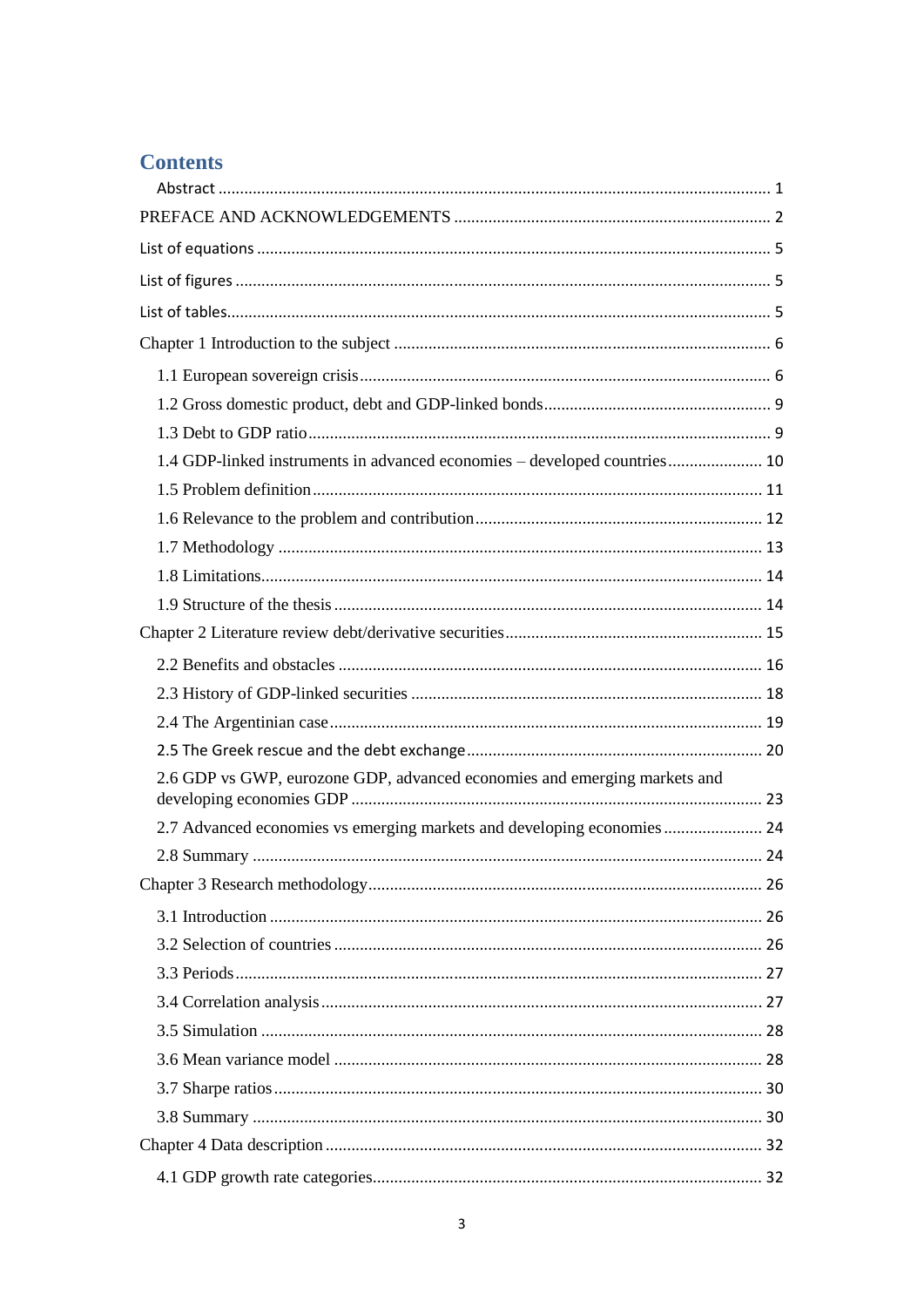## **Contents**

| 1.4 GDP-linked instruments in advanced economies – developed countries 10 |  |
|---------------------------------------------------------------------------|--|
|                                                                           |  |
|                                                                           |  |
|                                                                           |  |
|                                                                           |  |
|                                                                           |  |
|                                                                           |  |
|                                                                           |  |
|                                                                           |  |
|                                                                           |  |
|                                                                           |  |
| 2.6 GDP vs GWP, eurozone GDP, advanced economies and emerging markets and |  |
| 2.7 Advanced economies vs emerging markets and developing economies 24    |  |
|                                                                           |  |
|                                                                           |  |
|                                                                           |  |
|                                                                           |  |
|                                                                           |  |
|                                                                           |  |
|                                                                           |  |
|                                                                           |  |
|                                                                           |  |
|                                                                           |  |
|                                                                           |  |
|                                                                           |  |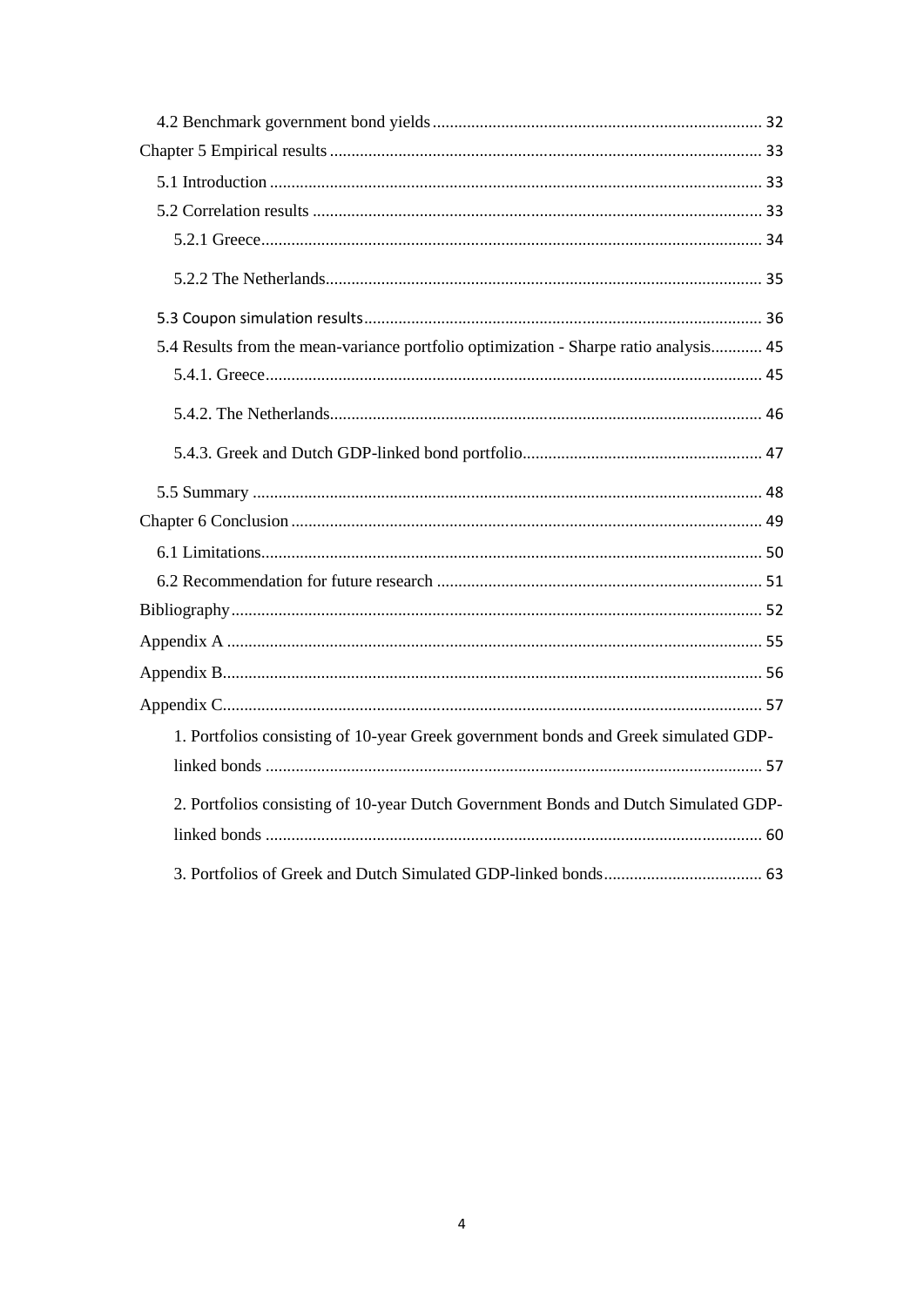| 5.4 Results from the mean-variance portfolio optimization - Sharpe ratio analysis 45 |
|--------------------------------------------------------------------------------------|
|                                                                                      |
|                                                                                      |
|                                                                                      |
|                                                                                      |
|                                                                                      |
|                                                                                      |
|                                                                                      |
|                                                                                      |
|                                                                                      |
|                                                                                      |
|                                                                                      |
| 1. Portfolios consisting of 10-year Greek government bonds and Greek simulated GDP-  |
|                                                                                      |
| 2. Portfolios consisting of 10-year Dutch Government Bonds and Dutch Simulated GDP-  |
|                                                                                      |
|                                                                                      |
|                                                                                      |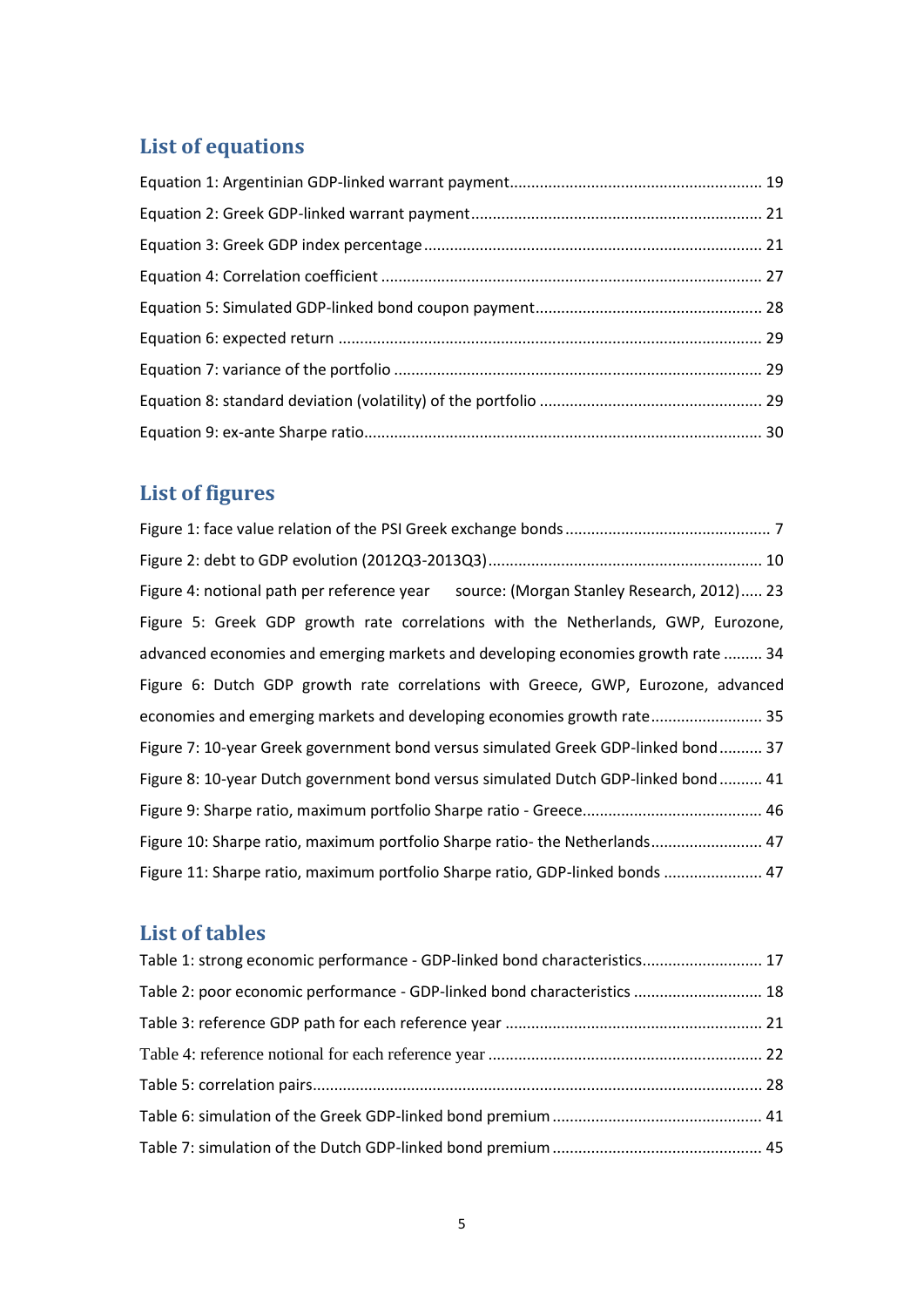# <span id="page-4-0"></span>**List of equations**

# <span id="page-4-1"></span>**List of figures**

| Figure 4: notional path per reference year source: (Morgan Stanley Research, 2012) 23 |
|---------------------------------------------------------------------------------------|
| Figure 5: Greek GDP growth rate correlations with the Netherlands, GWP, Eurozone,     |
| advanced economies and emerging markets and developing economies growth rate  34      |
| Figure 6: Dutch GDP growth rate correlations with Greece, GWP, Eurozone, advanced     |
| economies and emerging markets and developing economies growth rate 35                |
| Figure 7: 10-year Greek government bond versus simulated Greek GDP-linked bond 37     |
| Figure 8: 10-year Dutch government bond versus simulated Dutch GDP-linked bond 41     |
|                                                                                       |
| Figure 10: Sharpe ratio, maximum portfolio Sharpe ratio- the Netherlands 47           |
| Figure 11: Sharpe ratio, maximum portfolio Sharpe ratio, GDP-linked bonds  47         |

# <span id="page-4-2"></span>**List of tables**

| Table 1: strong economic performance - GDP-linked bond characteristics 17 |  |
|---------------------------------------------------------------------------|--|
| Table 2: poor economic performance - GDP-linked bond characteristics  18  |  |
|                                                                           |  |
|                                                                           |  |
|                                                                           |  |
|                                                                           |  |
|                                                                           |  |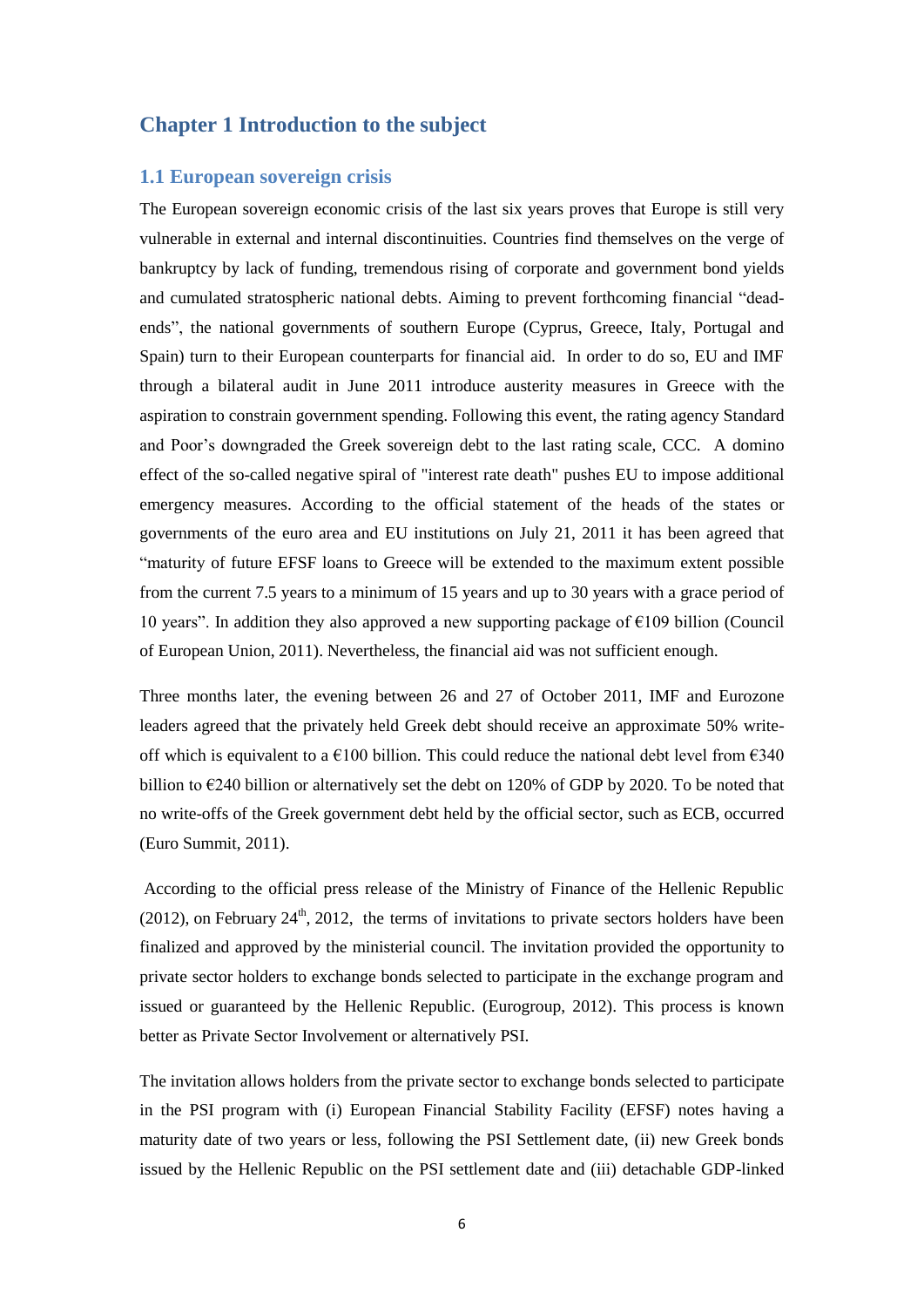## <span id="page-5-0"></span>**Chapter 1 Introduction to the subject**

#### <span id="page-5-1"></span>**1.1 European sovereign crisis**

The European sovereign economic crisis of the last six years proves that Europe is still very vulnerable in external and internal discontinuities. Countries find themselves on the verge of bankruptcy by lack of funding, tremendous rising of corporate and government bond yields and cumulated stratospheric national debts. Aiming to prevent forthcoming financial "deadends", the national governments of southern Europe (Cyprus, Greece, Italy, Portugal and Spain) turn to their European counterparts for financial aid. In order to do so, EU and IMF through a bilateral audit in June 2011 introduce austerity measures in Greece with the aspiration to constrain government spending. Following this event, the rating agency Standard and Poor's downgraded the Greek sovereign debt to the last rating scale, CCC. A domino effect of the so-called negative spiral of "interest rate death" pushes EU to impose additional emergency measures. According to the official statement of the heads of the states or governments of the euro area and EU institutions on July 21, 2011 it has been agreed that "maturity of future EFSF loans to Greece will be extended to the maximum extent possible from the current 7.5 years to a minimum of 15 years and up to 30 years with a grace period of 10 years". In addition they also approved a new supporting package of  $\epsilon$ 109 billion (Council) of European Union, 2011). Nevertheless, the financial aid was not sufficient enough.

Three months later, the evening between 26 and 27 of October 2011, IMF and Eurozone leaders agreed that the privately held Greek debt should receive an approximate 50% writeoff which is equivalent to a  $\epsilon$ 100 billion. This could reduce the national debt level from  $\epsilon$ 340 billion to  $E$ 240 billion or alternatively set the debt on 120% of GDP by 2020. To be noted that no write-offs of the Greek government debt held by the official sector, such as ECB, occurred (Euro Summit, 2011).

 According to the official press release of the Ministry of Finance of the Hellenic Republic (2012), on February  $24<sup>th</sup>$ , 2012, the terms of invitations to private sectors holders have been finalized and approved by the ministerial council. The invitation provided the opportunity to private sector holders to exchange bonds selected to participate in the exchange program and issued or guaranteed by the Hellenic Republic. (Eurogroup, 2012). This process is known better as Private Sector Involvement or alternatively PSI.

The invitation allows holders from the private sector to exchange bonds selected to participate in the PSI program with (i) European Financial Stability Facility (EFSF) notes having a maturity date of two years or less, following the PSI Settlement date, (ii) new Greek bonds issued by the Hellenic Republic on the PSI settlement date and (iii) detachable GDP-linked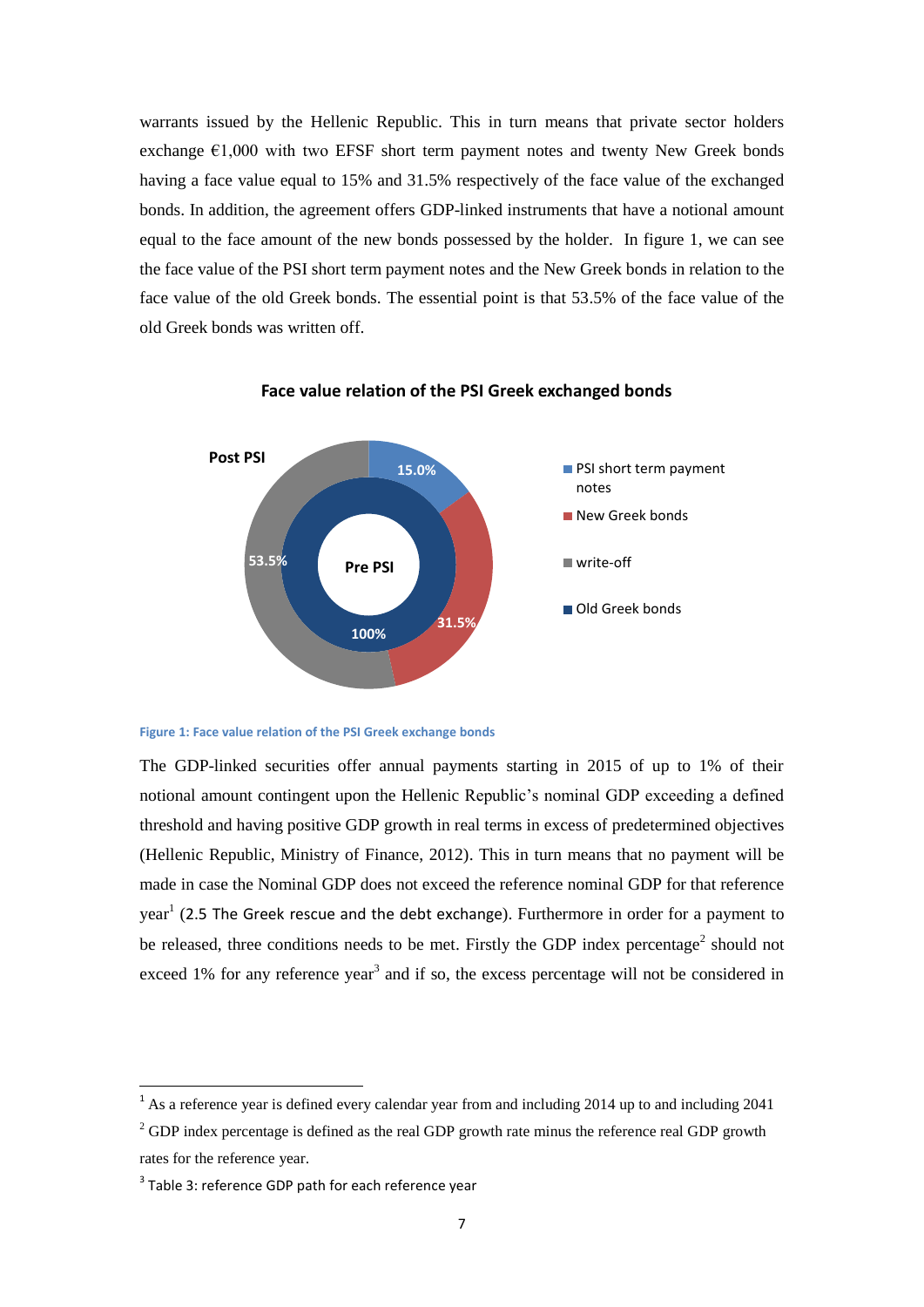warrants issued by the Hellenic Republic. This in turn means that private sector holders exchange  $\epsilon$ 1,000 with two EFSF short term payment notes and twenty New Greek bonds having a face value equal to 15% and 31.5% respectively of the face value of the exchanged bonds. In addition, the agreement offers GDP-linked instruments that have a notional amount equal to the face amount of the new bonds possessed by the holder. In figure 1, we can see the face value of the PSI short term payment notes and the New Greek bonds in relation to the face value of the old Greek bonds. The essential point is that 53.5% of the face value of the old Greek bonds was written off.



**Face value relation of the PSI Greek exchanged bonds**

#### <span id="page-6-0"></span>**Figure 1: Face value relation of the PSI Greek exchange bonds**

The GDP-linked securities offer annual payments starting in 2015 of up to 1% of their notional amount contingent upon the Hellenic Republic's nominal GDP exceeding a defined threshold and having positive GDP growth in real terms in excess of predetermined objectives (Hellenic Republic, Ministry of Finance, 2012). This in turn means that no payment will be made in case the Nominal GDP does not exceed the reference nominal GDP for that reference year<sup>1</sup> ([2.5 The Greek rescue and the debt exchange](#page-19-0)). Furthermore in order for a payment to be released, three conditions needs to be met. Firstly the GDP index percentage<sup>2</sup> should not exceed  $1\%$  for any reference year<sup>3</sup> and if so, the excess percentage will not be considered in

-

 $1$  As a reference year is defined every calendar year from and including 2014 up to and including 2041

 $2^{2}$  GDP index percentage is defined as the real GDP growth rate minus the reference real GDP growth rates for the reference year.

 $3$  Table 3: reference GDP path for each reference year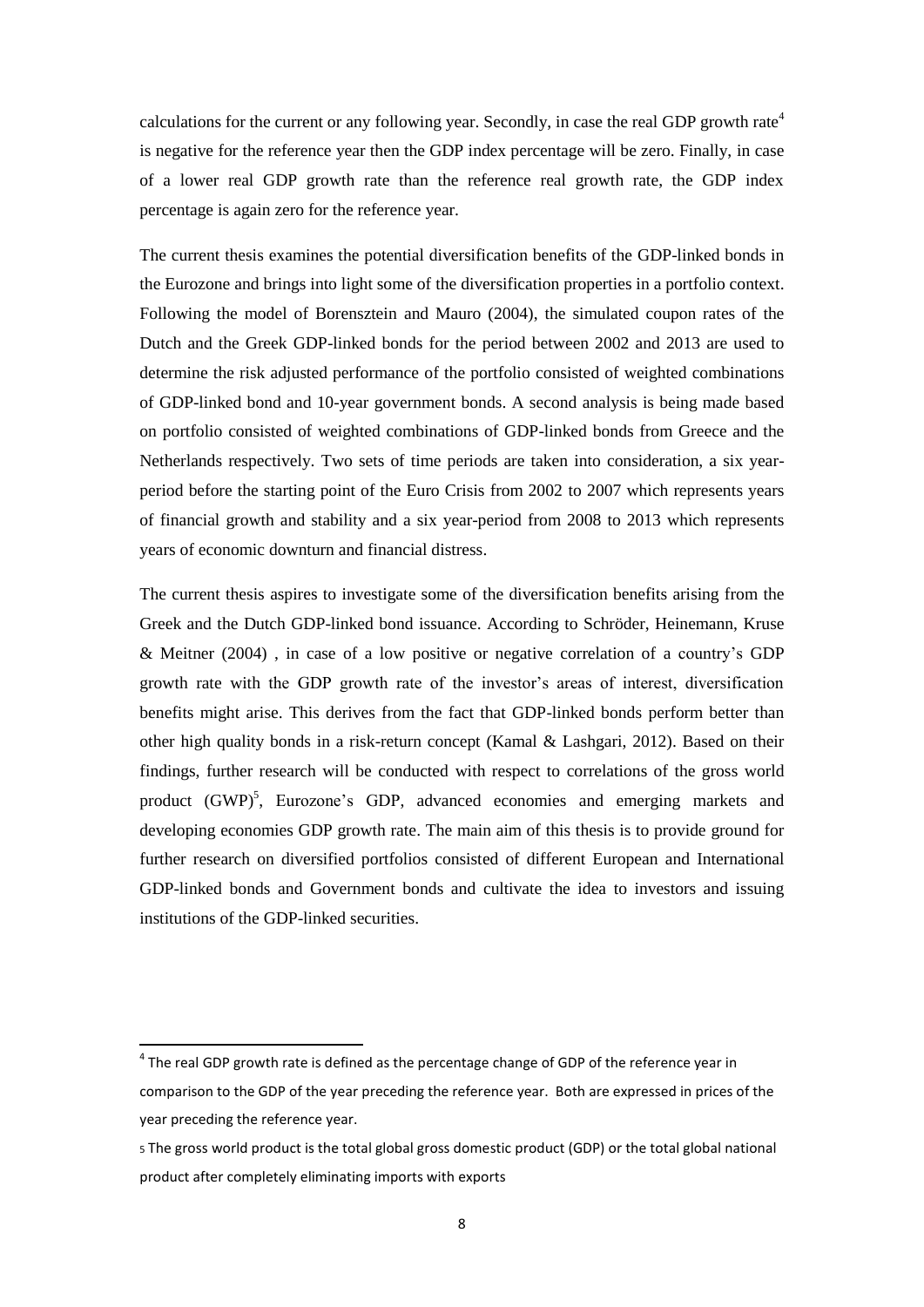calculations for the current or any following year. Secondly, in case the real GDP growth rate<sup>4</sup> is negative for the reference year then the GDP index percentage will be zero. Finally, in case of a lower real GDP growth rate than the reference real growth rate, the GDP index percentage is again zero for the reference year.

The current thesis examines the potential diversification benefits of the GDP-linked bonds in the Eurozone and brings into light some of the diversification properties in a portfolio context. Following the model of Borensztein and Mauro (2004), the simulated coupon rates of the Dutch and the Greek GDP-linked bonds for the period between 2002 and 2013 are used to determine the risk adjusted performance of the portfolio consisted of weighted combinations of GDP-linked bond and 10-year government bonds. A second analysis is being made based on portfolio consisted of weighted combinations of GDP-linked bonds from Greece and the Netherlands respectively. Two sets of time periods are taken into consideration, a six yearperiod before the starting point of the Euro Crisis from 2002 to 2007 which represents years of financial growth and stability and a six year-period from 2008 to 2013 which represents years of economic downturn and financial distress.

The current thesis aspires to investigate some of the diversification benefits arising from the Greek and the Dutch GDP-linked bond issuance. According to Schröder, Heinemann, Kruse & Meitner (2004) , in case of a low positive or negative correlation of a country's GDP growth rate with the GDP growth rate of the investor's areas of interest, diversification benefits might arise. This derives from the fact that GDP-linked bonds perform better than other high quality bonds in a risk-return concept (Kamal & Lashgari, 2012). Based on their findings, further research will be conducted with respect to correlations of the gross world product (GWP)<sup>5</sup>, Eurozone's GDP, advanced economies and emerging markets and developing economies GDP growth rate. The main aim of this thesis is to provide ground for further research on diversified portfolios consisted of different European and International GDP-linked bonds and Government bonds and cultivate the idea to investors and issuing institutions of the GDP-linked securities.

<u>.</u>

 $<sup>4</sup>$  The real GDP growth rate is defined as the percentage change of GDP of the reference year in</sup> comparison to the GDP of the year preceding the reference year. Both are expressed in prices of the year preceding the reference year.

<sup>5</sup> The gross world product is the total global gross domestic product (GDP) or the total global national product after completely eliminating imports with exports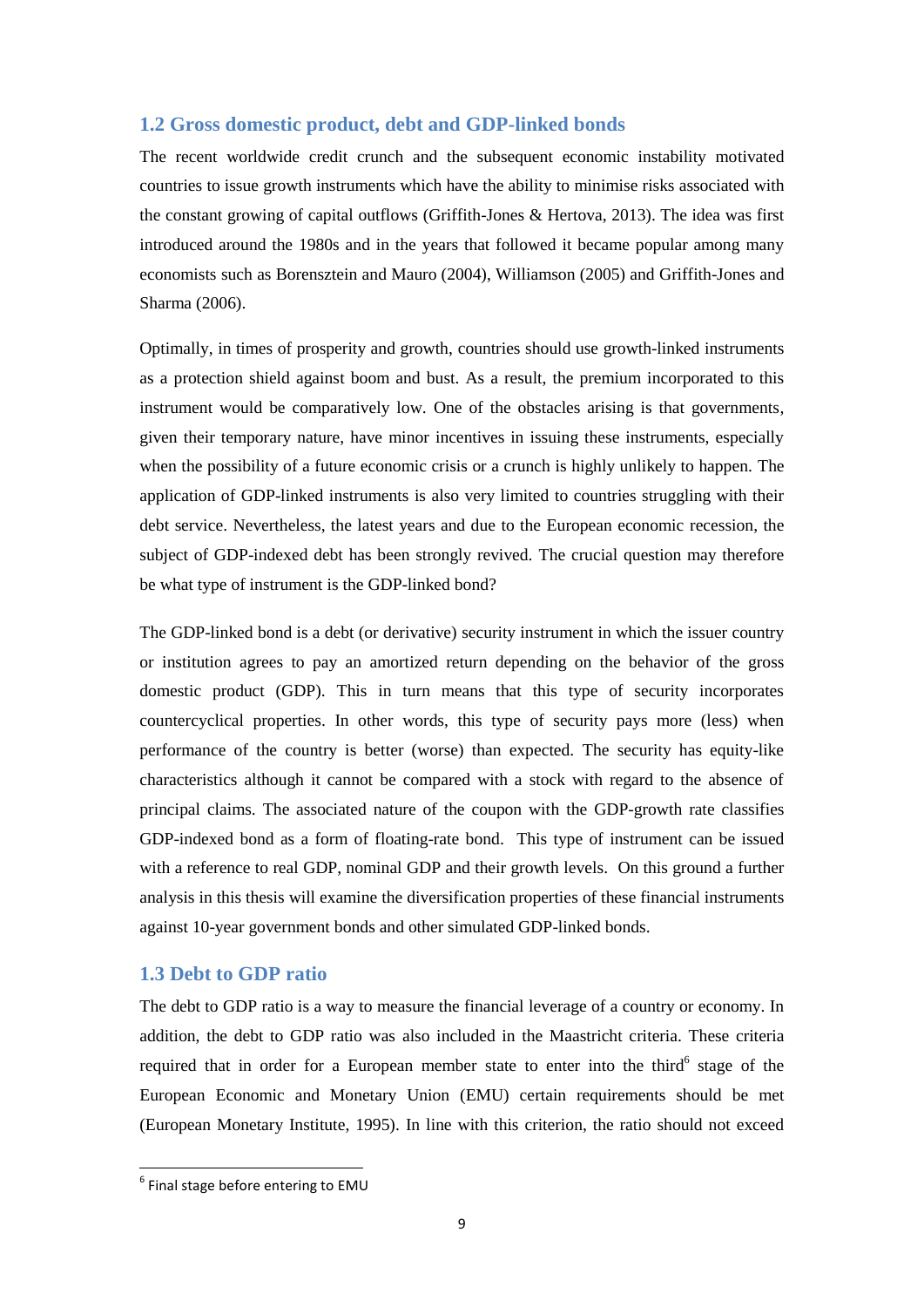## <span id="page-8-0"></span>**1.2 Gross domestic product, debt and GDP-linked bonds**

The recent worldwide credit crunch and the subsequent economic instability motivated countries to issue growth instruments which have the ability to minimise risks associated with the constant growing of capital outflows (Griffith-Jones & Hertova, 2013). The idea was first introduced around the 1980s and in the years that followed it became popular among many economists such as Borensztein and Mauro (2004), Williamson (2005) and Griffith-Jones and Sharma (2006).

Optimally, in times of prosperity and growth, countries should use growth-linked instruments as a protection shield against boom and bust. As a result, the premium incorporated to this instrument would be comparatively low. One of the obstacles arising is that governments, given their temporary nature, have minor incentives in issuing these instruments, especially when the possibility of a future economic crisis or a crunch is highly unlikely to happen. The application of GDP-linked instruments is also very limited to countries struggling with their debt service. Nevertheless, the latest years and due to the European economic recession, the subject of GDP-indexed debt has been strongly revived. The crucial question may therefore be what type of instrument is the GDP-linked bond?

The GDP-linked bond is a debt (or derivative) security instrument in which the issuer country or institution agrees to pay an amortized return depending on the behavior of the gross domestic product (GDP). This in turn means that this type of security incorporates countercyclical properties. In other words, this type of security pays more (less) when performance of the country is better (worse) than expected. The security has equity-like characteristics although it cannot be compared with a stock with regard to the absence of principal claims. The associated nature of the coupon with the GDP-growth rate classifies GDP-indexed bond as a form of floating-rate bond. This type of instrument can be issued with a reference to real GDP, nominal GDP and their growth levels. On this ground a further analysis in this thesis will examine the diversification properties of these financial instruments against 10-year government bonds and other simulated GDP-linked bonds.

### <span id="page-8-1"></span>**1.3 Debt to GDP ratio**

The debt to GDP ratio is a way to measure the financial leverage of a country or economy. In addition, the debt to GDP ratio was also included in the Maastricht criteria. These criteria required that in order for a European member state to enter into the third<sup>6</sup> stage of the European Economic and Monetary Union (EMU) certain requirements should be met (European Monetary Institute, 1995). In line with this criterion, the ratio should not exceed

-

 $<sup>6</sup>$  Final stage before entering to EMU</sup>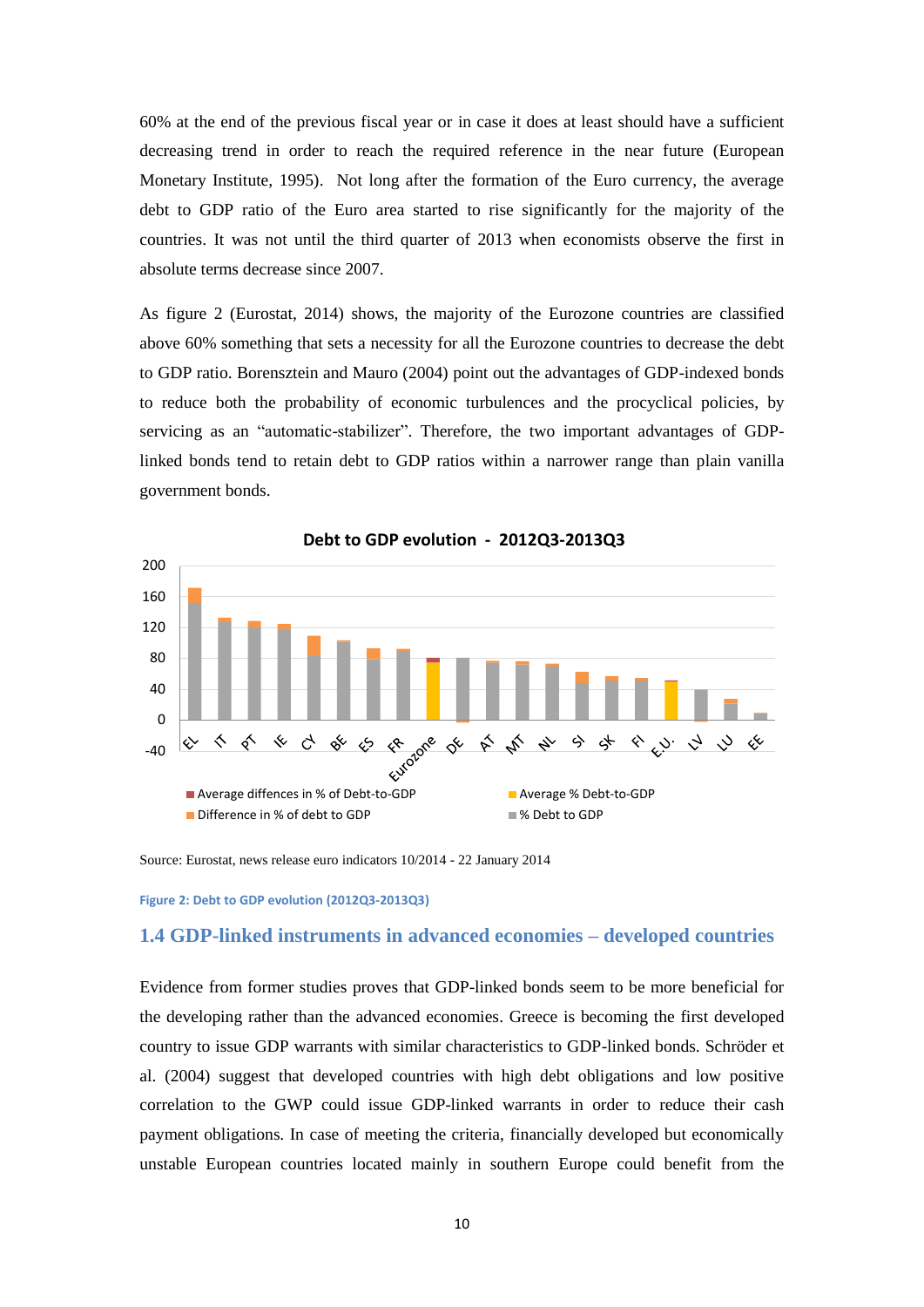60% at the end of the previous fiscal year or in case it does at least should have a sufficient decreasing trend in order to reach the required reference in the near future (European Monetary Institute, 1995). Not long after the formation of the Euro currency, the average debt to GDP ratio of the Euro area started to rise significantly for the majority of the countries. It was not until the third quarter of 2013 when economists observe the first in absolute terms decrease since 2007.

As figure 2 (Eurostat, 2014) shows, the majority of the Eurozone countries are classified above 60% something that sets a necessity for all the Eurozone countries to decrease the debt to GDP ratio. Borensztein and Mauro (2004) point out the advantages of GDP-indexed bonds to reduce both the probability of economic turbulences and the procyclical policies, by servicing as an "automatic-stabilizer". Therefore, the two important advantages of GDPlinked bonds tend to retain debt to GDP ratios within a narrower range than plain vanilla government bonds.



**Debt to GDP evolution - 2012Q3-2013Q3** 

Source: Eurostat, news release euro indicators 10/2014 - 22 January 2014

<span id="page-9-1"></span>**Figure 2: Debt to GDP evolution (2012Q3-2013Q3)** 

## <span id="page-9-0"></span>**1.4 GDP-linked instruments in advanced economies – developed countries**

Evidence from former studies proves that GDP-linked bonds seem to be more beneficial for the developing rather than the advanced economies. Greece is becoming the first developed country to issue GDP warrants with similar characteristics to GDP-linked bonds. Schröder et al. (2004) suggest that developed countries with high debt obligations and low positive correlation to the GWP could issue GDP-linked warrants in order to reduce their cash payment obligations. In case of meeting the criteria, financially developed but economically unstable European countries located mainly in southern Europe could benefit from the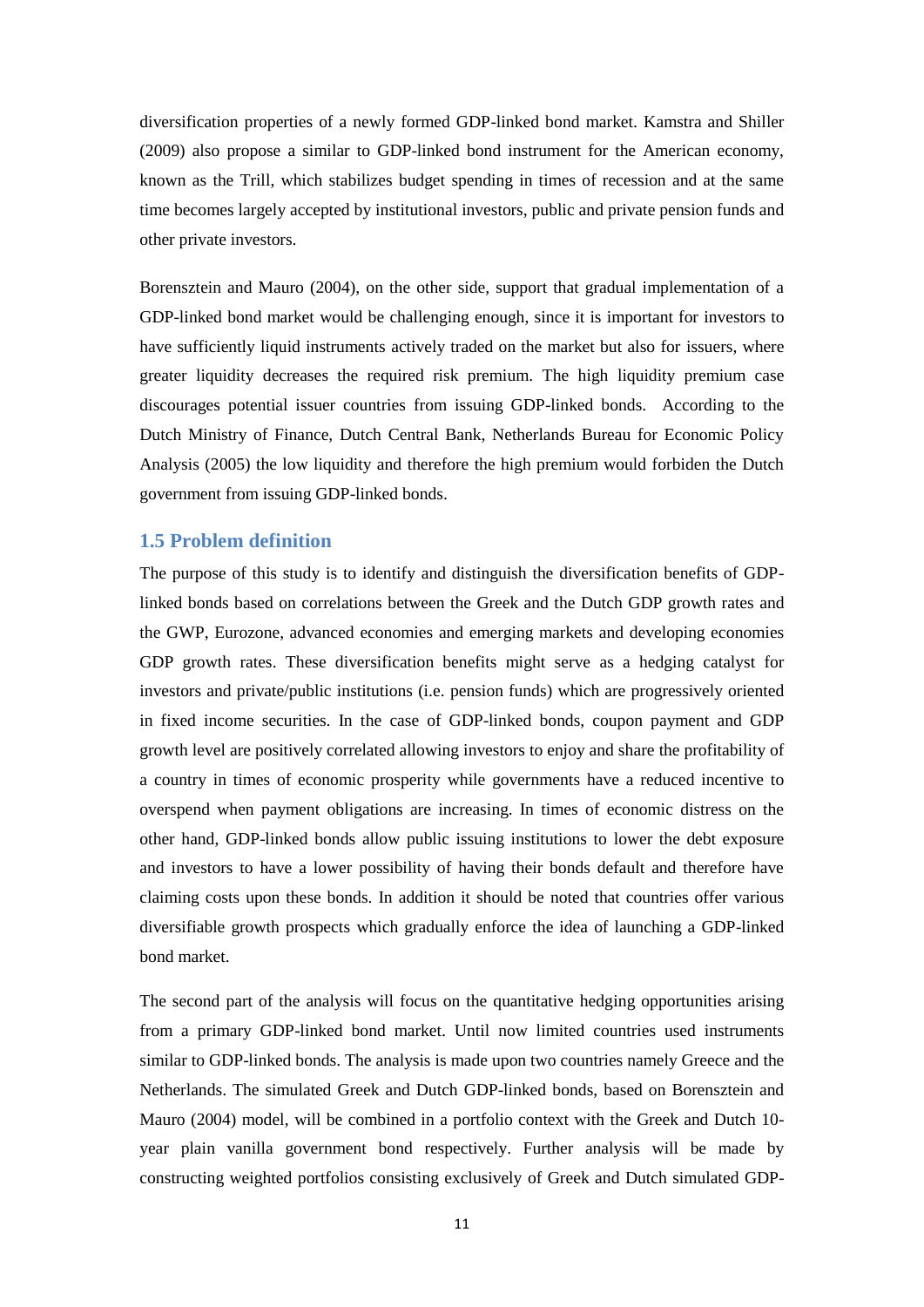diversification properties of a newly formed GDP-linked bond market. Kamstra and Shiller (2009) also propose a similar to GDP-linked bond instrument for the American economy, known as the Trill, which stabilizes budget spending in times of recession and at the same time becomes largely accepted by institutional investors, public and private pension funds and other private investors.

Borensztein and Mauro (2004), on the other side, support that gradual implementation of a GDP-linked bond market would be challenging enough, since it is important for investors to have sufficiently liquid instruments actively traded on the market but also for issuers, where greater liquidity decreases the required risk premium. The high liquidity premium case discourages potential issuer countries from issuing GDP-linked bonds. According to the Dutch Ministry of Finance, Dutch Central Bank, Netherlands Bureau for Economic Policy Analysis (2005) the low liquidity and therefore the high premium would forbiden the Dutch government from issuing GDP-linked bonds.

## <span id="page-10-0"></span>**1.5 Problem definition**

The purpose of this study is to identify and distinguish the diversification benefits of GDPlinked bonds based on correlations between the Greek and the Dutch GDP growth rates and the GWP, Eurozone, advanced economies and emerging markets and developing economies GDP growth rates. These diversification benefits might serve as a hedging catalyst for investors and private/public institutions (i.e. pension funds) which are progressively oriented in fixed income securities. In the case of GDP-linked bonds, coupon payment and GDP growth level are positively correlated allowing investors to enjoy and share the profitability of a country in times of economic prosperity while governments have a reduced incentive to overspend when payment obligations are increasing. In times of economic distress on the other hand, GDP-linked bonds allow public issuing institutions to lower the debt exposure and investors to have a lower possibility of having their bonds default and therefore have claiming costs upon these bonds. In addition it should be noted that countries offer various diversifiable growth prospects which gradually enforce the idea of launching a GDP-linked bond market.

The second part of the analysis will focus on the quantitative hedging opportunities arising from a primary GDP-linked bond market. Until now limited countries used instruments similar to GDP-linked bonds. The analysis is made upon two countries namely Greece and the Netherlands. The simulated Greek and Dutch GDP-linked bonds, based on Borensztein and Mauro (2004) model, will be combined in a portfolio context with the Greek and Dutch 10 year plain vanilla government bond respectively. Further analysis will be made by constructing weighted portfolios consisting exclusively of Greek and Dutch simulated GDP-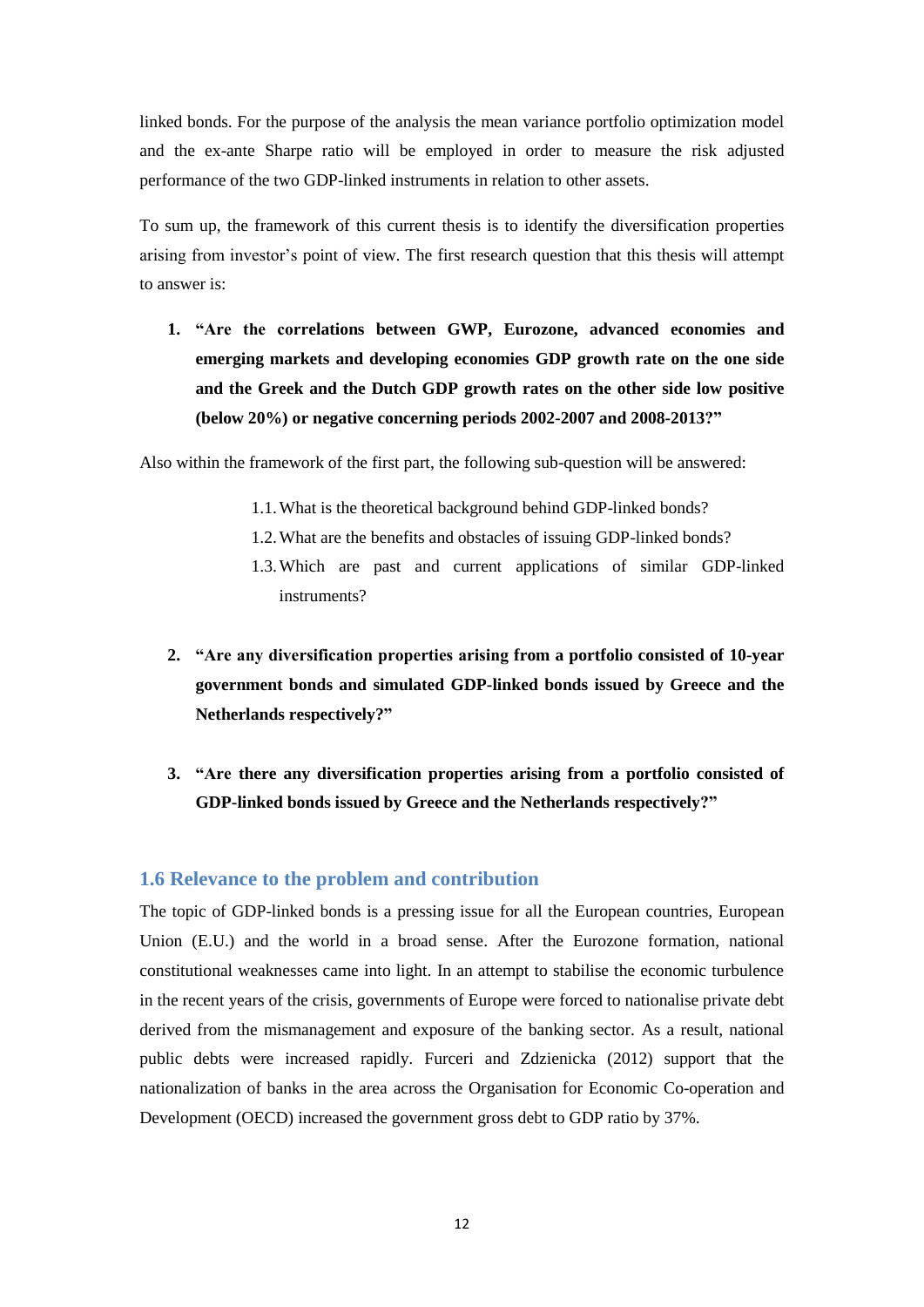linked bonds. For the purpose of the analysis the mean variance portfolio optimization model and the ex-ante Sharpe ratio will be employed in order to measure the risk adjusted performance of the two GDP-linked instruments in relation to other assets.

To sum up, the framework of this current thesis is to identify the diversification properties arising from investor's point of view. The first research question that this thesis will attempt to answer is:

**1. "Are the correlations between GWP, Eurozone, advanced economies and emerging markets and developing economies GDP growth rate on the one side and the Greek and the Dutch GDP growth rates on the other side low positive (below 20%) or negative concerning periods 2002-2007 and 2008-2013?"**

Also within the framework of the first part, the following sub-question will be answered:

- 1.1.What is the theoretical background behind GDP-linked bonds?
- 1.2.What are the benefits and obstacles of issuing GDP-linked bonds?
- 1.3.Which are past and current applications of similar GDP-linked instruments?
- **2. "Are any diversification properties arising from a portfolio consisted of 10-year government bonds and simulated GDP-linked bonds issued by Greece and the Netherlands respectively?"**
- **3. "Are there any diversification properties arising from a portfolio consisted of GDP-linked bonds issued by Greece and the Netherlands respectively?"**

## <span id="page-11-0"></span>**1.6 Relevance to the problem and contribution**

The topic of GDP-linked bonds is a pressing issue for all the European countries, European Union (E.U.) and the world in a broad sense. After the Eurozone formation, national constitutional weaknesses came into light. In an attempt to stabilise the economic turbulence in the recent years of the crisis, governments of Europe were forced to nationalise private debt derived from the mismanagement and exposure of the banking sector. As a result, national public debts were increased rapidly. Furceri and Zdzienicka (2012) support that the nationalization of banks in the area across the Organisation for Economic Co-operation and Development (OECD) increased the government gross debt to GDP ratio by 37%.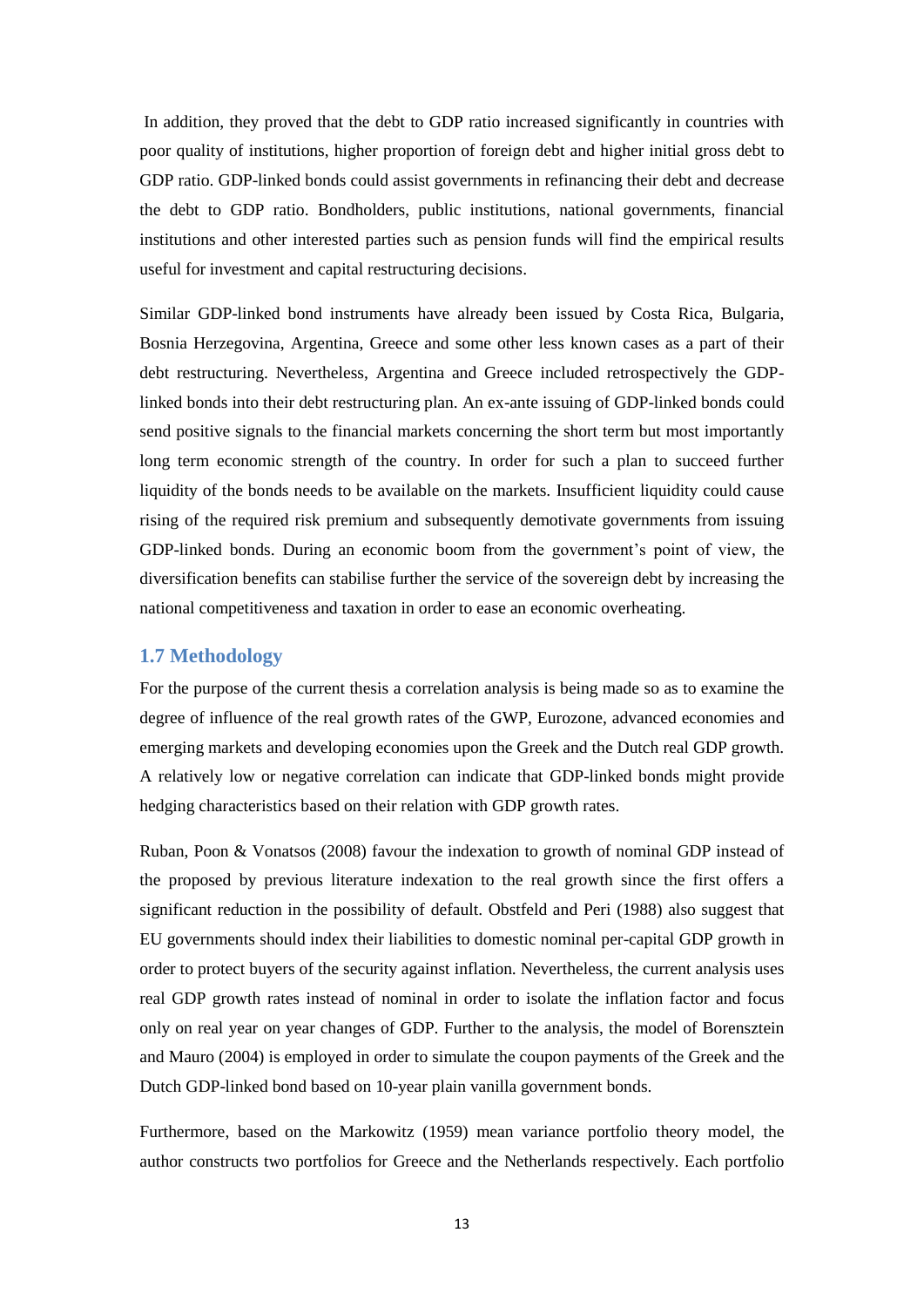In addition, they proved that the debt to GDP ratio increased significantly in countries with poor quality of institutions, higher proportion of foreign debt and higher initial gross debt to GDP ratio. GDP-linked bonds could assist governments in refinancing their debt and decrease the debt to GDP ratio. Bondholders, public institutions, national governments, financial institutions and other interested parties such as pension funds will find the empirical results useful for investment and capital restructuring decisions.

Similar GDP-linked bond instruments have already been issued by Costa Rica, Bulgaria, Bosnia Herzegovina, Argentina, Greece and some other less known cases as a part of their debt restructuring. Nevertheless, Argentina and Greece included retrospectively the GDPlinked bonds into their debt restructuring plan. An ex-ante issuing of GDP-linked bonds could send positive signals to the financial markets concerning the short term but most importantly long term economic strength of the country. In order for such a plan to succeed further liquidity of the bonds needs to be available on the markets. Insufficient liquidity could cause rising of the required risk premium and subsequently demotivate governments from issuing GDP-linked bonds. During an economic boom from the government's point of view, the diversification benefits can stabilise further the service of the sovereign debt by increasing the national competitiveness and taxation in order to ease an economic overheating.

### <span id="page-12-0"></span>**1.7 Methodology**

For the purpose of the current thesis a correlation analysis is being made so as to examine the degree of influence of the real growth rates of the GWP, Eurozone, advanced economies and emerging markets and developing economies upon the Greek and the Dutch real GDP growth. A relatively low or negative correlation can indicate that GDP-linked bonds might provide hedging characteristics based on their relation with GDP growth rates.

Ruban, Poon & Vonatsos (2008) favour the indexation to growth of nominal GDP instead of the proposed by previous literature indexation to the real growth since the first offers a significant reduction in the possibility of default. Obstfeld and Peri (1988) also suggest that EU governments should index their liabilities to domestic nominal per-capital GDP growth in order to protect buyers of the security against inflation. Nevertheless, the current analysis uses real GDP growth rates instead of nominal in order to isolate the inflation factor and focus only on real year on year changes of GDP. Further to the analysis, the model of Borensztein and Mauro (2004) is employed in order to simulate the coupon payments of the Greek and the Dutch GDP-linked bond based on 10-year plain vanilla government bonds.

Furthermore, based on the Markowitz (1959) mean variance portfolio theory model, the author constructs two portfolios for Greece and the Netherlands respectively. Each portfolio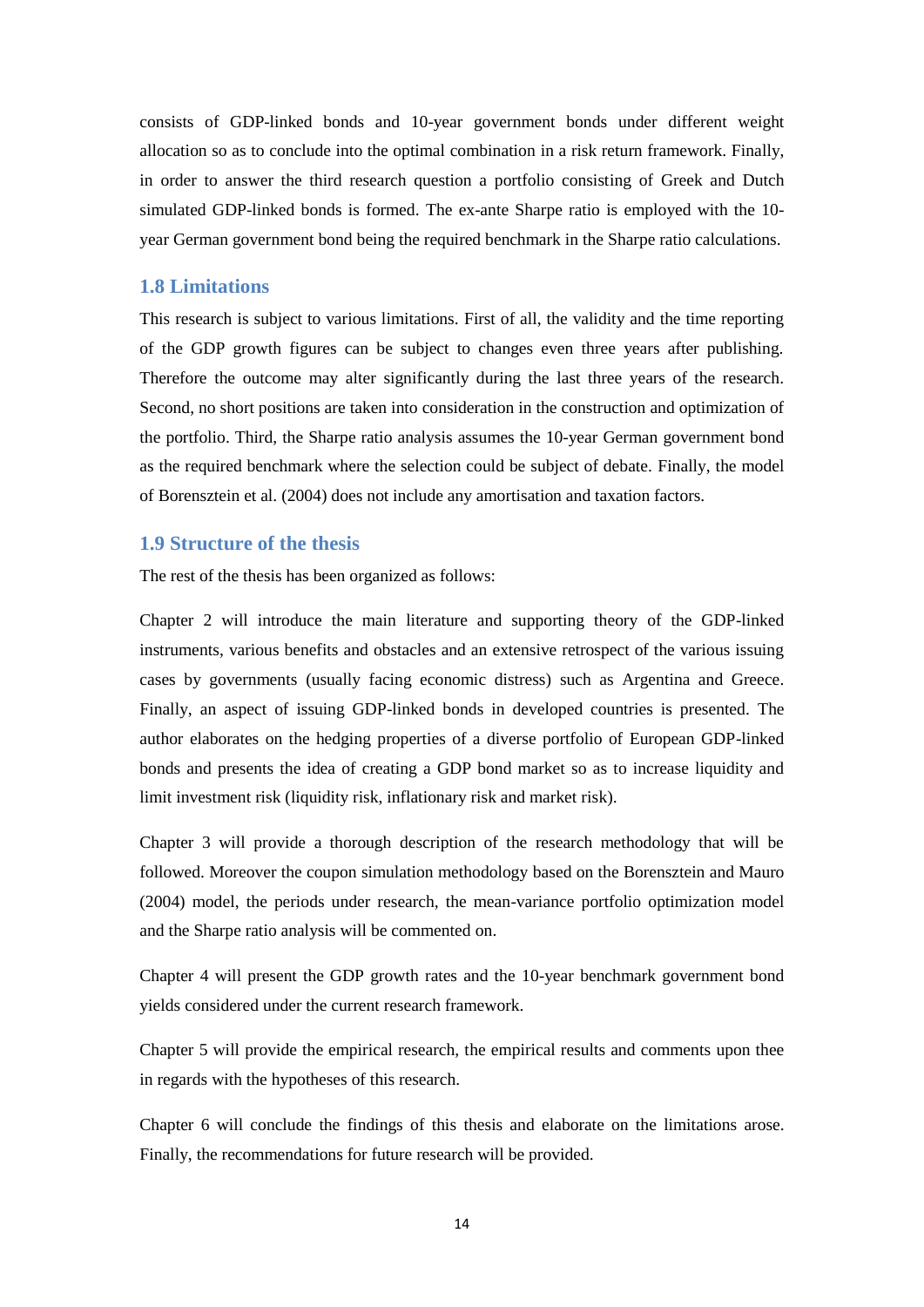consists of GDP-linked bonds and 10-year government bonds under different weight allocation so as to conclude into the optimal combination in a risk return framework. Finally, in order to answer the third research question a portfolio consisting of Greek and Dutch simulated GDP-linked bonds is formed. The ex-ante Sharpe ratio is employed with the 10 year German government bond being the required benchmark in the Sharpe ratio calculations.

### <span id="page-13-0"></span>**1.8 Limitations**

This research is subject to various limitations. First of all, the validity and the time reporting of the GDP growth figures can be subject to changes even three years after publishing. Therefore the outcome may alter significantly during the last three years of the research. Second, no short positions are taken into consideration in the construction and optimization of the portfolio. Third, the Sharpe ratio analysis assumes the 10-year German government bond as the required benchmark where the selection could be subject of debate. Finally, the model of Borensztein et al. (2004) does not include any amortisation and taxation factors.

#### <span id="page-13-1"></span>**1.9 Structure of the thesis**

The rest of the thesis has been organized as follows:

Chapter 2 will introduce the main literature and supporting theory of the GDP-linked instruments, various benefits and obstacles and an extensive retrospect of the various issuing cases by governments (usually facing economic distress) such as Argentina and Greece. Finally, an aspect of issuing GDP-linked bonds in developed countries is presented. The author elaborates on the hedging properties of a diverse portfolio of European GDP-linked bonds and presents the idea of creating a GDP bond market so as to increase liquidity and limit investment risk (liquidity risk, inflationary risk and market risk).

Chapter 3 will provide a thorough description of the research methodology that will be followed. Moreover the coupon simulation methodology based on the Borensztein and Mauro (2004) model, the periods under research, the mean-variance portfolio optimization model and the Sharpe ratio analysis will be commented on.

Chapter 4 will present the GDP growth rates and the 10-year benchmark government bond yields considered under the current research framework.

Chapter 5 will provide the empirical research, the empirical results and comments upon thee in regards with the hypotheses of this research.

Chapter 6 will conclude the findings of this thesis and elaborate on the limitations arose. Finally, the recommendations for future research will be provided.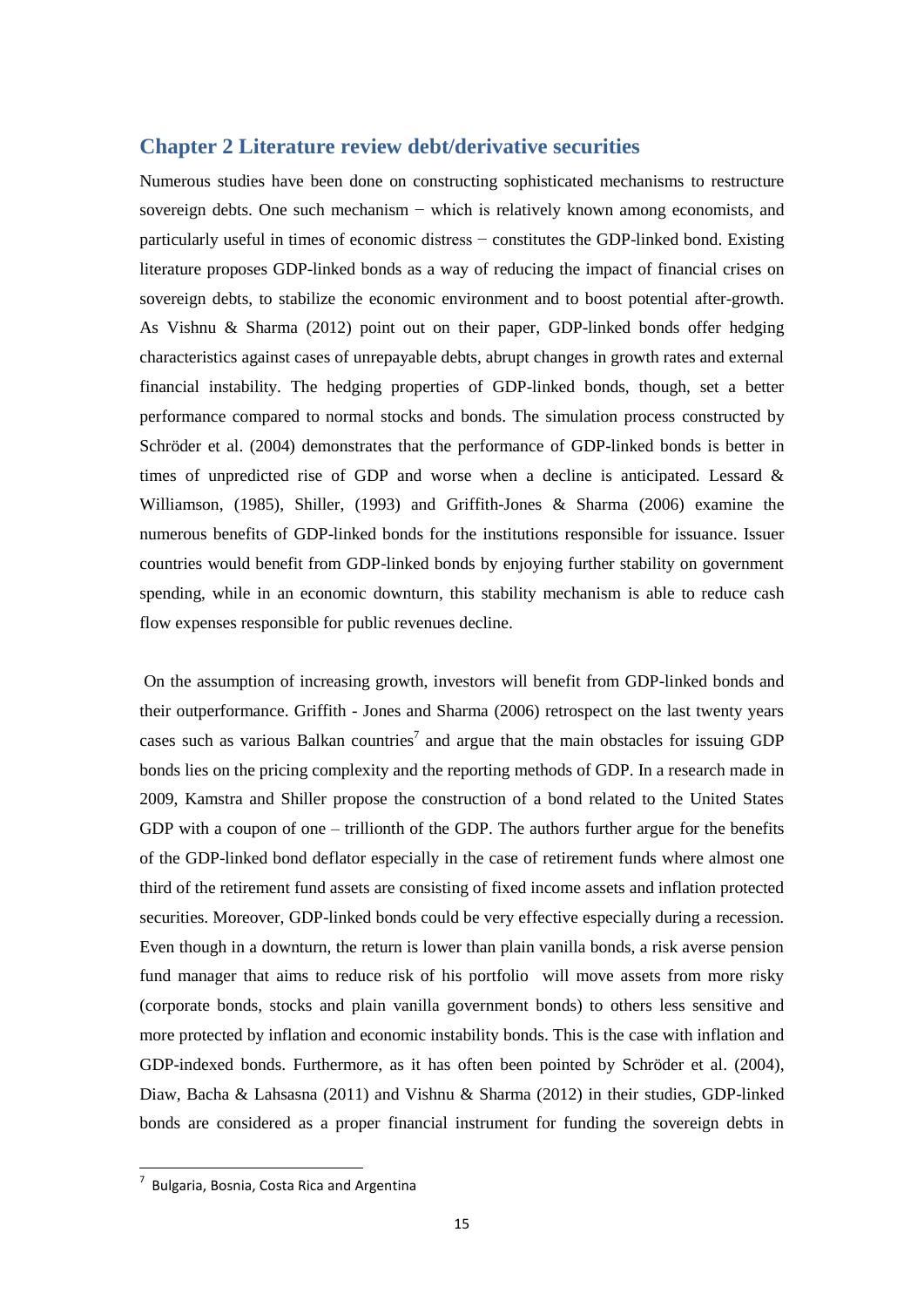## <span id="page-14-0"></span>**Chapter 2 Literature review debt/derivative securities**

Numerous studies have been done on constructing sophisticated mechanisms to restructure sovereign debts. One such mechanism − which is relatively known among economists, and particularly useful in times of economic distress − constitutes the GDP-linked bond. Existing literature proposes GDP-linked bonds as a way of reducing the impact of financial crises on sovereign debts, to stabilize the economic environment and to boost potential after-growth. As Vishnu & Sharma (2012) point out on their paper, GDP-linked bonds offer hedging characteristics against cases of unrepayable debts, abrupt changes in growth rates and external financial instability. The hedging properties of GDP-linked bonds, though, set a better performance compared to normal stocks and bonds. The simulation process constructed by Schröder et al. (2004) demonstrates that the performance of GDP-linked bonds is better in times of unpredicted rise of GDP and worse when a decline is anticipated. Lessard & Williamson, (1985), Shiller, (1993) and Griffith-Jones & Sharma (2006) examine the numerous benefits of GDP-linked bonds for the institutions responsible for issuance. Issuer countries would benefit from GDP-linked bonds by enjoying further stability on government spending, while in an economic downturn, this stability mechanism is able to reduce cash flow expenses responsible for public revenues decline.

 On the assumption of increasing growth, investors will benefit from GDP-linked bonds and their outperformance. Griffith - Jones and Sharma (2006) retrospect on the last twenty years cases such as various Balkan countries<sup>7</sup> and argue that the main obstacles for issuing GDP bonds lies on the pricing complexity and the reporting methods of GDP. In a research made in 2009, Kamstra and Shiller propose the construction of a bond related to the United States GDP with a coupon of one – trillionth of the GDP. The authors further argue for the benefits of the GDP-linked bond deflator especially in the case of retirement funds where almost one third of the retirement fund assets are consisting of fixed income assets and inflation protected securities. Moreover, GDP-linked bonds could be very effective especially during a recession. Even though in a downturn, the return is lower than plain vanilla bonds, a risk averse pension fund manager that aims to reduce risk of his portfolio will move assets from more risky (corporate bonds, stocks and plain vanilla government bonds) to others less sensitive and more protected by inflation and economic instability bonds. This is the case with inflation and GDP-indexed bonds. Furthermore, as it has often been pointed by Schröder et al. (2004), Diaw, Bacha & Lahsasna (2011) and Vishnu & Sharma (2012) in their studies, GDP-linked bonds are considered as a proper financial instrument for funding the sovereign debts in

-

 $\frac{7}{7}$  Bulgaria, Bosnia, Costa Rica and Argentina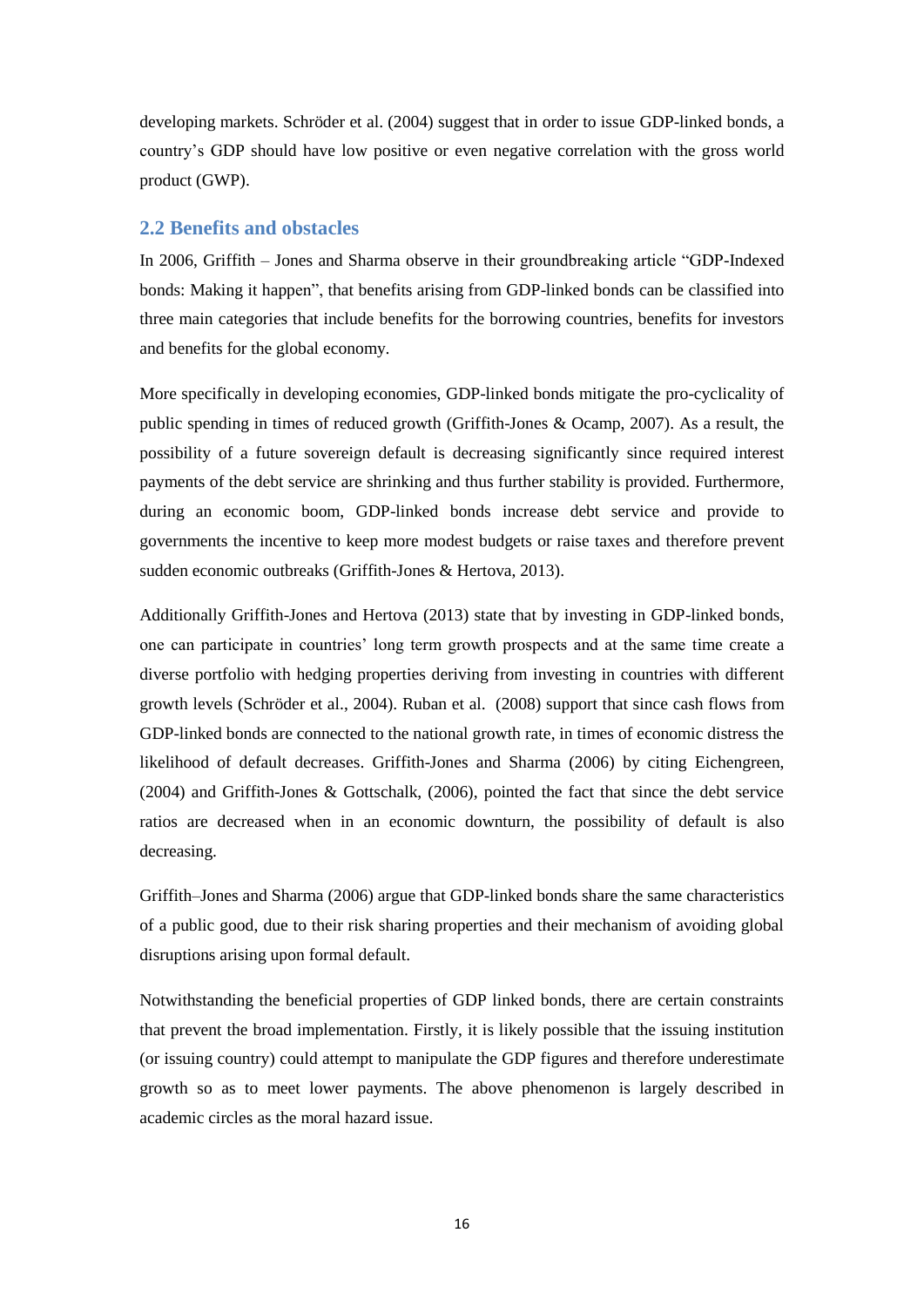developing markets. Schröder et al. (2004) suggest that in order to issue GDP-linked bonds, a country's GDP should have low positive or even negative correlation with the gross world product (GWP).

## <span id="page-15-0"></span>**2.2 Benefits and obstacles**

In 2006, Griffith – Jones and Sharma observe in their groundbreaking article "GDP-Indexed bonds: Making it happen", that benefits arising from GDP-linked bonds can be classified into three main categories that include benefits for the borrowing countries, benefits for investors and benefits for the global economy.

More specifically in developing economies, GDP-linked bonds mitigate the pro-cyclicality of public spending in times of reduced growth (Griffith-Jones & Ocamp, 2007). As a result, the possibility of a future sovereign default is decreasing significantly since required interest payments of the debt service are shrinking and thus further stability is provided. Furthermore, during an economic boom, GDP-linked bonds increase debt service and provide to governments the incentive to keep more modest budgets or raise taxes and therefore prevent sudden economic outbreaks (Griffith-Jones & Hertova, 2013).

Additionally Griffith-Jones and Hertova (2013) state that by investing in GDP-linked bonds, one can participate in countries' long term growth prospects and at the same time create a diverse portfolio with hedging properties deriving from investing in countries with different growth levels (Schröder et al., 2004). Ruban et al. (2008) support that since cash flows from GDP-linked bonds are connected to the national growth rate, in times of economic distress the likelihood of default decreases. Griffith-Jones and Sharma (2006) by citing Eichengreen, (2004) and Griffith-Jones & Gottschalk, (2006), pointed the fact that since the debt service ratios are decreased when in an economic downturn, the possibility of default is also decreasing.

Griffith–Jones and Sharma (2006) argue that GDP-linked bonds share the same characteristics of a public good, due to their risk sharing properties and their mechanism of avoiding global disruptions arising upon formal default.

Notwithstanding the beneficial properties of GDP linked bonds, there are certain constraints that prevent the broad implementation. Firstly, it is likely possible that the issuing institution (or issuing country) could attempt to manipulate the GDP figures and therefore underestimate growth so as to meet lower payments. The above phenomenon is largely described in academic circles as the moral hazard issue.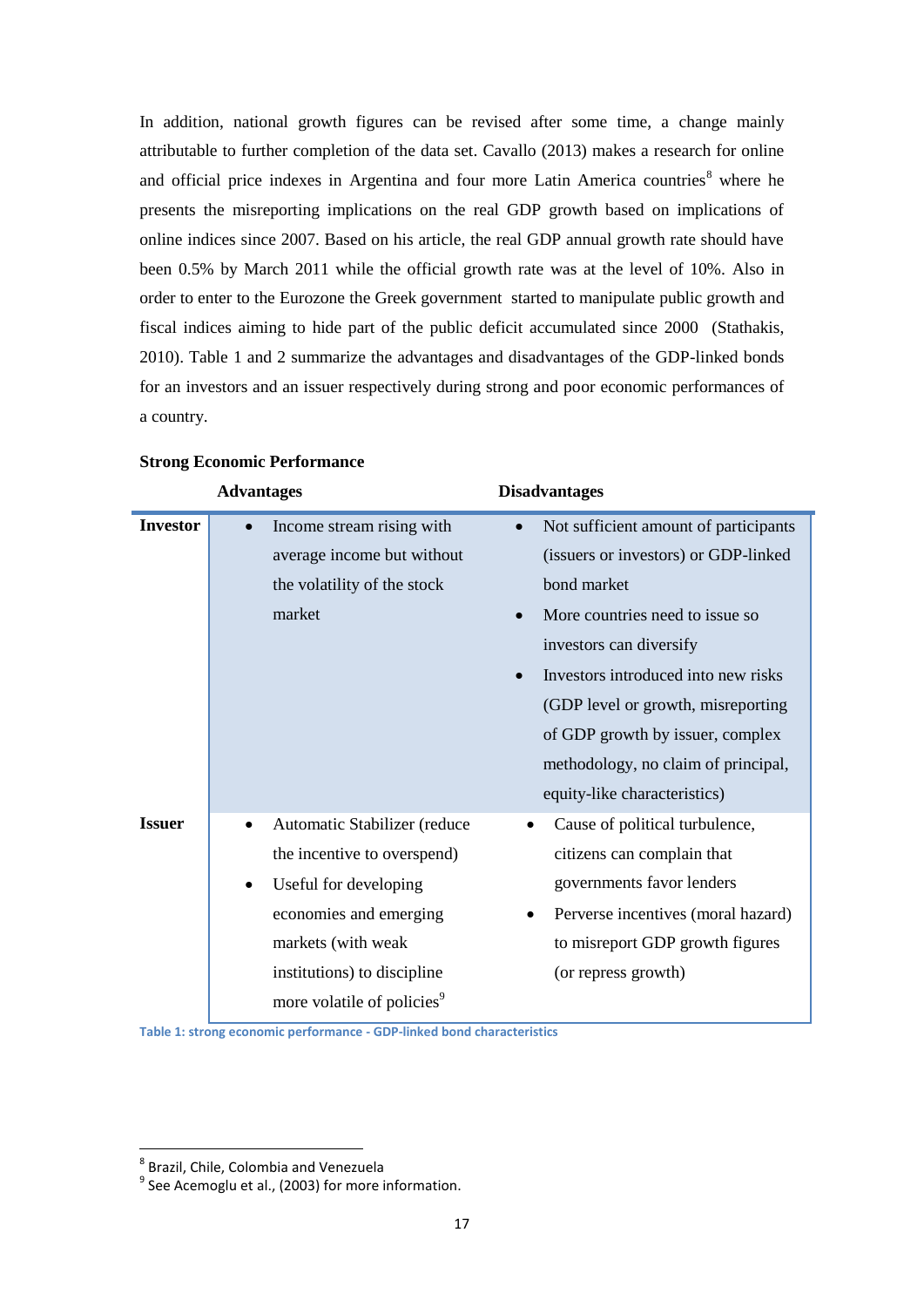In addition, national growth figures can be revised after some time, a change mainly attributable to further completion of the data set. Cavallo (2013) makes a research for online and official price indexes in Argentina and four more Latin America countries<sup>8</sup> where he presents the misreporting implications on the real GDP growth based on implications of online indices since 2007. Based on his article, the real GDP annual growth rate should have been 0.5% by March 2011 while the official growth rate was at the level of 10%. Also in order to enter to the Eurozone the Greek government started to manipulate public growth and fiscal indices aiming to hide part of the public deficit accumulated since 2000 (Stathakis, 2010). Table 1 and 2 summarize the advantages and disadvantages of the GDP-linked bonds for an investors and an issuer respectively during strong and poor economic performances of a country.

|                 | <b>Advantages</b>                         | <b>Disadvantages</b>                               |
|-----------------|-------------------------------------------|----------------------------------------------------|
| <b>Investor</b> | Income stream rising with                 | Not sufficient amount of participants<br>$\bullet$ |
|                 | average income but without                | (issuers or investors) or GDP-linked               |
|                 | the volatility of the stock               | bond market                                        |
|                 | market                                    | More countries need to issue so.                   |
|                 |                                           | investors can diversify                            |
|                 |                                           | Investors introduced into new risks                |
|                 |                                           | (GDP level or growth, misreporting)                |
|                 |                                           | of GDP growth by issuer, complex                   |
|                 |                                           | methodology, no claim of principal,                |
|                 |                                           | equity-like characteristics)                       |
| <b>Issuer</b>   | Automatic Stabilizer (reduce<br>$\bullet$ | Cause of political turbulence,<br>$\bullet$        |
|                 | the incentive to overspend)               | citizens can complain that                         |
|                 | Useful for developing<br>$\bullet$        | governments favor lenders                          |
|                 | economies and emerging                    | Perverse incentives (moral hazard)                 |
|                 | markets (with weak                        | to misreport GDP growth figures                    |
|                 | institutions) to discipline               | (or repress growth)                                |
|                 | more volatile of policies <sup>9</sup>    |                                                    |

a.

#### **Strong Economic Performance**

<span id="page-16-0"></span>**Table 1: strong economic performance - GDP-linked bond characteristics** 

<u>.</u>

<sup>8</sup> Brazil, Chile, Colombia and Venezuela

 $9$  See Acemoglu et al., (2003) for more information.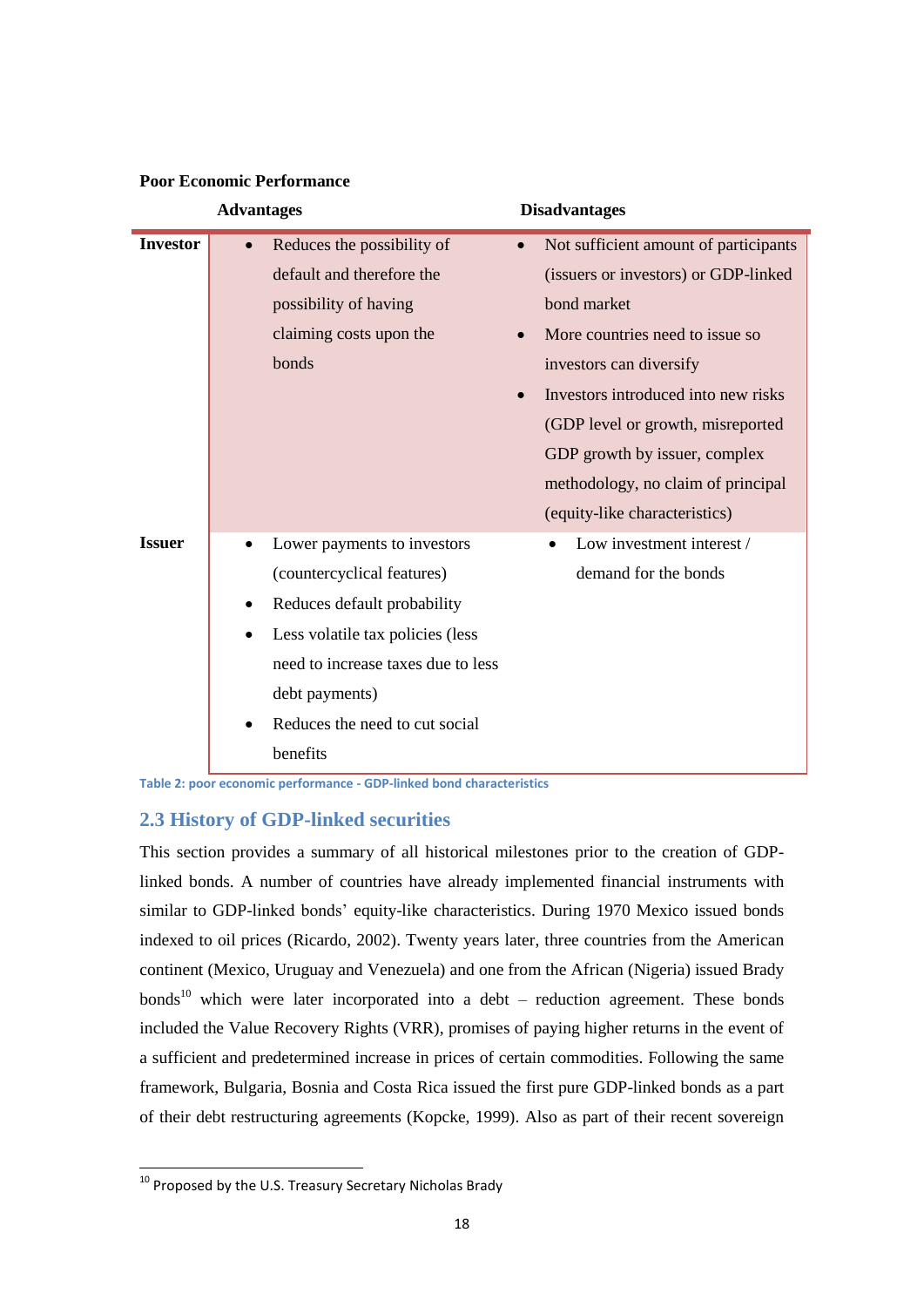|                 | <b>Advantages</b>                             | <b>Disadvantages</b>                               |
|-----------------|-----------------------------------------------|----------------------------------------------------|
| <b>Investor</b> | Reduces the possibility of                    | Not sufficient amount of participants<br>$\bullet$ |
|                 | default and therefore the                     | (issuers or investors) or GDP-linked               |
|                 | possibility of having                         | bond market                                        |
|                 | claiming costs upon the                       | More countries need to issue so.                   |
|                 | bonds                                         | investors can diversify                            |
|                 |                                               | Investors introduced into new risks<br>$\bullet$   |
|                 |                                               | (GDP level or growth, misreported                  |
|                 |                                               | GDP growth by issuer, complex                      |
|                 |                                               | methodology, no claim of principal                 |
|                 |                                               | (equity-like characteristics)                      |
| <b>Issuer</b>   | Lower payments to investors                   | Low investment interest /                          |
|                 | (countercyclical features)                    | demand for the bonds                               |
|                 | Reduces default probability<br>٠              |                                                    |
|                 | Less volatile tax policies (less<br>$\bullet$ |                                                    |
|                 | need to increase taxes due to less            |                                                    |
|                 | debt payments)                                |                                                    |
|                 | Reduces the need to cut social<br>$\bullet$   |                                                    |
|                 | benefits                                      |                                                    |

## **Poor Economic Performance**

<span id="page-17-1"></span>**Table 2: poor economic performance - GDP-linked bond characteristics** 

## <span id="page-17-0"></span>**2.3 History of GDP-linked securities**

This section provides a summary of all historical milestones prior to the creation of GDPlinked bonds. A number of countries have already implemented financial instruments with similar to GDP-linked bonds' equity-like characteristics. During 1970 Mexico issued bonds indexed to oil prices (Ricardo, 2002). Twenty years later, three countries from the American continent (Mexico, Uruguay and Venezuela) and one from the African (Nigeria) issued Brady bonds<sup>10</sup> which were later incorporated into a debt – reduction agreement. These bonds included the Value Recovery Rights (VRR), promises of paying higher returns in the event of a sufficient and predetermined increase in prices of certain commodities. Following the same framework, Bulgaria, Bosnia and Costa Rica issued the first pure GDP-linked bonds as a part of their debt restructuring agreements (Kopcke, 1999). Also as part of their recent sovereign

-

 $^{10}$  Proposed by the U.S. Treasury Secretary Nicholas Brady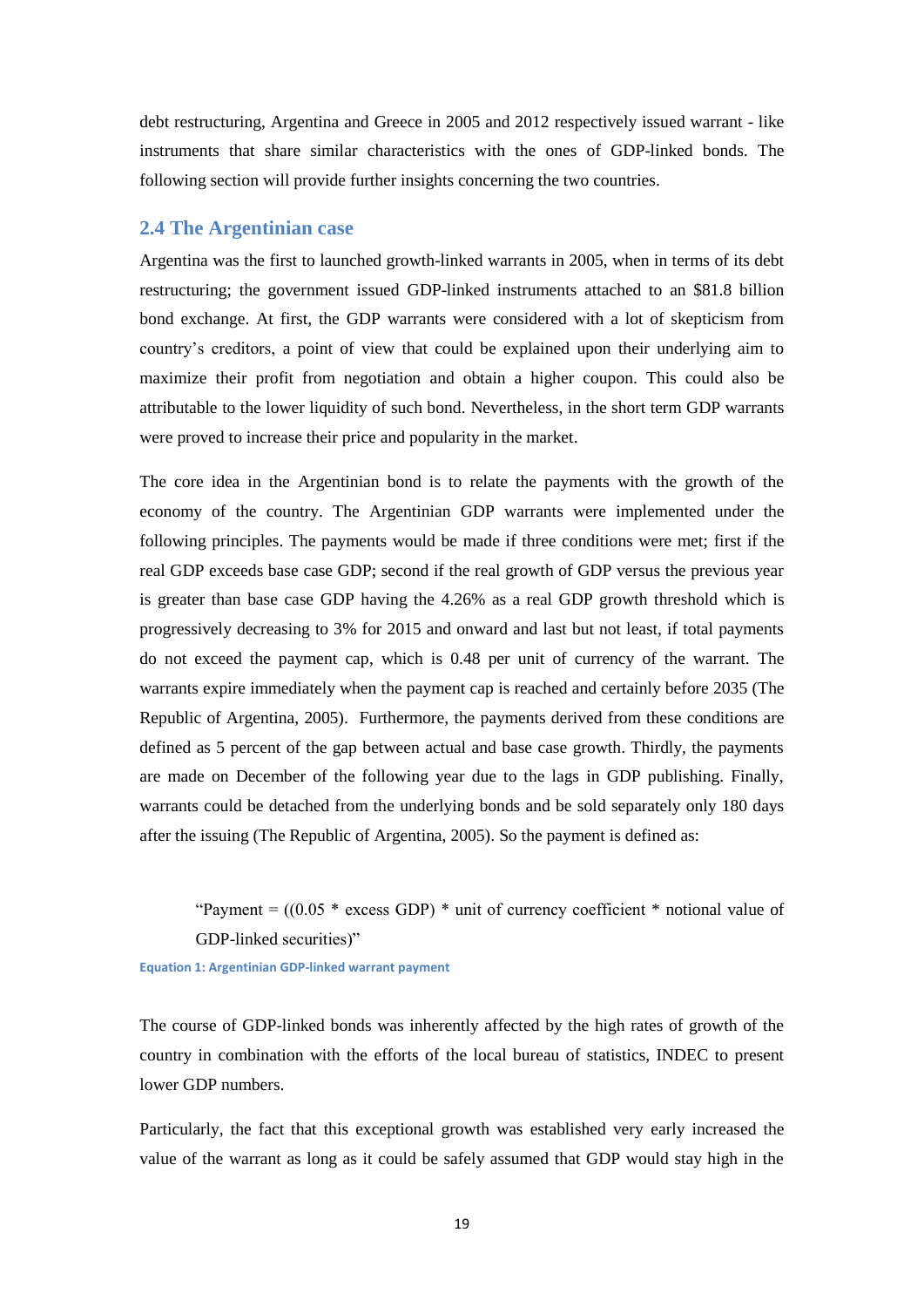debt restructuring, Argentina and Greece in 2005 and 2012 respectively issued warrant - like instruments that share similar characteristics with the ones of GDP-linked bonds. The following section will provide further insights concerning the two countries.

## <span id="page-18-0"></span>**2.4 The Argentinian case**

Argentina was the first to launched growth-linked warrants in 2005, when in terms of its debt restructuring; the government issued GDP-linked instruments attached to an \$81.8 billion bond exchange. At first, the GDP warrants were considered with a lot of skepticism from country's creditors, a point of view that could be explained upon their underlying aim to maximize their profit from negotiation and obtain a higher coupon. This could also be attributable to the lower liquidity of such bond. Nevertheless, in the short term GDP warrants were proved to increase their price and popularity in the market.

The core idea in the Argentinian bond is to relate the payments with the growth of the economy of the country. The Argentinian GDP warrants were implemented under the following principles. The payments would be made if three conditions were met; first if the real GDP exceeds base case GDP; second if the real growth of GDP versus the previous year is greater than base case GDP having the 4.26% as a real GDP growth threshold which is progressively decreasing to 3% for 2015 and onward and last but not least, if total payments do not exceed the payment cap, which is 0.48 per unit of currency of the warrant. The warrants expire immediately when the payment cap is reached and certainly before 2035 (The Republic of Argentina, 2005). Furthermore, the payments derived from these conditions are defined as 5 percent of the gap between actual and base case growth. Thirdly, the payments are made on December of the following year due to the lags in GDP publishing. Finally, warrants could be detached from the underlying bonds and be sold separately only 180 days after the issuing (The Republic of Argentina, 2005). So the payment is defined as:

"Payment =  $((0.05 * excess GDP) * unit of currency coefficient * notional value of$ GDP-linked securities)"

<span id="page-18-1"></span>**Equation 1: Argentinian GDP-linked warrant payment**

The course of GDP-linked bonds was inherently affected by the high rates of growth of the country in combination with the efforts of the local bureau of statistics, INDEC to present lower GDP numbers.

Particularly, the fact that this exceptional growth was established very early increased the value of the warrant as long as it could be safely assumed that GDP would stay high in the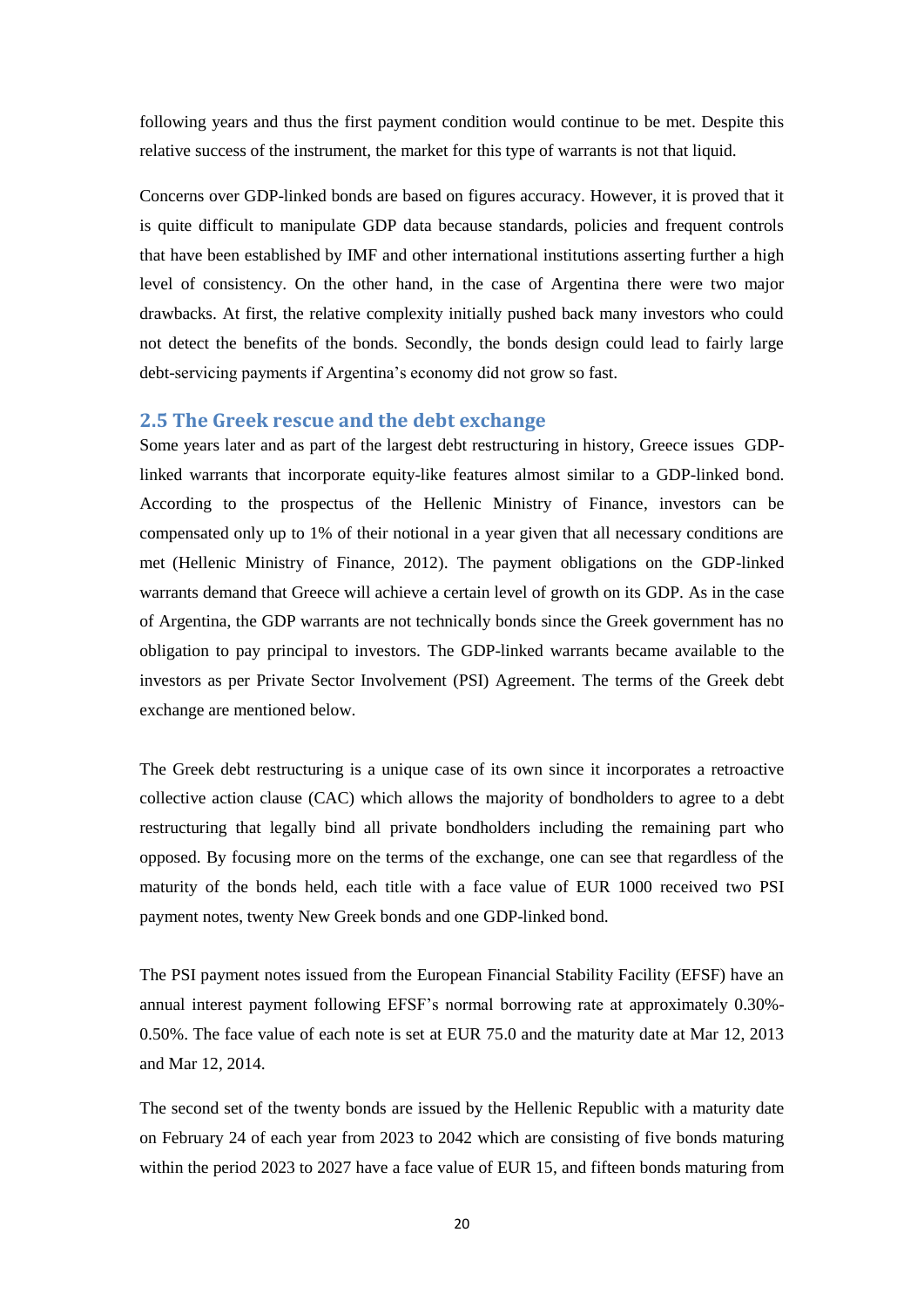following years and thus the first payment condition would continue to be met. Despite this relative success of the instrument, the market for this type of warrants is not that liquid.

Concerns over GDP-linked bonds are based on figures accuracy. However, it is proved that it is quite difficult to manipulate GDP data because standards, policies and frequent controls that have been established by IMF and other international institutions asserting further a high level of consistency. On the other hand, in the case of Argentina there were two major drawbacks. At first, the relative complexity initially pushed back many investors who could not detect the benefits of the bonds. Secondly, the bonds design could lead to fairly large debt-servicing payments if Argentina's economy did not grow so fast.

## <span id="page-19-0"></span>**2.5 The Greek rescue and the debt exchange**

Some years later and as part of the largest debt restructuring in history, Greece issues GDPlinked warrants that incorporate equity-like features almost similar to a GDP-linked bond. According to the prospectus of the Hellenic Ministry of Finance, investors can be compensated only up to 1% of their notional in a year given that all necessary conditions are met (Hellenic Ministry of Finance, 2012). The payment obligations on the GDP-linked warrants demand that Greece will achieve a certain level of growth on its GDP. As in the case of Argentina, the GDP warrants are not technically bonds since the Greek government has no obligation to pay principal to investors. The GDP-linked warrants became available to the investors as per Private Sector Involvement (PSI) Agreement. The terms of the Greek debt exchange are mentioned below.

The Greek debt restructuring is a unique case of its own since it incorporates a retroactive collective action clause (CAC) which allows the majority of bondholders to agree to a debt restructuring that legally bind all private bondholders including the remaining part who opposed. By focusing more on the terms of the exchange, one can see that regardless of the maturity of the bonds held, each title with a face value of EUR 1000 received two PSI payment notes, twenty New Greek bonds and one GDP-linked bond.

The PSI payment notes issued from the European Financial Stability Facility (EFSF) have an annual interest payment following EFSF's normal borrowing rate at approximately 0.30%- 0.50%. The face value of each note is set at EUR 75.0 and the maturity date at Mar 12, 2013 and Mar 12, 2014.

The second set of the twenty bonds are issued by the Hellenic Republic with a maturity date on February 24 of each year from 2023 to 2042 which are consisting of five bonds maturing within the period 2023 to 2027 have a face value of EUR 15, and fifteen bonds maturing from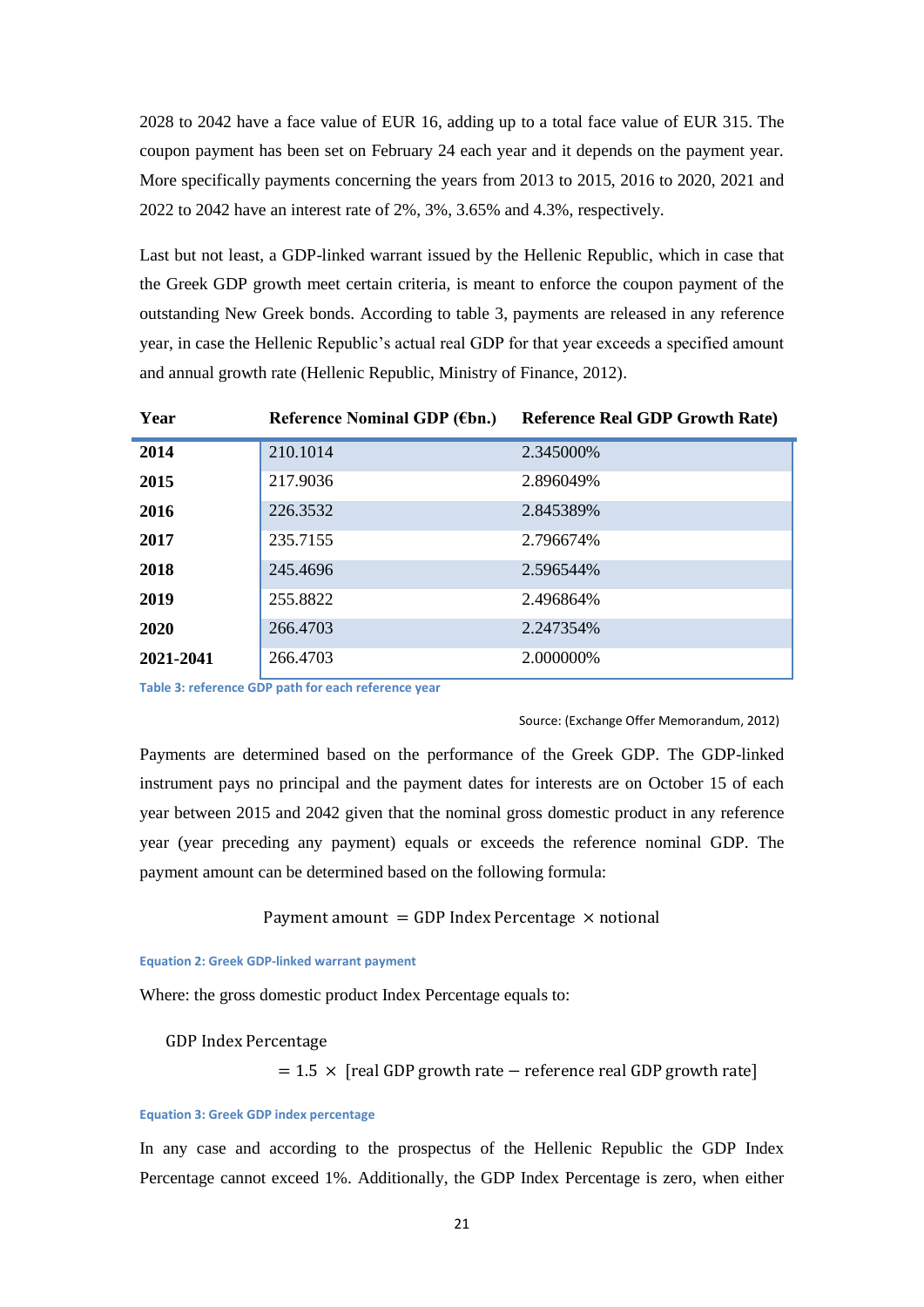2028 to 2042 have a face value of EUR 16, adding up to a total face value of EUR 315. The coupon payment has been set on February 24 each year and it depends on the payment year. More specifically payments concerning the years from 2013 to 2015, 2016 to 2020, 2021 and 2022 to 2042 have an interest rate of 2%, 3%, 3.65% and 4.3%, respectively.

Last but not least, a GDP-linked warrant issued by the Hellenic Republic, which in case that the Greek GDP growth meet certain criteria, is meant to enforce the coupon payment of the outstanding New Greek bonds. According to table 3, payments are released in any reference year, in case the Hellenic Republic's actual real GDP for that year exceeds a specified amount and annual growth rate (Hellenic Republic, Ministry of Finance, 2012).

| Year      | Reference Nominal GDP (€bn.) | <b>Reference Real GDP Growth Rate)</b> |
|-----------|------------------------------|----------------------------------------|
| 2014      | 210.1014                     | 2.345000\%                             |
| 2015      | 217.9036                     | 2.896049%                              |
| 2016      | 226.3532                     | 2.845389%                              |
| 2017      | 235.7155                     | 2.796674%                              |
| 2018      | 245.4696                     | 2.596544%                              |
| 2019      | 255.8822                     | 2.496864%                              |
| 2020      | 266,4703                     | 2.247354%                              |
| 2021-2041 | 266.4703                     | 2.000000%                              |

<span id="page-20-2"></span>**Table 3: reference GDP path for each reference year** 

#### Source: (Exchange Offer Memorandum, 2012)

Payments are determined based on the performance of the Greek GDP. The GDP-linked instrument pays no principal and the payment dates for interests are on October 15 of each year between 2015 and 2042 given that the nominal gross domestic product in any reference year (year preceding any payment) equals or exceeds the reference nominal GDP. The payment amount can be determined based on the following formula:

Payment amount = GDP Index Percentage  $\times$  notional

<span id="page-20-0"></span>**Equation 2: Greek GDP-linked warrant payment**

Where: the gross domestic product Index Percentage equals to:

#### **GDP Index Percentage**

 $= 1.5 \times$  [real GDP growth rate – reference real GDP growth rate]

#### <span id="page-20-1"></span>**Equation 3: Greek GDP index percentage**

In any case and according to the prospectus of the Hellenic Republic the GDP Index Percentage cannot exceed 1%. Additionally, the GDP Index Percentage is zero, when either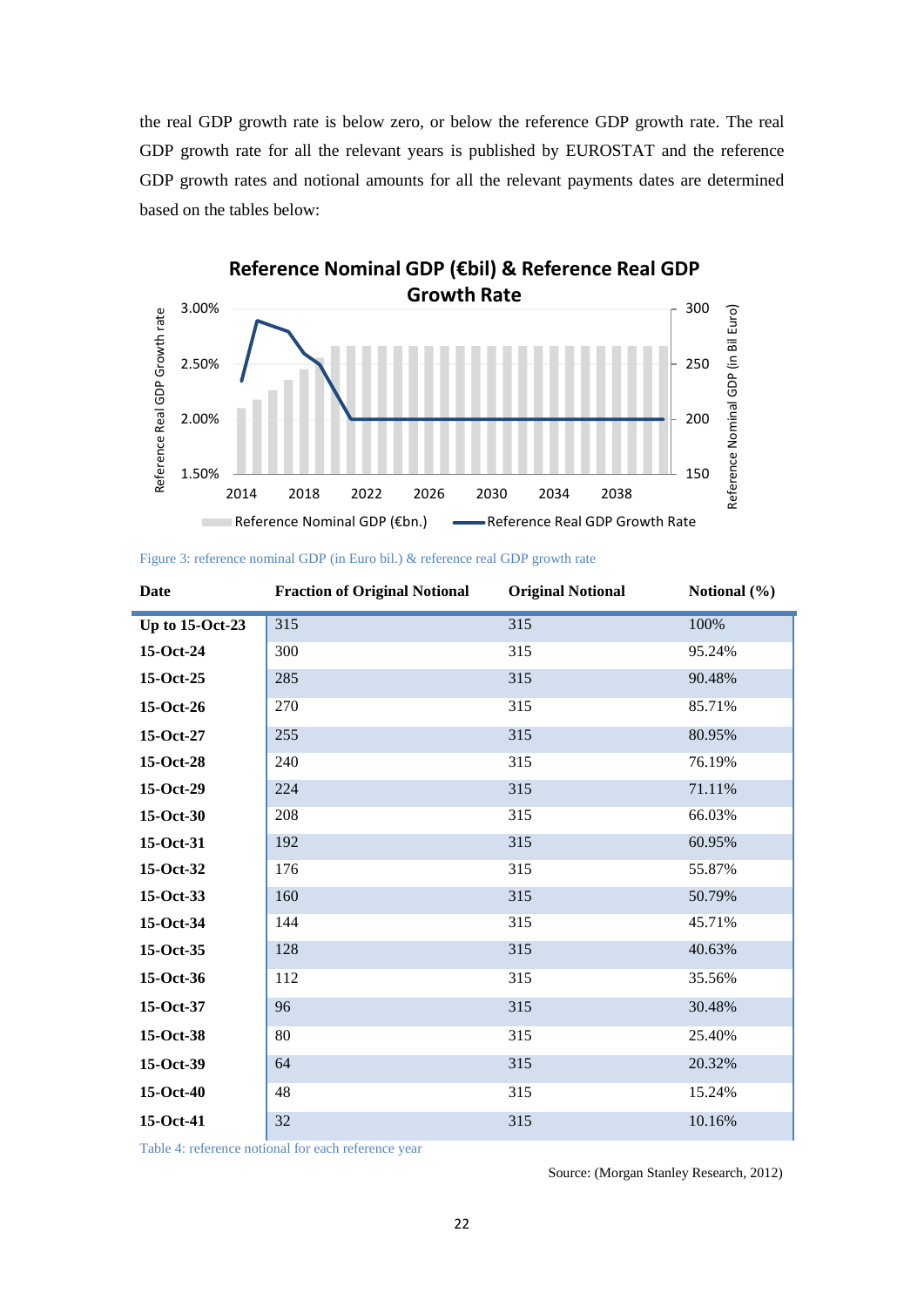the real GDP growth rate is below zero, or below the reference GDP growth rate. The real GDP growth rate for all the relevant years is published by EUROSTAT and the reference GDP growth rates and notional amounts for all the relevant payments dates are determined based on the tables below:



| Figure 3: reference nominal GDP (in Euro bil.) & reference real GDP growth rate |  |  |  |  |
|---------------------------------------------------------------------------------|--|--|--|--|
|---------------------------------------------------------------------------------|--|--|--|--|

| <b>Date</b>            | <b>Fraction of Original Notional</b> | <b>Original Notional</b> | Notional (%) |
|------------------------|--------------------------------------|--------------------------|--------------|
| <b>Up to 15-Oct-23</b> | 315                                  | 315                      | 100%         |
| 15-Oct-24              | 300                                  | 315                      | 95.24%       |
| 15-Oct-25              | 285                                  | 315                      | 90.48%       |
| 15-Oct-26              | 270                                  | 315                      | 85.71%       |
| 15-Oct-27              | 255                                  | 315                      | 80.95%       |
| 15-Oct-28              | 240                                  | 315                      | 76.19%       |
| $15-Oct-29$            | 224                                  | 315                      | 71.11%       |
| 15-Oct-30              | 208                                  | 315                      | 66.03%       |
| 15-Oct-31              | 192                                  | 315                      | 60.95%       |
| 15-Oct-32              | 176                                  | 315                      | 55.87%       |
| 15-Oct-33              | 160                                  | 315                      | 50.79%       |
| 15-Oct-34              | 144                                  | 315                      | 45.71%       |
| 15-Oct-35              | 128                                  | 315                      | 40.63%       |
| 15-Oct-36              | 112                                  | 315                      | 35.56%       |
| 15-Oct-37              | 96                                   | 315                      | 30.48%       |
| 15-Oct-38              | 80                                   | 315                      | 25.40%       |
| 15-Oct-39              | 64                                   | 315                      | 20.32%       |
| 15-Oct-40              | 48                                   | 315                      | 15.24%       |
| 15-Oct-41              | 32                                   | 315                      | 10.16%       |

<span id="page-21-0"></span>Table 4: reference notional for each reference year

Source: (Morgan Stanley Research, 2012)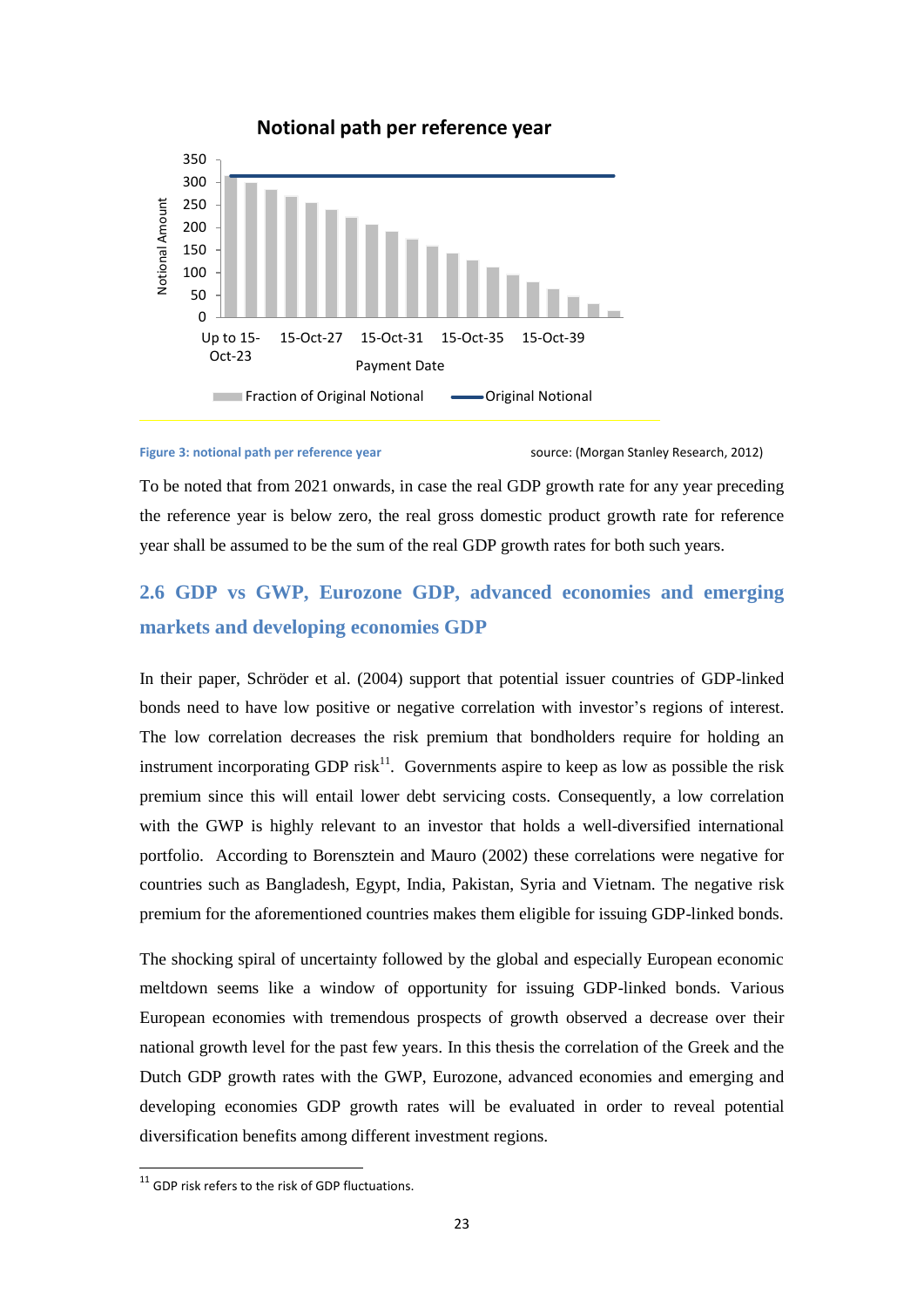

## **Notional path per reference year**

#### <span id="page-22-1"></span>**Figure 3: notional path per reference year standard and Standard Stanley Research, 2012)**

To be noted that from 2021 onwards, in case the real GDP growth rate for any year preceding the reference year is below zero, the real gross domestic product growth rate for reference year shall be assumed to be the sum of the real GDP growth rates for both such years.

## <span id="page-22-0"></span>**2.6 GDP vs GWP, Eurozone GDP, advanced economies and emerging markets and developing economies GDP**

In their paper, Schröder et al. (2004) support that potential issuer countries of GDP-linked bonds need to have low positive or negative correlation with investor's regions of interest. The low correlation decreases the risk premium that bondholders require for holding an instrument incorporating GDP risk<sup>11</sup>. Governments aspire to keep as low as possible the risk premium since this will entail lower debt servicing costs. Consequently, a low correlation with the GWP is highly relevant to an investor that holds a well-diversified international portfolio. According to Borensztein and Mauro (2002) these correlations were negative for countries such as Bangladesh, Egypt, India, Pakistan, Syria and Vietnam. The negative risk premium for the aforementioned countries makes them eligible for issuing GDP-linked bonds.

The shocking spiral of uncertainty followed by the global and especially European economic meltdown seems like a window of opportunity for issuing GDP-linked bonds. Various European economies with tremendous prospects of growth observed a decrease over their national growth level for the past few years. In this thesis the correlation of the Greek and the Dutch GDP growth rates with the GWP, Eurozone, advanced economies and emerging and developing economies GDP growth rates will be evaluated in order to reveal potential diversification benefits among different investment regions.

-

 $11$  GDP risk refers to the risk of GDP fluctuations.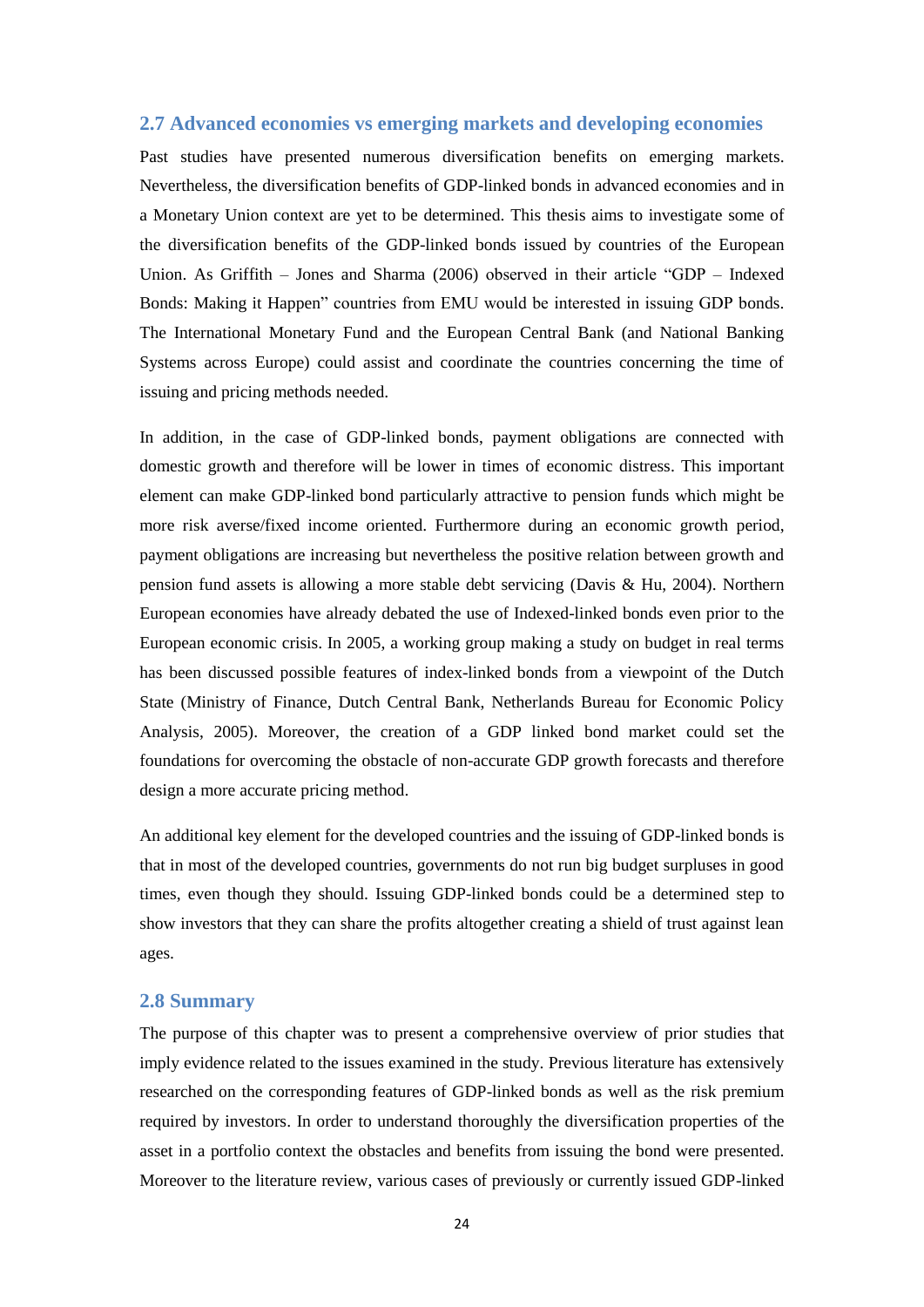## <span id="page-23-0"></span>**2.7 Advanced economies vs emerging markets and developing economies**

Past studies have presented numerous diversification benefits on emerging markets. Nevertheless, the diversification benefits of GDP-linked bonds in advanced economies and in a Monetary Union context are yet to be determined. This thesis aims to investigate some of the diversification benefits of the GDP-linked bonds issued by countries of the European Union. As Griffith – Jones and Sharma (2006) observed in their article "GDP – Indexed Bonds: Making it Happen" countries from EMU would be interested in issuing GDP bonds. The International Monetary Fund and the European Central Bank (and National Banking Systems across Europe) could assist and coordinate the countries concerning the time of issuing and pricing methods needed.

In addition, in the case of GDP-linked bonds, payment obligations are connected with domestic growth and therefore will be lower in times of economic distress. This important element can make GDP-linked bond particularly attractive to pension funds which might be more risk averse/fixed income oriented. Furthermore during an economic growth period, payment obligations are increasing but nevertheless the positive relation between growth and pension fund assets is allowing a more stable debt servicing (Davis & Hu, 2004). Northern European economies have already debated the use of Indexed-linked bonds even prior to the European economic crisis. In 2005, a working group making a study on budget in real terms has been discussed possible features of index-linked bonds from a viewpoint of the Dutch State (Ministry of Finance, Dutch Central Bank, Netherlands Bureau for Economic Policy Analysis, 2005). Moreover, the creation of a GDP linked bond market could set the foundations for overcoming the obstacle of non-accurate GDP growth forecasts and therefore design a more accurate pricing method.

An additional key element for the developed countries and the issuing of GDP-linked bonds is that in most of the developed countries, governments do not run big budget surpluses in good times, even though they should. Issuing GDP-linked bonds could be a determined step to show investors that they can share the profits altogether creating a shield of trust against lean ages.

## <span id="page-23-1"></span>**2.8 Summary**

The purpose of this chapter was to present a comprehensive overview of prior studies that imply evidence related to the issues examined in the study. Previous literature has extensively researched on the corresponding features of GDP-linked bonds as well as the risk premium required by investors. In order to understand thoroughly the diversification properties of the asset in a portfolio context the obstacles and benefits from issuing the bond were presented. Moreover to the literature review, various cases of previously or currently issued GDP-linked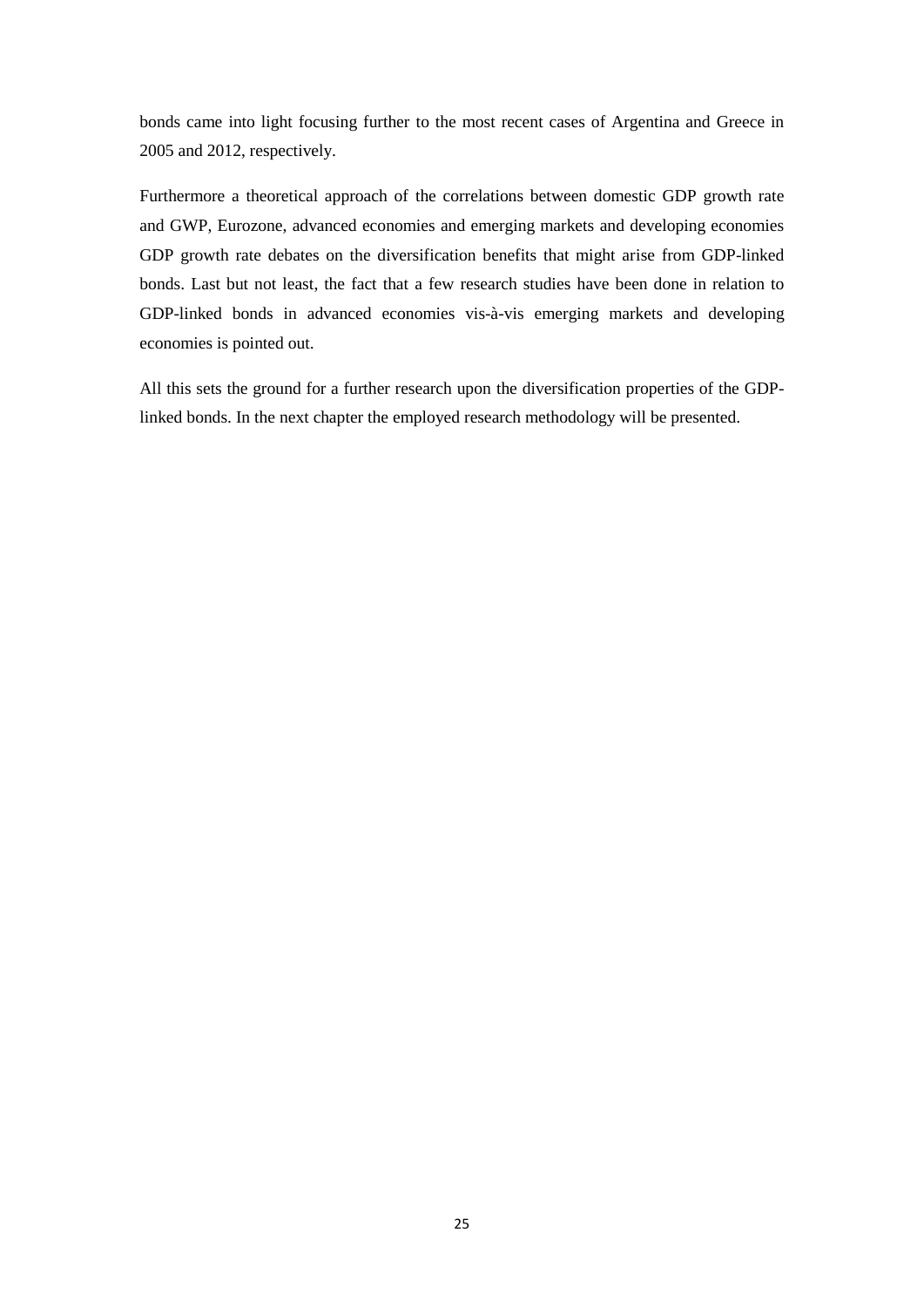bonds came into light focusing further to the most recent cases of Argentina and Greece in 2005 and 2012, respectively.

Furthermore a theoretical approach of the correlations between domestic GDP growth rate and GWP, Eurozone, advanced economies and emerging markets and developing economies GDP growth rate debates on the diversification benefits that might arise from GDP-linked bonds. Last but not least, the fact that a few research studies have been done in relation to GDP-linked bonds in advanced economies vis-à-vis emerging markets and developing economies is pointed out.

All this sets the ground for a further research upon the diversification properties of the GDPlinked bonds. In the next chapter the employed research methodology will be presented.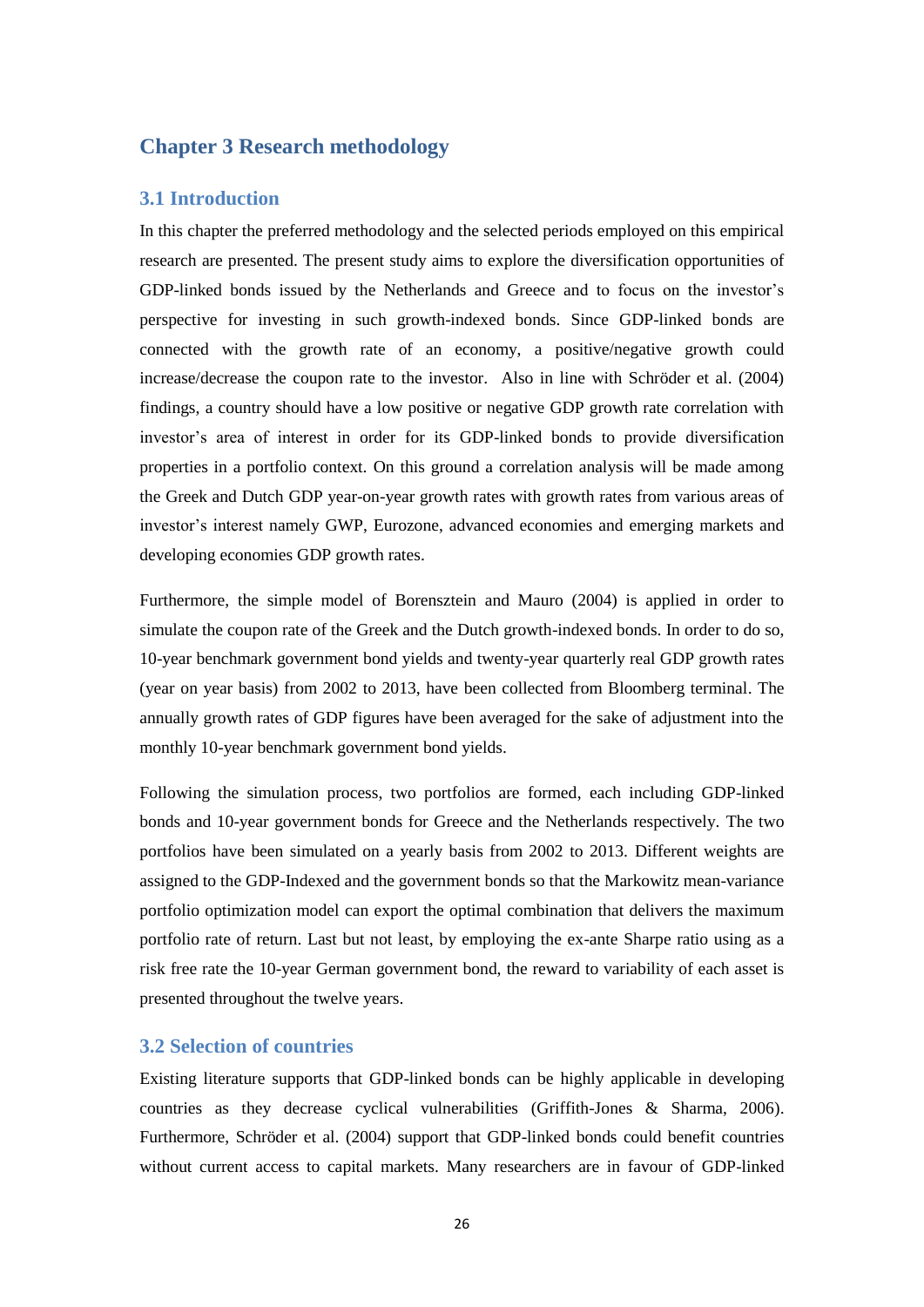## <span id="page-25-0"></span>**Chapter 3 Research methodology**

## <span id="page-25-1"></span>**3.1 Introduction**

In this chapter the preferred methodology and the selected periods employed on this empirical research are presented. The present study aims to explore the diversification opportunities of GDP-linked bonds issued by the Netherlands and Greece and to focus on the investor's perspective for investing in such growth-indexed bonds. Since GDP-linked bonds are connected with the growth rate of an economy, a positive/negative growth could increase/decrease the coupon rate to the investor. Also in line with Schröder et al. (2004) findings, a country should have a low positive or negative GDP growth rate correlation with investor's area of interest in order for its GDP-linked bonds to provide diversification properties in a portfolio context. On this ground a correlation analysis will be made among the Greek and Dutch GDP year-on-year growth rates with growth rates from various areas of investor's interest namely GWP, Eurozone, advanced economies and emerging markets and developing economies GDP growth rates.

Furthermore, the simple model of Borensztein and Mauro (2004) is applied in order to simulate the coupon rate of the Greek and the Dutch growth-indexed bonds. In order to do so, 10-year benchmark government bond yields and twenty-year quarterly real GDP growth rates (year on year basis) from 2002 to 2013, have been collected from Bloomberg terminal. The annually growth rates of GDP figures have been averaged for the sake of adjustment into the monthly 10-year benchmark government bond yields.

Following the simulation process, two portfolios are formed, each including GDP-linked bonds and 10-year government bonds for Greece and the Netherlands respectively. The two portfolios have been simulated on a yearly basis from 2002 to 2013. Different weights are assigned to the GDP-Indexed and the government bonds so that the Markowitz mean-variance portfolio optimization model can export the optimal combination that delivers the maximum portfolio rate of return. Last but not least, by employing the ex-ante Sharpe ratio using as a risk free rate the 10-year German government bond, the reward to variability of each asset is presented throughout the twelve years.

## <span id="page-25-2"></span>**3.2 Selection of countries**

Existing literature supports that GDP-linked bonds can be highly applicable in developing countries as they decrease cyclical vulnerabilities (Griffith-Jones & Sharma, 2006). Furthermore, Schröder et al. (2004) support that GDP-linked bonds could benefit countries without current access to capital markets. Many researchers are in favour of GDP-linked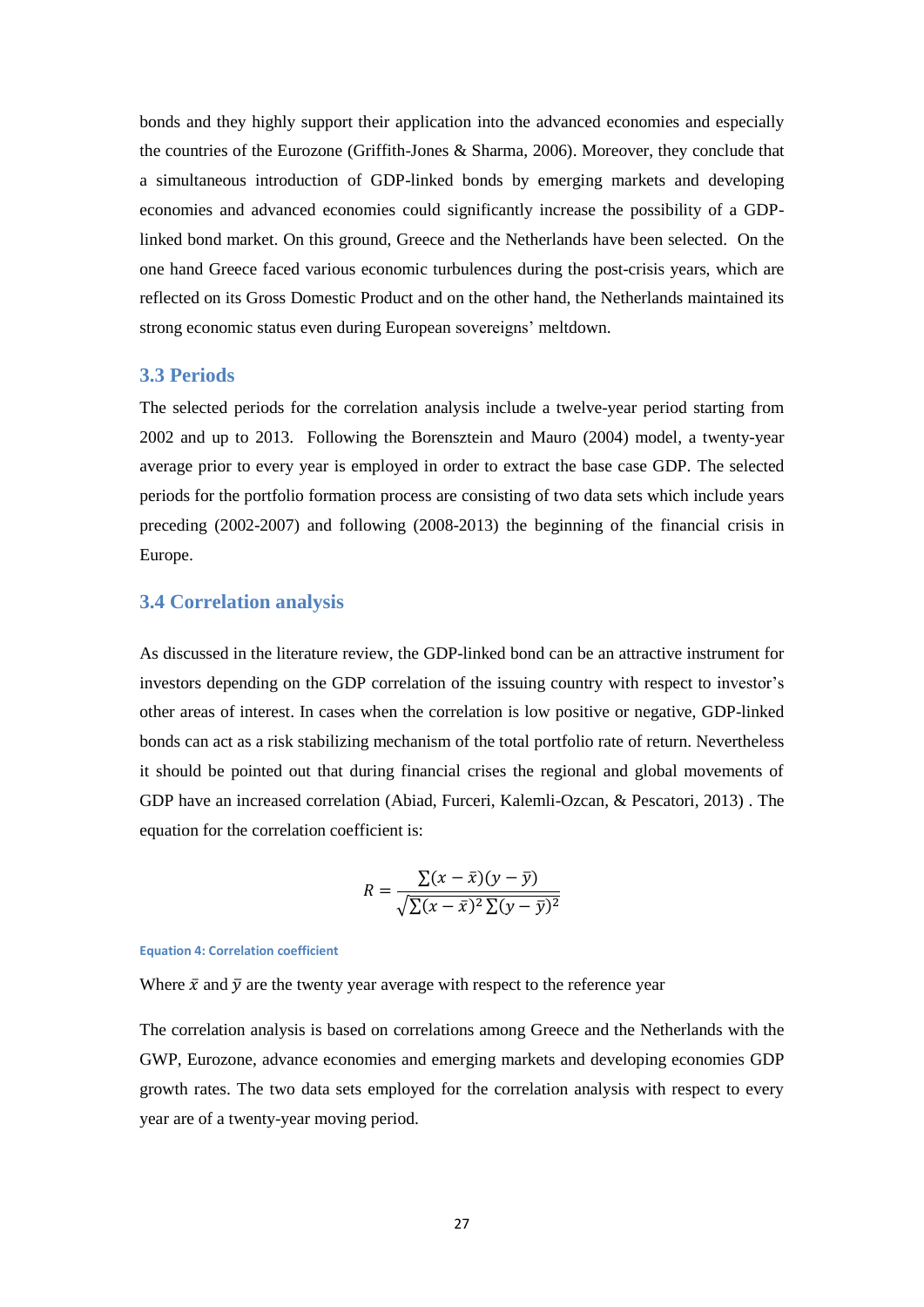bonds and they highly support their application into the advanced economies and especially the countries of the Eurozone (Griffith-Jones & Sharma, 2006). Moreover, they conclude that a simultaneous introduction of GDP-linked bonds by emerging markets and developing economies and advanced economies could significantly increase the possibility of a GDPlinked bond market. On this ground, Greece and the Netherlands have been selected. On the one hand Greece faced various economic turbulences during the post-crisis years, which are reflected on its Gross Domestic Product and on the other hand, the Netherlands maintained its strong economic status even during European sovereigns' meltdown.

## <span id="page-26-0"></span>**3.3 Periods**

The selected periods for the correlation analysis include a twelve-year period starting from 2002 and up to 2013. Following the Borensztein and Mauro (2004) model, a twenty-year average prior to every year is employed in order to extract the base case GDP. The selected periods for the portfolio formation process are consisting of two data sets which include years preceding (2002-2007) and following (2008-2013) the beginning of the financial crisis in Europe.

## <span id="page-26-1"></span>**3.4 Correlation analysis**

As discussed in the literature review, the GDP-linked bond can be an attractive instrument for investors depending on the GDP correlation of the issuing country with respect to investor's other areas of interest. In cases when the correlation is low positive or negative, GDP-linked bonds can act as a risk stabilizing mechanism of the total portfolio rate of return. Nevertheless it should be pointed out that during financial crises the regional and global movements of GDP have an increased correlation (Abiad, Furceri, Kalemli-Ozcan, & Pescatori, 2013) . The equation for the correlation coefficient is:

$$
R = \frac{\sum (x - \bar{x})(y - \bar{y})}{\sqrt{\sum (x - \bar{x})^2 \sum (y - \bar{y})^2}}
$$

#### <span id="page-26-2"></span>**Equation 4: Correlation coefficient**

Where  $\bar{x}$  and  $\bar{y}$  are the twenty year average with respect to the reference year

The correlation analysis is based on correlations among Greece and the Netherlands with the GWP, Eurozone, advance economies and emerging markets and developing economies GDP growth rates. The two data sets employed for the correlation analysis with respect to every year are of a twenty-year moving period.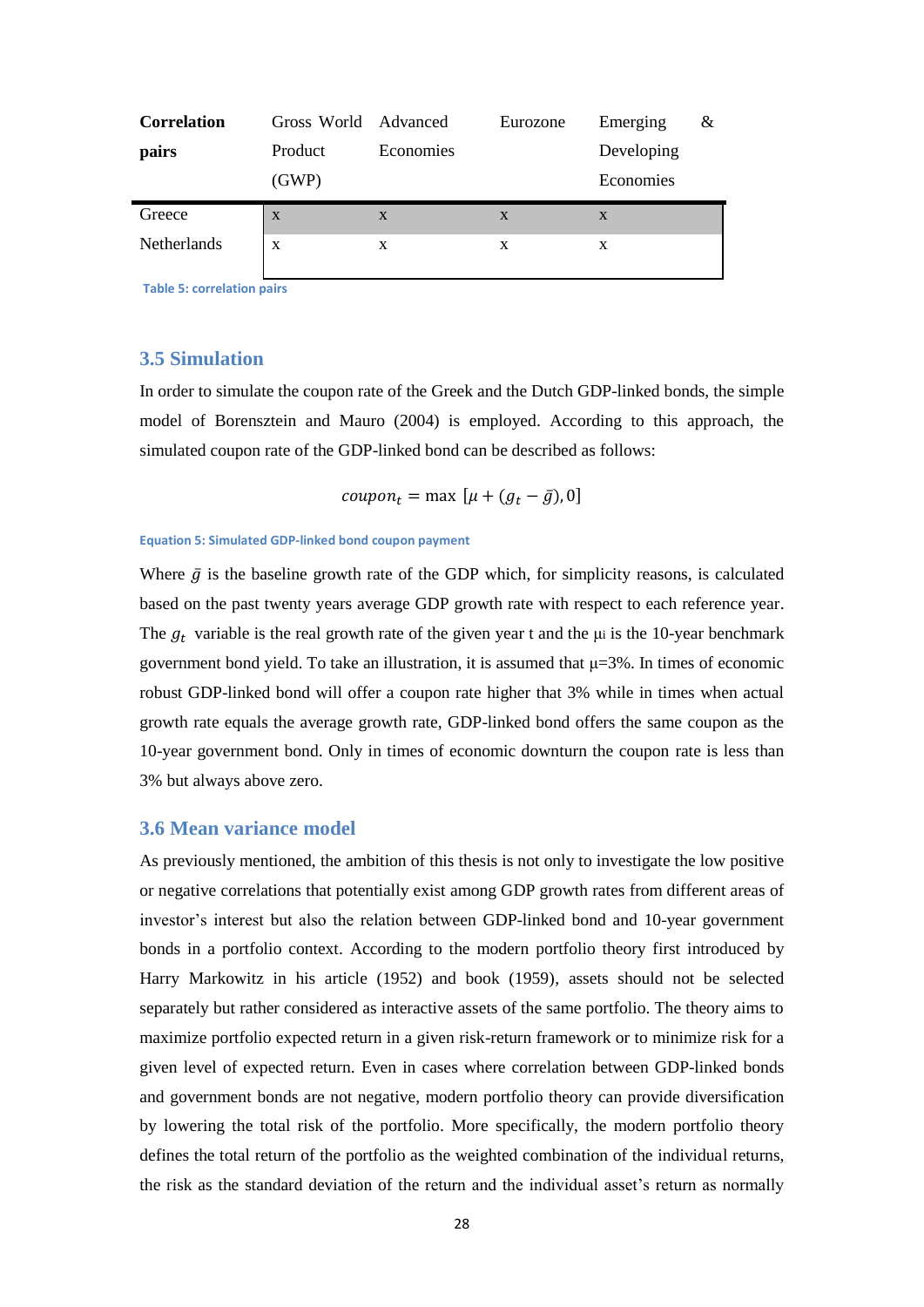| <b>Correlation</b> | Gross World Advanced |           | Eurozone     | Emerging   | & |
|--------------------|----------------------|-----------|--------------|------------|---|
| pairs              | Product              | Economies |              | Developing |   |
|                    | (GWP)                |           |              | Economies  |   |
| Greece             | X                    | X         | $\mathbf{x}$ | X          |   |
| <b>Netherlands</b> | X                    | X         | X            | X          |   |
|                    |                      |           |              |            |   |

<span id="page-27-3"></span>**Table 5: correlation pairs**

## <span id="page-27-0"></span>**3.5 Simulation**

In order to simulate the coupon rate of the Greek and the Dutch GDP-linked bonds, the simple model of Borensztein and Mauro (2004) is employed. According to this approach, the simulated coupon rate of the GDP-linked bond can be described as follows:

$$
coupon_t = \max [\mu + (g_t - \bar{g}), 0]
$$

#### <span id="page-27-2"></span>**Equation 5: Simulated GDP-linked bond coupon payment**

Where  $\bar{g}$  is the baseline growth rate of the GDP which, for simplicity reasons, is calculated based on the past twenty years average GDP growth rate with respect to each reference year. The  $g_t$  variable is the real growth rate of the given year t and the  $\mu$  is the 10-year benchmark government bond yield. To take an illustration, it is assumed that  $\mu = 3\%$ . In times of economic robust GDP-linked bond will offer a coupon rate higher that 3% while in times when actual growth rate equals the average growth rate, GDP-linked bond offers the same coupon as the 10-year government bond. Only in times of economic downturn the coupon rate is less than 3% but always above zero.

## <span id="page-27-1"></span>**3.6 Mean variance model**

As previously mentioned, the ambition of this thesis is not only to investigate the low positive or negative correlations that potentially exist among GDP growth rates from different areas of investor's interest but also the relation between GDP-linked bond and 10-year government bonds in a portfolio context. According to the modern portfolio theory first introduced by Harry Markowitz in his article (1952) and book (1959), assets should not be selected separately but rather considered as interactive assets of the same portfolio. The theory aims to maximize portfolio expected return in a given risk-return framework or to minimize risk for a given level of expected return. Even in cases where correlation between GDP-linked bonds and government bonds are not negative, modern portfolio theory can provide diversification by lowering the total risk of the portfolio. More specifically, the modern portfolio theory defines the total return of the portfolio as the weighted combination of the individual returns, the risk as the standard deviation of the return and the individual asset's return as normally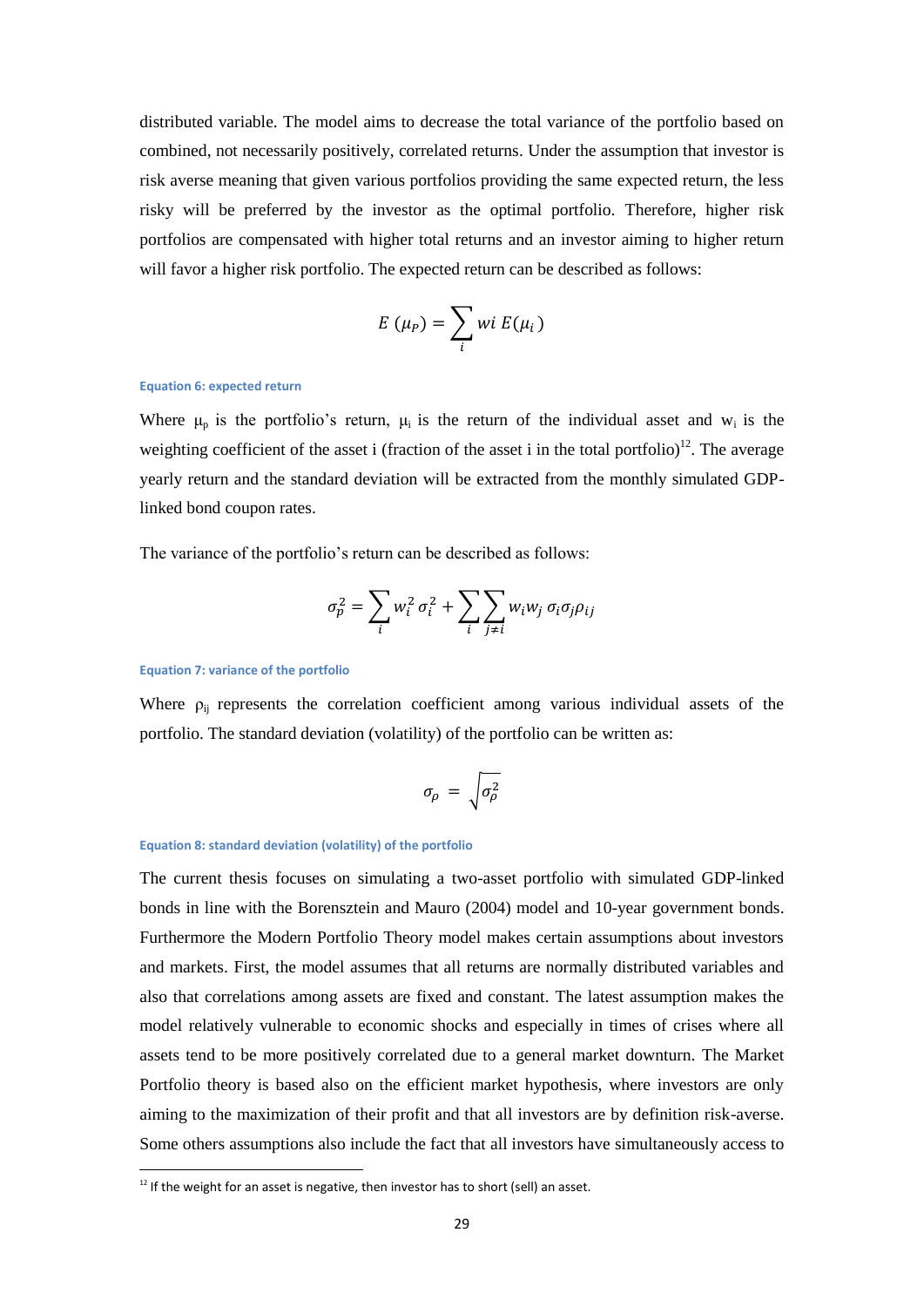distributed variable. The model aims to decrease the total variance of the portfolio based on combined, not necessarily positively, correlated returns. Under the assumption that investor is risk averse meaning that given various portfolios providing the same expected return, the less risky will be preferred by the investor as the optimal portfolio. Therefore, higher risk portfolios are compensated with higher total returns and an investor aiming to higher return will favor a higher risk portfolio. The expected return can be described as follows:

$$
E(\mu_P) = \sum_i wi E(\mu_i)
$$

#### <span id="page-28-0"></span>**Equation 6: expected return**

Where  $\mu_p$  is the portfolio's return,  $\mu_i$  is the return of the individual asset and w<sub>i</sub> is the weighting coefficient of the asset i (fraction of the asset i in the total portfolio)<sup>12</sup>. The average yearly return and the standard deviation will be extracted from the monthly simulated GDPlinked bond coupon rates.

The variance of the portfolio's return can be described as follows:

$$
\sigma_p^2 = \sum_i w_i^2 \sigma_i^2 + \sum_i \sum_{j \neq i} w_i w_j \sigma_i \sigma_j \rho_{ij}
$$

#### <span id="page-28-1"></span>**Equation 7: variance of the portfolio**

<u>.</u>

Where  $\rho_{ij}$  represents the correlation coefficient among various individual assets of the portfolio. The standard deviation (volatility) of the portfolio can be written as:

$$
\sigma_{\!\rho}\,=\,\sqrt{\sigma_{\!\rho}^2}
$$

#### <span id="page-28-2"></span>**Equation 8: standard deviation (volatility) of the portfolio**

The current thesis focuses on simulating a two-asset portfolio with simulated GDP-linked bonds in line with the Borensztein and Mauro (2004) model and 10-year government bonds. Furthermore the Modern Portfolio Theory model makes certain assumptions about investors and markets. First, the model assumes that all returns are normally distributed variables and also that correlations among assets are fixed and constant. The latest assumption makes the model relatively vulnerable to economic shocks and especially in times of crises where all assets tend to be more positively correlated due to a general market downturn. The Market Portfolio theory is based also on the efficient market hypothesis, where investors are only aiming to the maximization of their profit and that all investors are by definition risk-averse. Some others assumptions also include the fact that all investors have simultaneously access to

 $12$  If the weight for an asset is negative, then investor has to short (sell) an asset.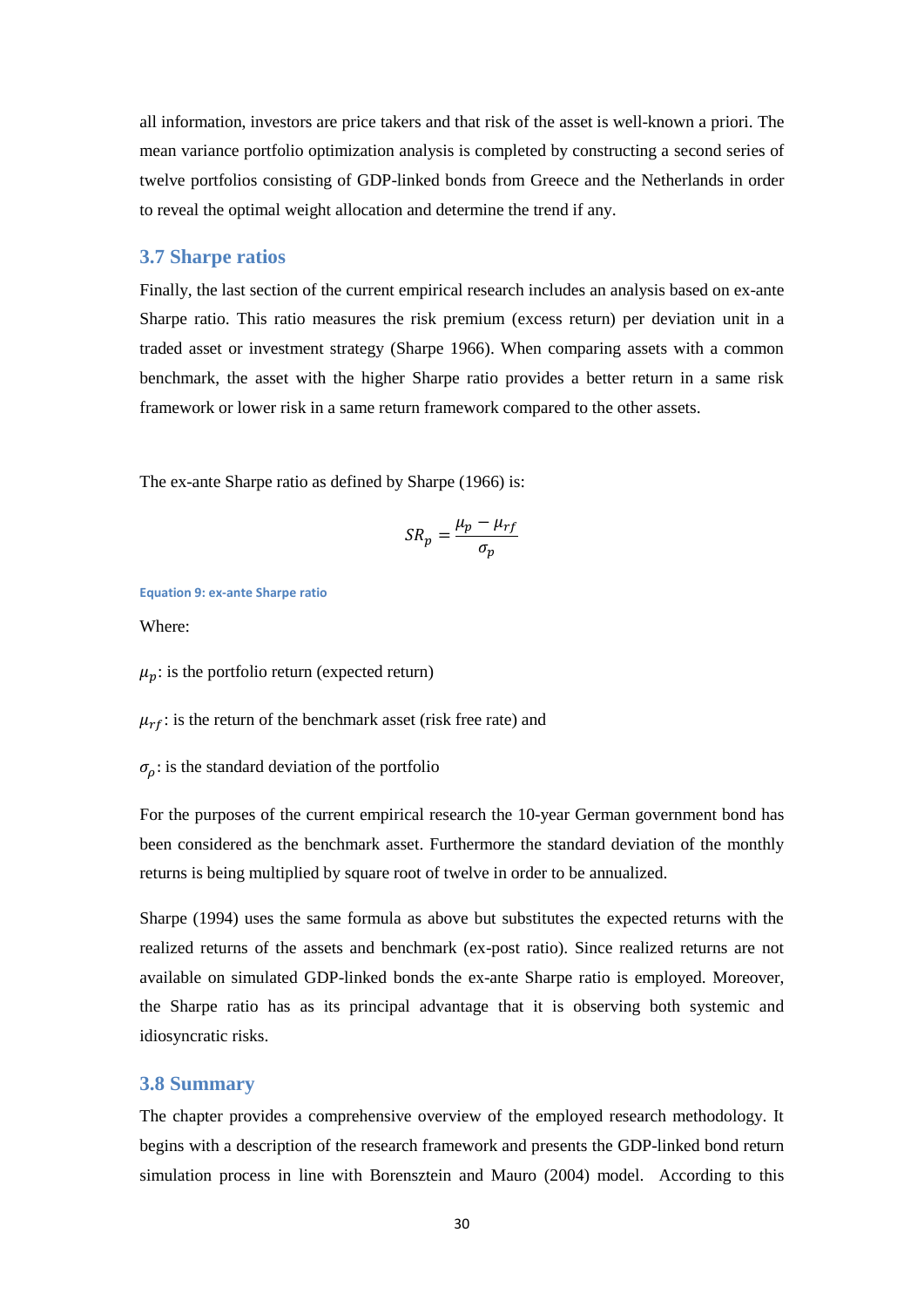all information, investors are price takers and that risk of the asset is well-known a priori. The mean variance portfolio optimization analysis is completed by constructing a second series of twelve portfolios consisting of GDP-linked bonds from Greece and the Netherlands in order to reveal the optimal weight allocation and determine the trend if any.

#### <span id="page-29-0"></span>**3.7 Sharpe ratios**

Finally, the last section of the current empirical research includes an analysis based on ex-ante Sharpe ratio. This ratio measures the risk premium (excess return) per deviation unit in a traded asset or investment strategy (Sharpe 1966). When comparing assets with a common benchmark, the asset with the higher Sharpe ratio provides a better return in a same risk framework or lower risk in a same return framework compared to the other assets.

The ex-ante Sharpe ratio as defined by Sharpe (1966) is:

$$
SR_p = \frac{\mu_p - \mu_{rf}}{\sigma_p}
$$

<span id="page-29-2"></span>**Equation 9: ex-ante Sharpe ratio**

Where:

 $\mu_n$ : is the portfolio return (expected return)

 $\mu_{rf}$ : is the return of the benchmark asset (risk free rate) and

 $\sigma_{\rho}$ : is the standard deviation of the portfolio

For the purposes of the current empirical research the 10-year German government bond has been considered as the benchmark asset. Furthermore the standard deviation of the monthly returns is being multiplied by square root of twelve in order to be annualized.

Sharpe (1994) uses the same formula as above but substitutes the expected returns with the realized returns of the assets and benchmark (ex-post ratio). Since realized returns are not available on simulated GDP-linked bonds the ex-ante Sharpe ratio is employed. Moreover, the Sharpe ratio has as its principal advantage that it is observing both systemic and idiosyncratic risks.

### <span id="page-29-1"></span>**3.8 Summary**

The chapter provides a comprehensive overview of the employed research methodology. It begins with a description of the research framework and presents the GDP-linked bond return simulation process in line with Borensztein and Mauro (2004) model. According to this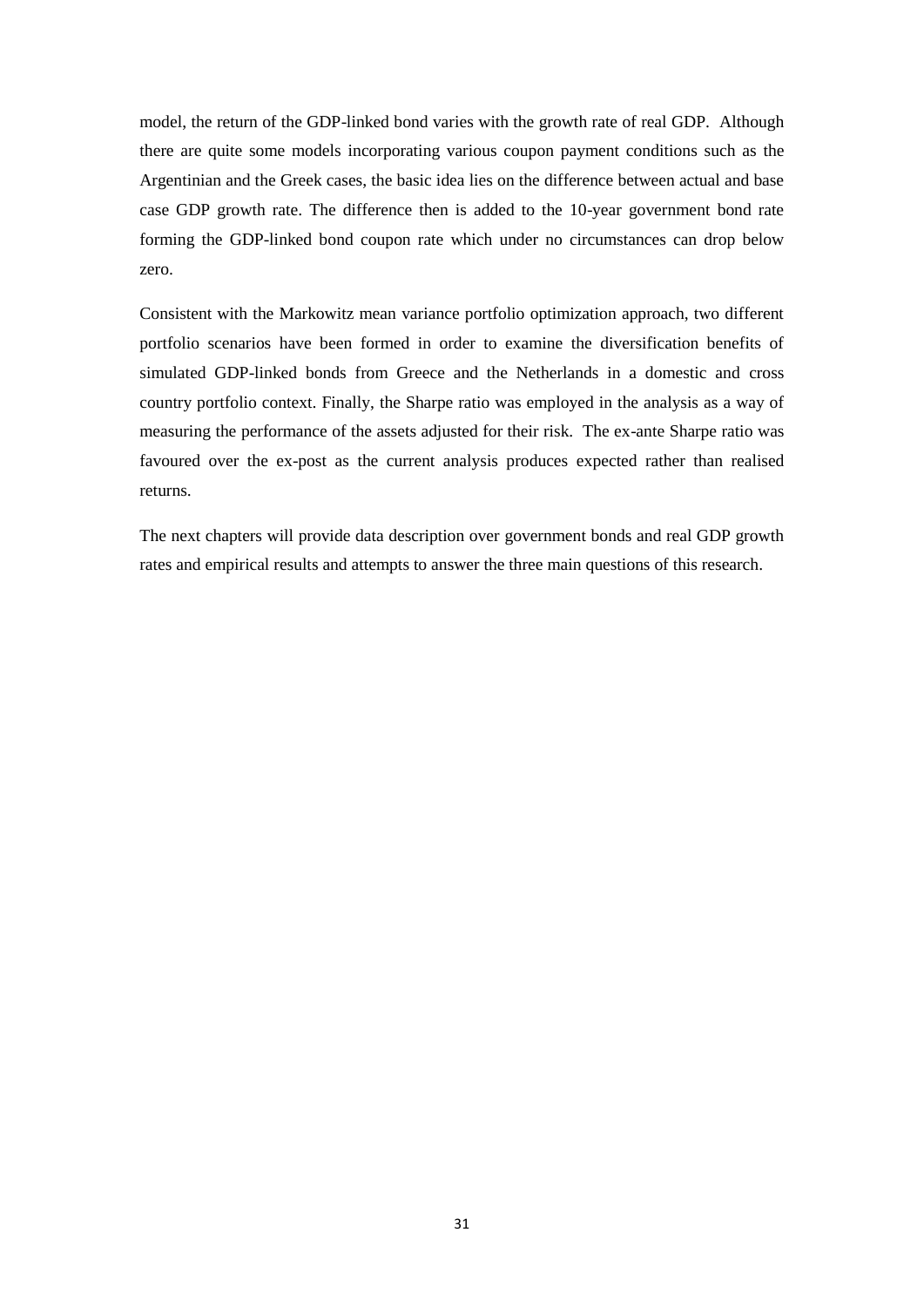model, the return of the GDP-linked bond varies with the growth rate of real GDP. Although there are quite some models incorporating various coupon payment conditions such as the Argentinian and the Greek cases, the basic idea lies on the difference between actual and base case GDP growth rate. The difference then is added to the 10-year government bond rate forming the GDP-linked bond coupon rate which under no circumstances can drop below zero.

Consistent with the Markowitz mean variance portfolio optimization approach, two different portfolio scenarios have been formed in order to examine the diversification benefits of simulated GDP-linked bonds from Greece and the Netherlands in a domestic and cross country portfolio context. Finally, the Sharpe ratio was employed in the analysis as a way of measuring the performance of the assets adjusted for their risk. The ex-ante Sharpe ratio was favoured over the ex-post as the current analysis produces expected rather than realised returns.

The next chapters will provide data description over government bonds and real GDP growth rates and empirical results and attempts to answer the three main questions of this research.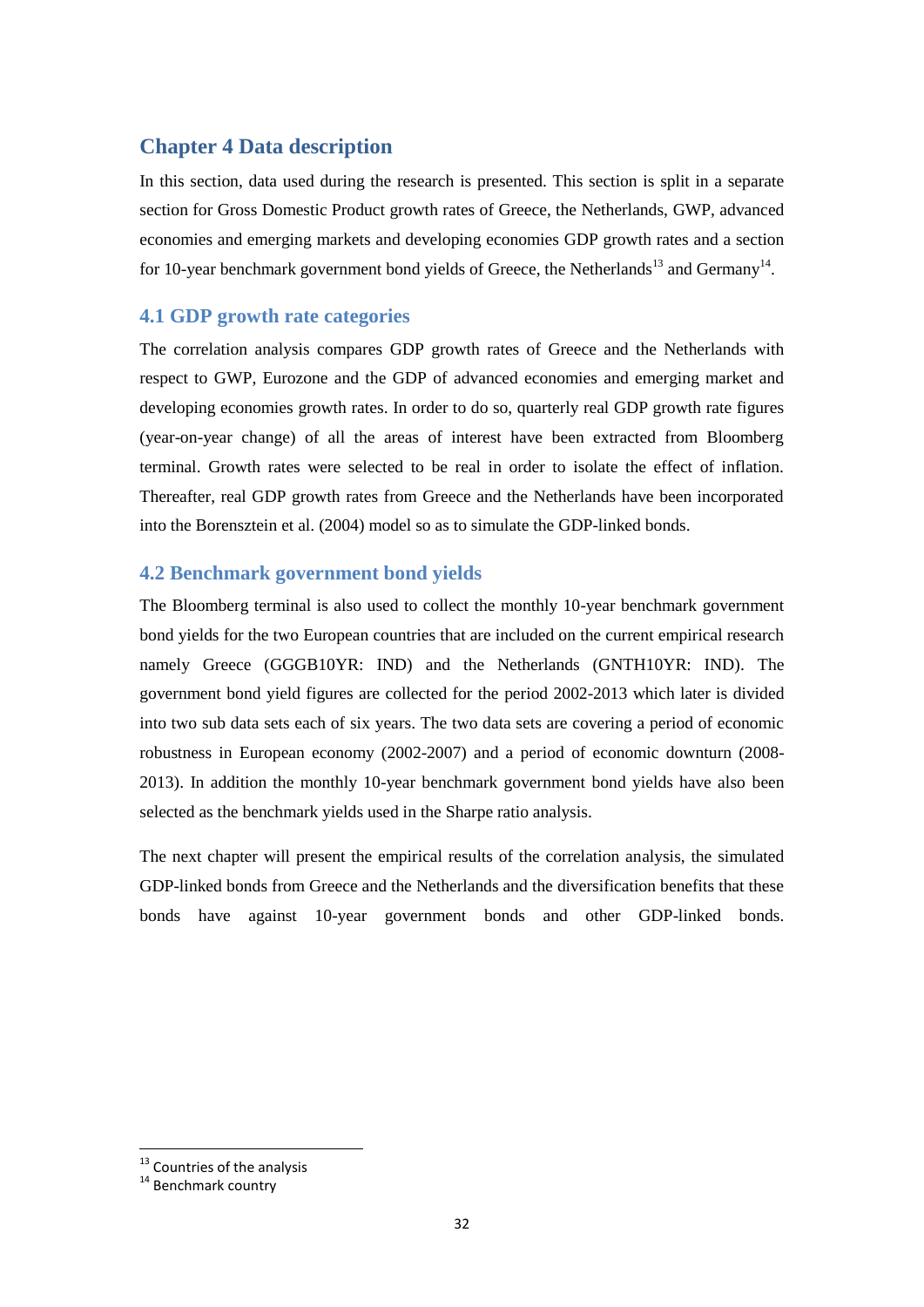## <span id="page-31-0"></span>**Chapter 4 Data description**

In this section, data used during the research is presented. This section is split in a separate section for Gross Domestic Product growth rates of Greece, the Netherlands, GWP, advanced economies and emerging markets and developing economies GDP growth rates and a section for 10-year benchmark government bond yields of Greece, the Netherlands<sup>13</sup> and Germany<sup>14</sup>.

## <span id="page-31-1"></span>**4.1 GDP growth rate categories**

The correlation analysis compares GDP growth rates of Greece and the Netherlands with respect to GWP, Eurozone and the GDP of advanced economies and emerging market and developing economies growth rates. In order to do so, quarterly real GDP growth rate figures (year-on-year change) of all the areas of interest have been extracted from Bloomberg terminal. Growth rates were selected to be real in order to isolate the effect of inflation. Thereafter, real GDP growth rates from Greece and the Netherlands have been incorporated into the Borensztein et al. (2004) model so as to simulate the GDP-linked bonds.

## <span id="page-31-2"></span>**4.2 Benchmark government bond yields**

The Bloomberg terminal is also used to collect the monthly 10-year benchmark government bond yields for the two European countries that are included on the current empirical research namely Greece (GGGB10YR: IND) and the Netherlands (GNTH10YR: IND). The government bond yield figures are collected for the period 2002-2013 which later is divided into two sub data sets each of six years. The two data sets are covering a period of economic robustness in European economy (2002-2007) and a period of economic downturn (2008- 2013). In addition the monthly 10-year benchmark government bond yields have also been selected as the benchmark yields used in the Sharpe ratio analysis.

The next chapter will present the empirical results of the correlation analysis, the simulated GDP-linked bonds from Greece and the Netherlands and the diversification benefits that these bonds have against 10-year government bonds and other GDP-linked bonds.

<u>.</u>

<sup>&</sup>lt;sup>13</sup> Countries of the analysis

<sup>&</sup>lt;sup>14</sup> Benchmark country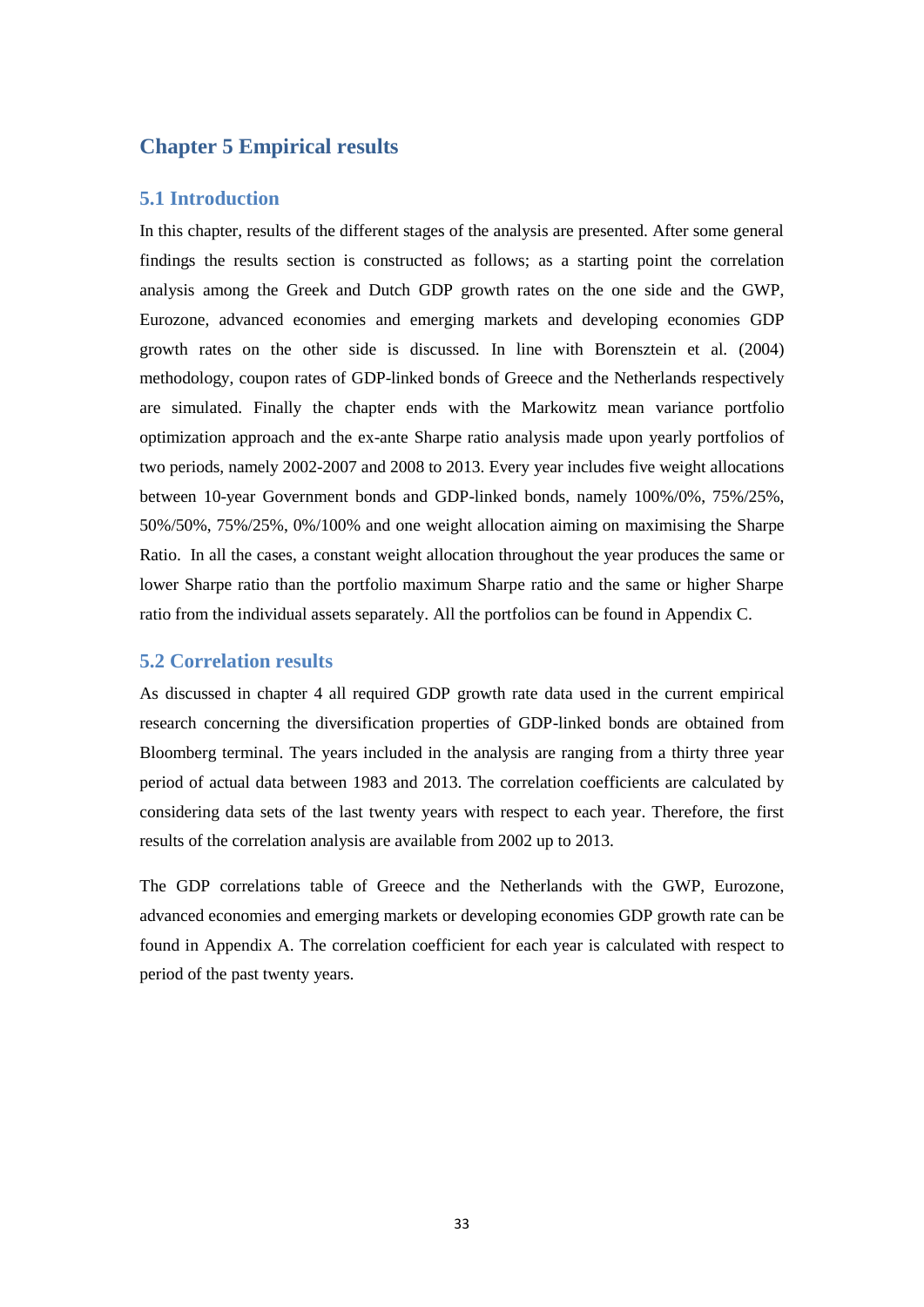## <span id="page-32-0"></span>**Chapter 5 Empirical results**

## <span id="page-32-1"></span>**5.1 Introduction**

In this chapter, results of the different stages of the analysis are presented. After some general findings the results section is constructed as follows; as a starting point the correlation analysis among the Greek and Dutch GDP growth rates on the one side and the GWP, Eurozone, advanced economies and emerging markets and developing economies GDP growth rates on the other side is discussed. In line with Borensztein et al. (2004) methodology, coupon rates of GDP-linked bonds of Greece and the Netherlands respectively are simulated. Finally the chapter ends with the Markowitz mean variance portfolio optimization approach and the ex-ante Sharpe ratio analysis made upon yearly portfolios of two periods, namely 2002-2007 and 2008 to 2013. Every year includes five weight allocations between 10-year Government bonds and GDP-linked bonds, namely 100%/0%, 75%/25%, 50%/50%, 75%/25%, 0%/100% and one weight allocation aiming on maximising the Sharpe Ratio. In all the cases, a constant weight allocation throughout the year produces the same or lower Sharpe ratio than the portfolio maximum Sharpe ratio and the same or higher Sharpe ratio from the individual assets separately. All the portfolios can be found in Appendix C.

### <span id="page-32-2"></span>**5.2 Correlation results**

As discussed in chapter 4 all required GDP growth rate data used in the current empirical research concerning the diversification properties of GDP-linked bonds are obtained from Bloomberg terminal. The years included in the analysis are ranging from a thirty three year period of actual data between 1983 and 2013. The correlation coefficients are calculated by considering data sets of the last twenty years with respect to each year. Therefore, the first results of the correlation analysis are available from 2002 up to 2013.

The GDP correlations table of Greece and the Netherlands with the GWP, Eurozone, advanced economies and emerging markets or developing economies GDP growth rate can be found in Appendix A. The correlation coefficient for each year is calculated with respect to period of the past twenty years.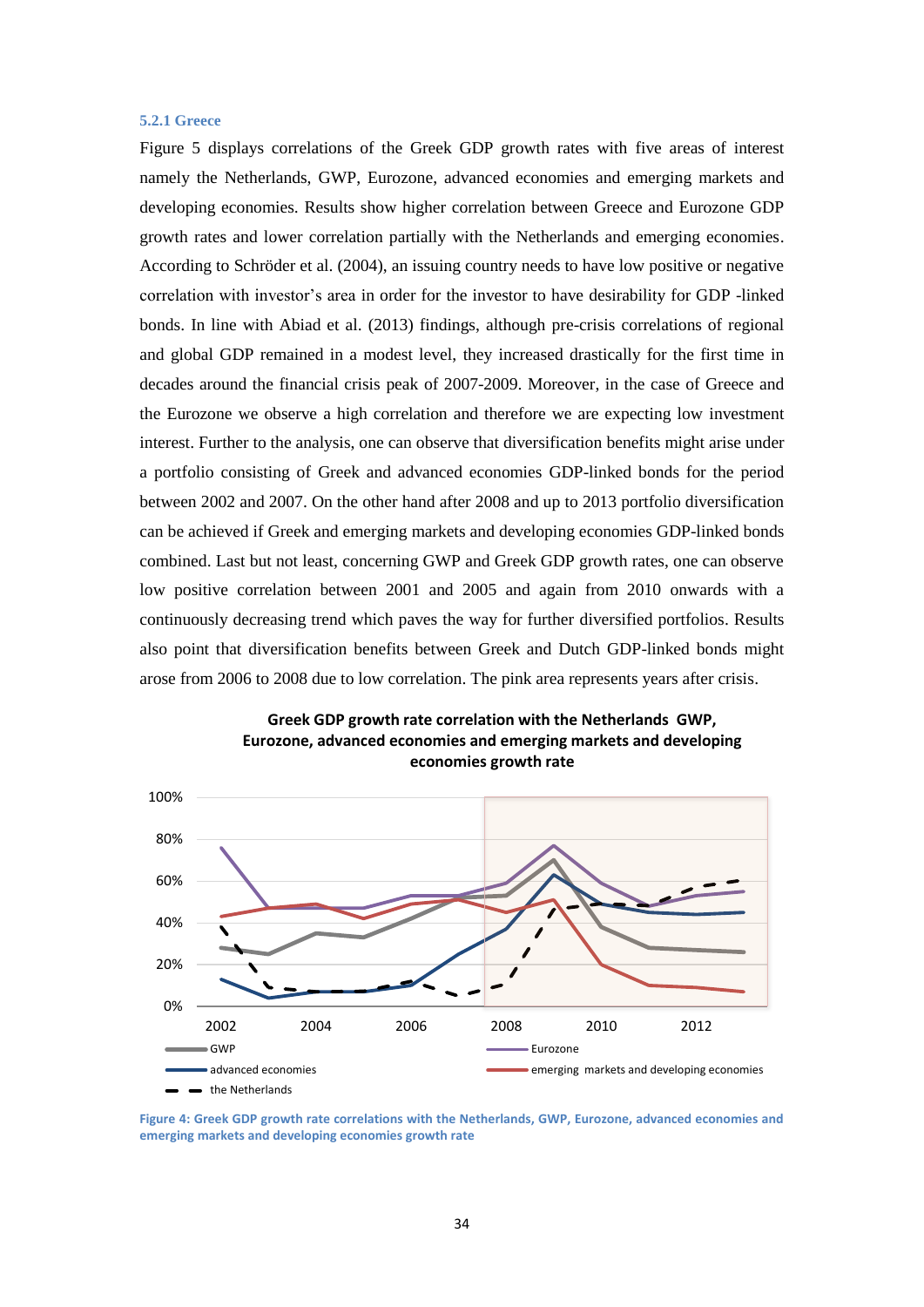#### <span id="page-33-0"></span>**5.2.1 Greece**

Figure 5 displays correlations of the Greek GDP growth rates with five areas of interest namely the Netherlands, GWP, Eurozone, advanced economies and emerging markets and developing economies. Results show higher correlation between Greece and Eurozone GDP growth rates and lower correlation partially with the Netherlands and emerging economies. According to Schröder et al. (2004), an issuing country needs to have low positive or negative correlation with investor's area in order for the investor to have desirability for GDP -linked bonds. In line with Abiad et al. (2013) findings, although pre-crisis correlations of regional and global GDP remained in a modest level, they increased drastically for the first time in decades around the financial crisis peak of 2007-2009. Moreover, in the case of Greece and the Eurozone we observe a high correlation and therefore we are expecting low investment interest. Further to the analysis, one can observe that diversification benefits might arise under a portfolio consisting of Greek and advanced economies GDP-linked bonds for the period between 2002 and 2007. On the other hand after 2008 and up to 2013 portfolio diversification can be achieved if Greek and emerging markets and developing economies GDP-linked bonds combined. Last but not least, concerning GWP and Greek GDP growth rates, one can observe low positive correlation between 2001 and 2005 and again from 2010 onwards with a continuously decreasing trend which paves the way for further diversified portfolios. Results also point that diversification benefits between Greek and Dutch GDP-linked bonds might arose from 2006 to 2008 due to low correlation. The pink area represents years after crisis.





<span id="page-33-1"></span>**Figure 4: Greek GDP growth rate correlations with the Netherlands, GWP, Eurozone, advanced economies and emerging markets and developing economies growth rate**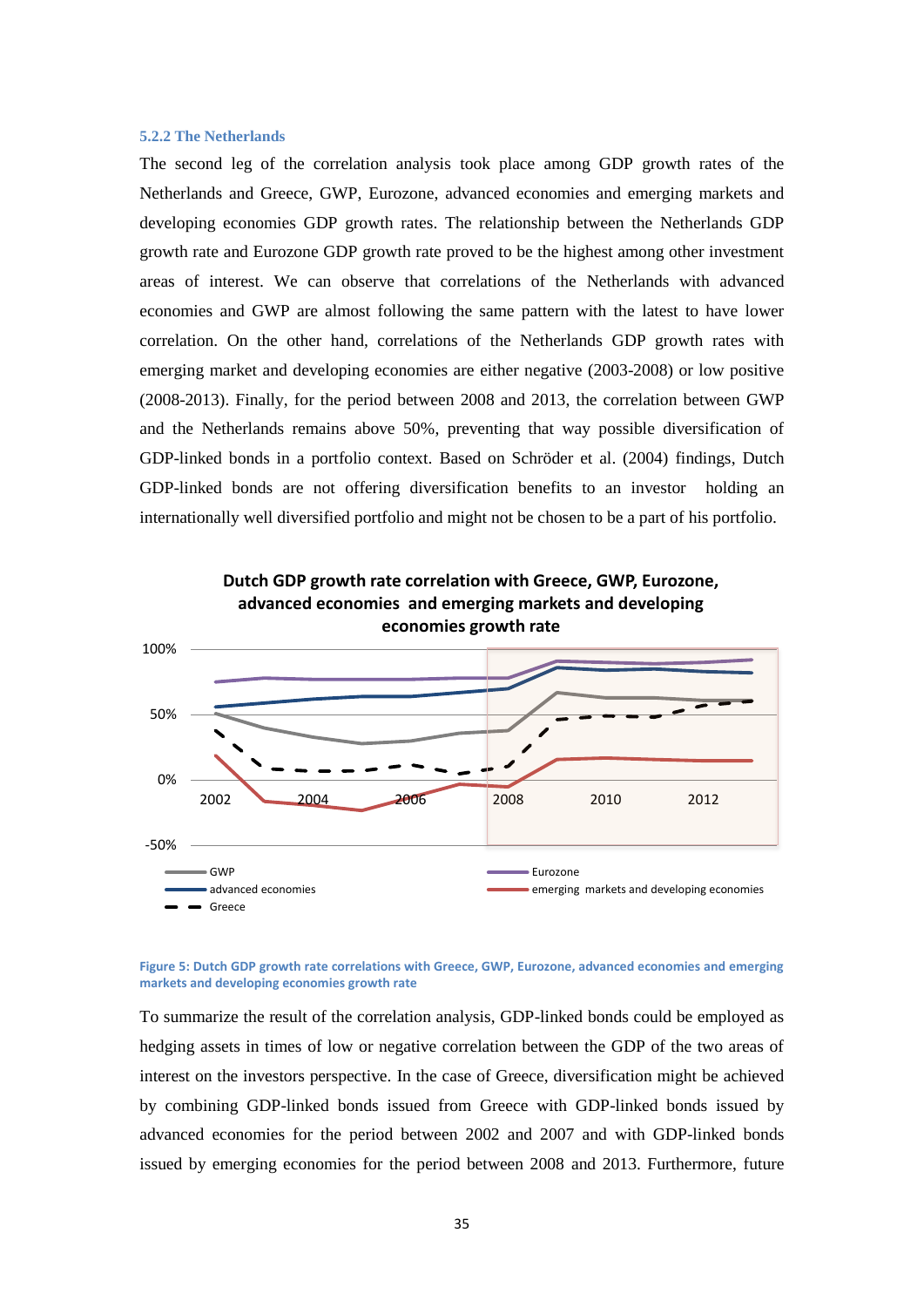#### <span id="page-34-0"></span>**5.2.2 The Netherlands**

The second leg of the correlation analysis took place among GDP growth rates of the Netherlands and Greece, GWP, Eurozone, advanced economies and emerging markets and developing economies GDP growth rates. The relationship between the Netherlands GDP growth rate and Eurozone GDP growth rate proved to be the highest among other investment areas of interest. We can observe that correlations of the Netherlands with advanced economies and GWP are almost following the same pattern with the latest to have lower correlation. On the other hand, correlations of the Netherlands GDP growth rates with emerging market and developing economies are either negative (2003-2008) or low positive (2008-2013). Finally, for the period between 2008 and 2013, the correlation between GWP and the Netherlands remains above 50%, preventing that way possible diversification of GDP-linked bonds in a portfolio context. Based on Schröder et al. (2004) findings, Dutch GDP-linked bonds are not offering diversification benefits to an investor holding an internationally well diversified portfolio and might not be chosen to be a part of his portfolio.



#### <span id="page-34-1"></span>**Figure 5: Dutch GDP growth rate correlations with Greece, GWP, Eurozone, advanced economies and emerging markets and developing economies growth rate**

To summarize the result of the correlation analysis, GDP-linked bonds could be employed as hedging assets in times of low or negative correlation between the GDP of the two areas of interest on the investors perspective. In the case of Greece, diversification might be achieved by combining GDP-linked bonds issued from Greece with GDP-linked bonds issued by advanced economies for the period between 2002 and 2007 and with GDP-linked bonds issued by emerging economies for the period between 2008 and 2013. Furthermore, future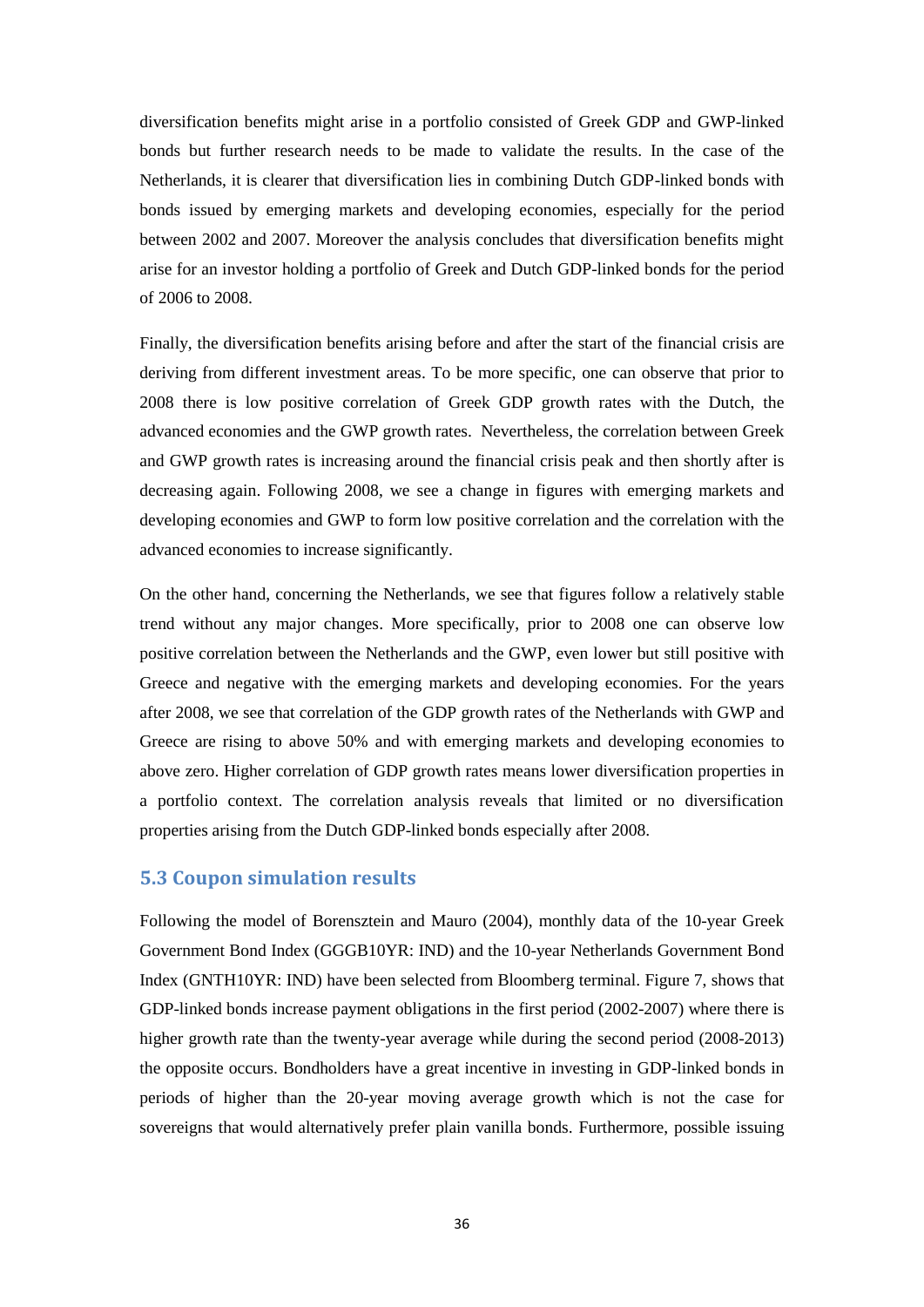diversification benefits might arise in a portfolio consisted of Greek GDP and GWP-linked bonds but further research needs to be made to validate the results. In the case of the Netherlands, it is clearer that diversification lies in combining Dutch GDP-linked bonds with bonds issued by emerging markets and developing economies, especially for the period between 2002 and 2007. Moreover the analysis concludes that diversification benefits might arise for an investor holding a portfolio of Greek and Dutch GDP-linked bonds for the period of 2006 to 2008.

Finally, the diversification benefits arising before and after the start of the financial crisis are deriving from different investment areas. To be more specific, one can observe that prior to 2008 there is low positive correlation of Greek GDP growth rates with the Dutch, the advanced economies and the GWP growth rates. Nevertheless, the correlation between Greek and GWP growth rates is increasing around the financial crisis peak and then shortly after is decreasing again. Following 2008, we see a change in figures with emerging markets and developing economies and GWP to form low positive correlation and the correlation with the advanced economies to increase significantly.

On the other hand, concerning the Netherlands, we see that figures follow a relatively stable trend without any major changes. More specifically, prior to 2008 one can observe low positive correlation between the Netherlands and the GWP, even lower but still positive with Greece and negative with the emerging markets and developing economies. For the years after 2008, we see that correlation of the GDP growth rates of the Netherlands with GWP and Greece are rising to above 50% and with emerging markets and developing economies to above zero. Higher correlation of GDP growth rates means lower diversification properties in a portfolio context. The correlation analysis reveals that limited or no diversification properties arising from the Dutch GDP-linked bonds especially after 2008.

## <span id="page-35-0"></span>**5.3 Coupon simulation results**

Following the model of Borensztein and Mauro (2004), monthly data of the 10-year Greek Government Bond Index (GGGB10YR: IND) and the 10-year Netherlands Government Bond Index (GNTH10YR: IND) have been selected from Bloomberg terminal. Figure 7, shows that GDP-linked bonds increase payment obligations in the first period (2002-2007) where there is higher growth rate than the twenty-year average while during the second period (2008-2013) the opposite occurs. Bondholders have a great incentive in investing in GDP-linked bonds in periods of higher than the 20-year moving average growth which is not the case for sovereigns that would alternatively prefer plain vanilla bonds. Furthermore, possible issuing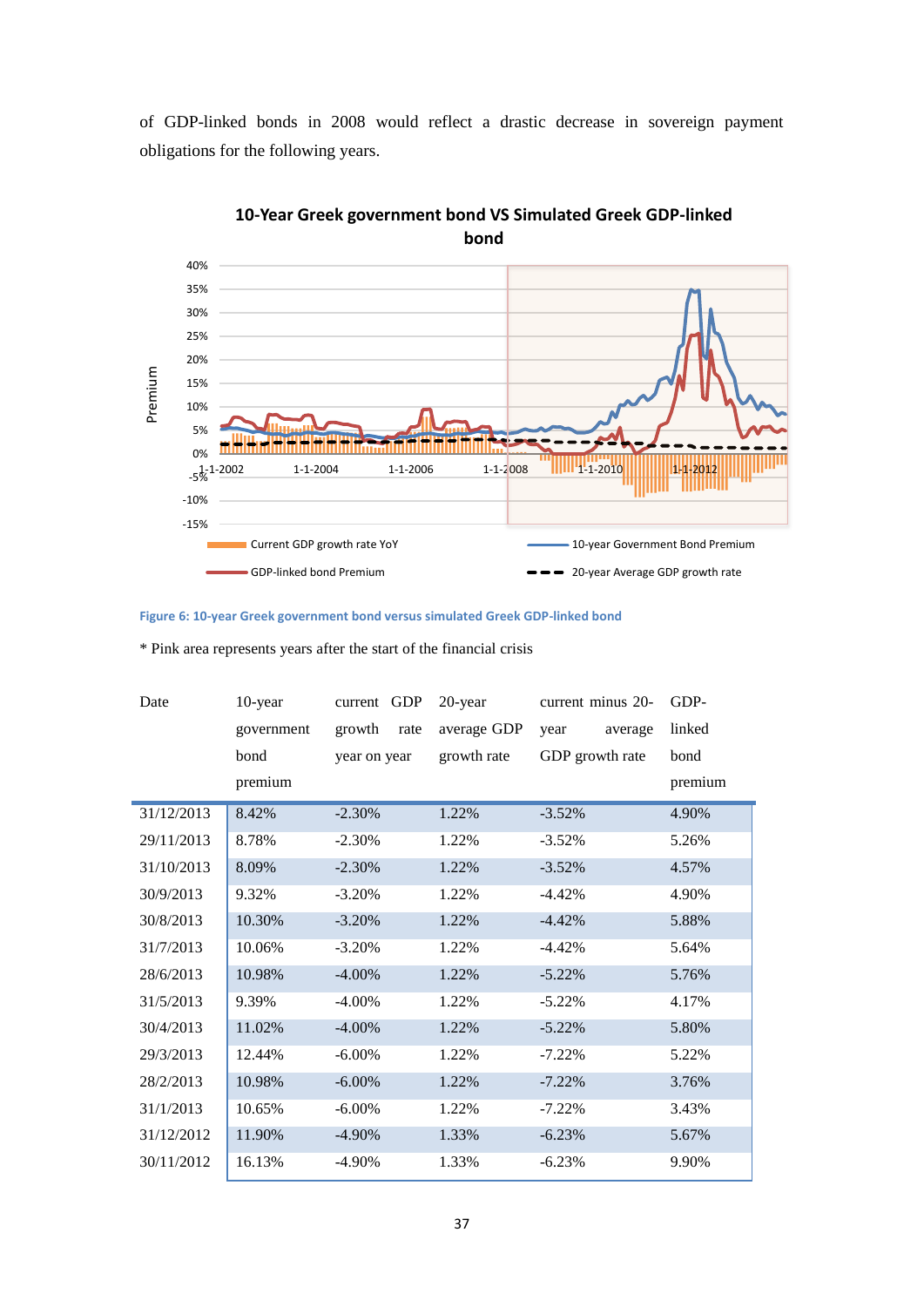of GDP-linked bonds in 2008 would reflect a drastic decrease in sovereign payment obligations for the following years.



**10-Year Greek government bond VS Simulated Greek GDP-linked bond** 

<span id="page-36-0"></span>**Figure 6: 10-year Greek government bond versus simulated Greek GDP-linked bond**

| Date       | 10-year    | <b>GDP</b><br>current | 20-year     | current minus 20- | GDP-    |
|------------|------------|-----------------------|-------------|-------------------|---------|
|            | government | growth<br>rate        | average GDP | year<br>average   | linked  |
|            | bond       | year on year          | growth rate | GDP growth rate   | bond    |
|            | premium    |                       |             |                   | premium |
| 31/12/2013 | 8.42%      | $-2.30\%$             | 1.22%       | $-3.52%$          | 4.90%   |
| 29/11/2013 | 8.78%      | $-2.30%$              | 1.22%       | $-3.52\%$         | 5.26%   |
| 31/10/2013 | 8.09%      | $-2.30%$              | 1.22%       | $-3.52%$          | 4.57%   |
| 30/9/2013  | 9.32%      | $-3.20%$              | 1.22%       | $-4.42%$          | 4.90%   |
| 30/8/2013  | 10.30%     | $-3.20%$              | 1.22%       | $-4.42%$          | 5.88%   |
| 31/7/2013  | 10.06%     | $-3.20%$              | 1.22%       | $-4.42%$          | 5.64%   |
| 28/6/2013  | 10.98%     | $-4.00\%$             | 1.22%       | $-5.22%$          | 5.76%   |
| 31/5/2013  | 9.39%      | $-4.00\%$             | 1.22%       | $-5.22%$          | 4.17%   |
| 30/4/2013  | 11.02%     | $-4.00\%$             | 1.22%       | $-5.22%$          | 5.80%   |
| 29/3/2013  | 12.44%     | $-6.00\%$             | 1.22%       | $-7.22\%$         | 5.22%   |
| 28/2/2013  | 10.98%     | $-6.00\%$             | 1.22%       | $-7.22%$          | 3.76%   |
| 31/1/2013  | 10.65%     | $-6.00\%$             | 1.22%       | $-7.22%$          | 3.43%   |
| 31/12/2012 | 11.90%     | $-4.90\%$             | 1.33%       | $-6.23%$          | 5.67%   |
| 30/11/2012 | 16.13%     | $-4.90\%$             | 1.33%       | $-6.23%$          | 9.90%   |

\* Pink area represents years after the start of the financial crisis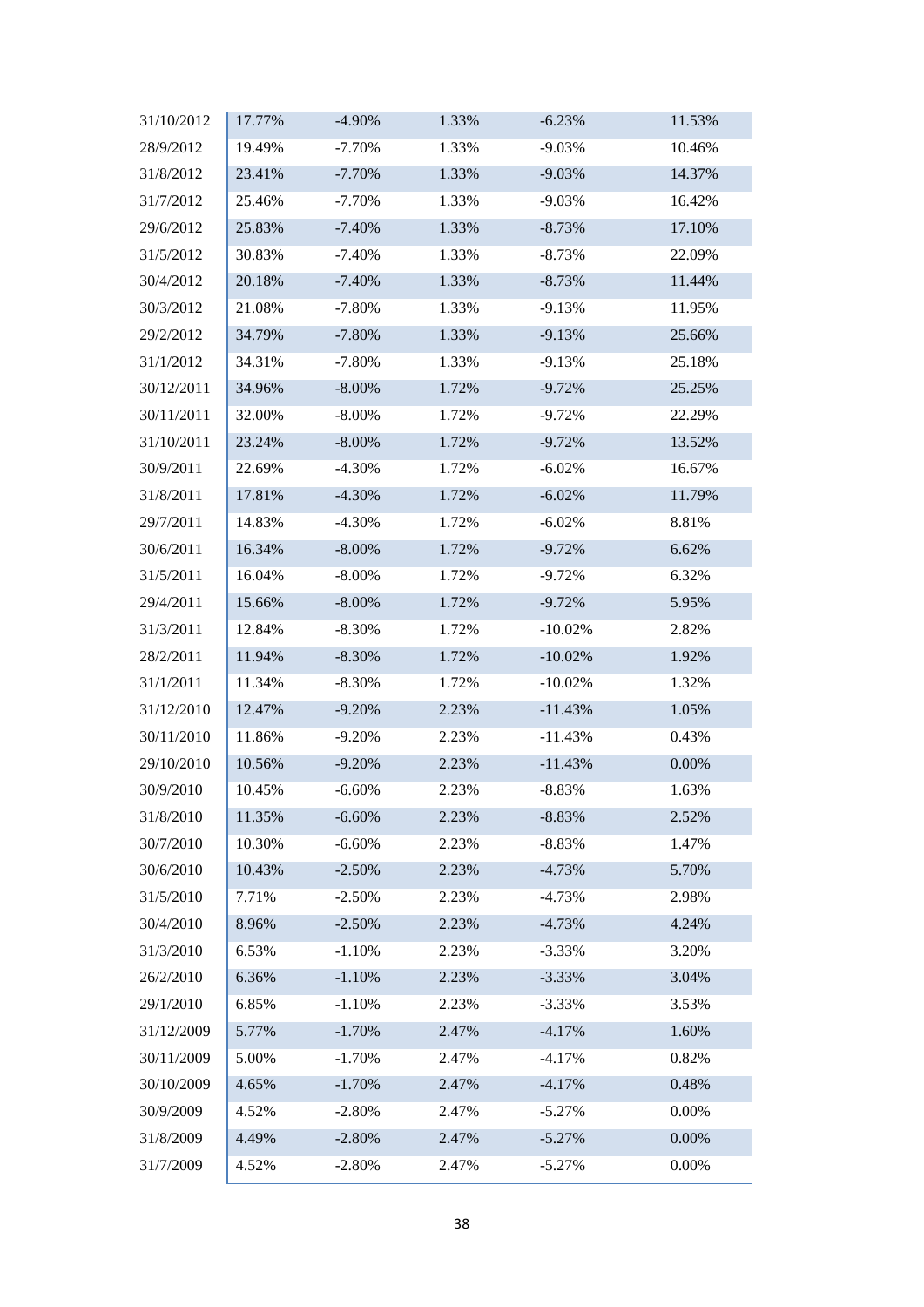| 31/10/2012 | 17.77% | $-4.90%$  | 1.33% | $-6.23%$   | 11.53% |
|------------|--------|-----------|-------|------------|--------|
| 28/9/2012  | 19.49% | $-7.70%$  | 1.33% | $-9.03%$   | 10.46% |
| 31/8/2012  | 23.41% | $-7.70%$  | 1.33% | $-9.03%$   | 14.37% |
| 31/7/2012  | 25.46% | $-7.70%$  | 1.33% | $-9.03%$   | 16.42% |
| 29/6/2012  | 25.83% | $-7.40%$  | 1.33% | $-8.73%$   | 17.10% |
| 31/5/2012  | 30.83% | $-7.40%$  | 1.33% | $-8.73%$   | 22.09% |
| 30/4/2012  | 20.18% | $-7.40%$  | 1.33% | $-8.73%$   | 11.44% |
| 30/3/2012  | 21.08% | $-7.80%$  | 1.33% | $-9.13%$   | 11.95% |
| 29/2/2012  | 34.79% | $-7.80%$  | 1.33% | $-9.13%$   | 25.66% |
| 31/1/2012  | 34.31% | $-7.80%$  | 1.33% | $-9.13%$   | 25.18% |
| 30/12/2011 | 34.96% | $-8.00\%$ | 1.72% | $-9.72%$   | 25.25% |
| 30/11/2011 | 32.00% | $-8.00\%$ | 1.72% | $-9.72%$   | 22.29% |
| 31/10/2011 | 23.24% | $-8.00\%$ | 1.72% | $-9.72%$   | 13.52% |
| 30/9/2011  | 22.69% | $-4.30%$  | 1.72% | $-6.02%$   | 16.67% |
| 31/8/2011  | 17.81% | $-4.30%$  | 1.72% | $-6.02%$   | 11.79% |
| 29/7/2011  | 14.83% | $-4.30%$  | 1.72% | $-6.02%$   | 8.81%  |
| 30/6/2011  | 16.34% | $-8.00\%$ | 1.72% | $-9.72%$   | 6.62%  |
| 31/5/2011  | 16.04% | $-8.00\%$ | 1.72% | $-9.72%$   | 6.32%  |
| 29/4/2011  | 15.66% | $-8.00\%$ | 1.72% | $-9.72%$   | 5.95%  |
| 31/3/2011  | 12.84% | $-8.30%$  | 1.72% | $-10.02%$  | 2.82%  |
| 28/2/2011  | 11.94% | $-8.30%$  | 1.72% | $-10.02%$  | 1.92%  |
| 31/1/2011  | 11.34% | $-8.30\%$ | 1.72% | $-10.02\%$ | 1.32%  |
| 31/12/2010 | 12.47% | $-9.20%$  | 2.23% | $-11.43%$  | 1.05%  |
| 30/11/2010 | 11.86% | $-9.20%$  | 2.23% | $-11.43%$  | 0.43%  |
| 29/10/2010 | 10.56% | $-9.20%$  | 2.23% | $-11.43%$  | 0.00%  |
| 30/9/2010  | 10.45% | $-6.60%$  | 2.23% | $-8.83%$   | 1.63%  |
| 31/8/2010  | 11.35% | $-6.60%$  | 2.23% | $-8.83%$   | 2.52%  |
| 30/7/2010  | 10.30% | $-6.60%$  | 2.23% | $-8.83%$   | 1.47%  |
| 30/6/2010  | 10.43% | $-2.50%$  | 2.23% | $-4.73%$   | 5.70%  |
| 31/5/2010  | 7.71%  | $-2.50%$  | 2.23% | -4.73%     | 2.98%  |
| 30/4/2010  | 8.96%  | $-2.50%$  | 2.23% | $-4.73%$   | 4.24%  |
| 31/3/2010  | 6.53%  | $-1.10%$  | 2.23% | $-3.33%$   | 3.20%  |
| 26/2/2010  | 6.36%  | $-1.10%$  | 2.23% | $-3.33%$   | 3.04%  |
| 29/1/2010  | 6.85%  | $-1.10%$  | 2.23% | $-3.33\%$  | 3.53%  |
| 31/12/2009 | 5.77%  | $-1.70%$  | 2.47% | $-4.17%$   | 1.60%  |
| 30/11/2009 | 5.00%  | $-1.70%$  | 2.47% | $-4.17%$   | 0.82%  |
| 30/10/2009 | 4.65%  | $-1.70%$  | 2.47% | $-4.17%$   | 0.48%  |
| 30/9/2009  | 4.52%  | $-2.80%$  | 2.47% | $-5.27%$   | 0.00%  |
| 31/8/2009  | 4.49%  | $-2.80%$  | 2.47% | $-5.27%$   | 0.00%  |
| 31/7/2009  | 4.52%  | $-2.80%$  | 2.47% | $-5.27%$   | 0.00%  |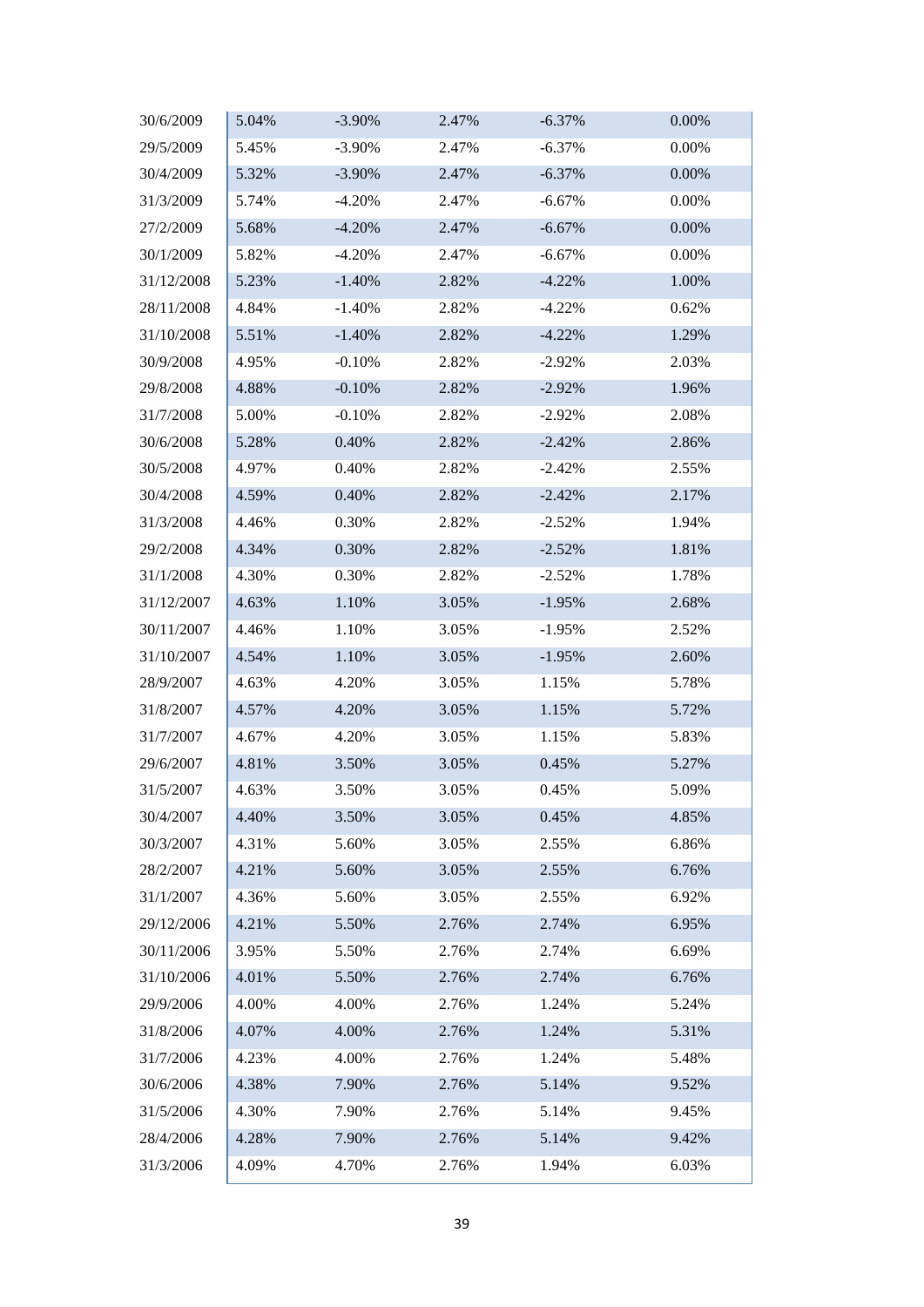| 30/6/2009  | 5.04% | $-3.90\%$ | 2.47% | $-6.37%$  | 0.00% |
|------------|-------|-----------|-------|-----------|-------|
| 29/5/2009  | 5.45% | $-3.90%$  | 2.47% | $-6.37%$  | 0.00% |
| 30/4/2009  | 5.32% | $-3.90\%$ | 2.47% | $-6.37%$  | 0.00% |
| 31/3/2009  | 5.74% | $-4.20%$  | 2.47% | $-6.67%$  | 0.00% |
| 27/2/2009  | 5.68% | $-4.20%$  | 2.47% | $-6.67%$  | 0.00% |
| 30/1/2009  | 5.82% | $-4.20%$  | 2.47% | $-6.67%$  | 0.00% |
| 31/12/2008 | 5.23% | $-1.40%$  | 2.82% | $-4.22%$  | 1.00% |
| 28/11/2008 | 4.84% | $-1.40%$  | 2.82% | $-4.22\%$ | 0.62% |
| 31/10/2008 | 5.51% | $-1.40%$  | 2.82% | $-4.22%$  | 1.29% |
| 30/9/2008  | 4.95% | $-0.10%$  | 2.82% | $-2.92%$  | 2.03% |
| 29/8/2008  | 4.88% | $-0.10%$  | 2.82% | $-2.92%$  | 1.96% |
| 31/7/2008  | 5.00% | $-0.10%$  | 2.82% | $-2.92%$  | 2.08% |
| 30/6/2008  | 5.28% | 0.40%     | 2.82% | $-2.42%$  | 2.86% |
| 30/5/2008  | 4.97% | 0.40%     | 2.82% | $-2.42%$  | 2.55% |
| 30/4/2008  | 4.59% | 0.40%     | 2.82% | $-2.42%$  | 2.17% |
| 31/3/2008  | 4.46% | 0.30%     | 2.82% | $-2.52%$  | 1.94% |
| 29/2/2008  | 4.34% | 0.30%     | 2.82% | $-2.52%$  | 1.81% |
| 31/1/2008  | 4.30% | 0.30%     | 2.82% | $-2.52%$  | 1.78% |
| 31/12/2007 | 4.63% | 1.10%     | 3.05% | $-1.95%$  | 2.68% |
| 30/11/2007 | 4.46% | 1.10%     | 3.05% | $-1.95%$  | 2.52% |
| 31/10/2007 | 4.54% | 1.10%     | 3.05% | $-1.95%$  | 2.60% |
| 28/9/2007  | 4.63% | 4.20%     | 3.05% | 1.15%     | 5.78% |
| 31/8/2007  | 4.57% | 4.20%     | 3.05% | 1.15%     | 5.72% |
| 31/7/2007  | 4.67% | 4.20%     | 3.05% | 1.15%     | 5.83% |
| 29/6/2007  | 4.81% | 3.50%     | 3.05% | 0.45%     | 5.27% |
| 31/5/2007  | 4.63% | 3.50%     | 3.05% | 0.45%     | 5.09% |
| 30/4/2007  | 4.40% | 3.50%     | 3.05% | 0.45%     | 4.85% |
| 30/3/2007  | 4.31% | 5.60%     | 3.05% | 2.55%     | 6.86% |
| 28/2/2007  | 4.21% | 5.60%     | 3.05% | 2.55%     | 6.76% |
| 31/1/2007  | 4.36% | 5.60%     | 3.05% | 2.55%     | 6.92% |
| 29/12/2006 | 4.21% | 5.50%     | 2.76% | 2.74%     | 6.95% |
| 30/11/2006 | 3.95% | 5.50%     | 2.76% | 2.74%     | 6.69% |
| 31/10/2006 | 4.01% | 5.50%     | 2.76% | 2.74%     | 6.76% |
| 29/9/2006  | 4.00% | 4.00%     | 2.76% | 1.24%     | 5.24% |
| 31/8/2006  | 4.07% | 4.00%     | 2.76% | 1.24%     | 5.31% |
| 31/7/2006  | 4.23% | 4.00%     | 2.76% | 1.24%     | 5.48% |
| 30/6/2006  | 4.38% | 7.90%     | 2.76% | 5.14%     | 9.52% |
| 31/5/2006  | 4.30% | 7.90%     | 2.76% | 5.14%     | 9.45% |
| 28/4/2006  | 4.28% | 7.90%     | 2.76% | 5.14%     | 9.42% |
| 31/3/2006  | 4.09% | 4.70%     | 2.76% | 1.94%     | 6.03% |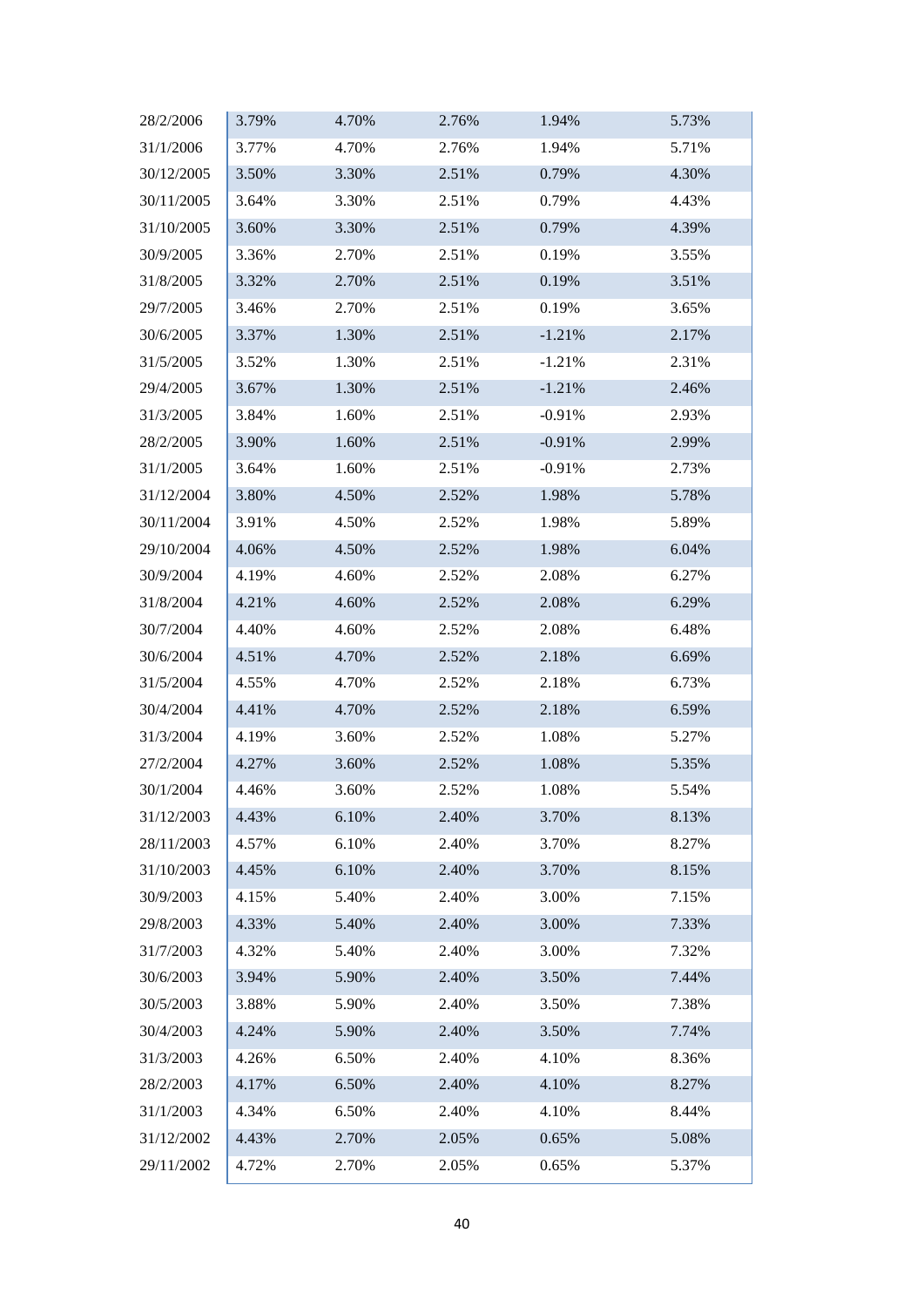| 28/2/2006  | 3.79% | 4.70% | 2.76% | 1.94%    | 5.73% |
|------------|-------|-------|-------|----------|-------|
| 31/1/2006  | 3.77% | 4.70% | 2.76% | 1.94%    | 5.71% |
| 30/12/2005 | 3.50% | 3.30% | 2.51% | 0.79%    | 4.30% |
| 30/11/2005 | 3.64% | 3.30% | 2.51% | 0.79%    | 4.43% |
| 31/10/2005 | 3.60% | 3.30% | 2.51% | 0.79%    | 4.39% |
| 30/9/2005  | 3.36% | 2.70% | 2.51% | 0.19%    | 3.55% |
| 31/8/2005  | 3.32% | 2.70% | 2.51% | 0.19%    | 3.51% |
| 29/7/2005  | 3.46% | 2.70% | 2.51% | 0.19%    | 3.65% |
| 30/6/2005  | 3.37% | 1.30% | 2.51% | $-1.21%$ | 2.17% |
| 31/5/2005  | 3.52% | 1.30% | 2.51% | $-1.21%$ | 2.31% |
| 29/4/2005  | 3.67% | 1.30% | 2.51% | $-1.21%$ | 2.46% |
| 31/3/2005  | 3.84% | 1.60% | 2.51% | $-0.91%$ | 2.93% |
| 28/2/2005  | 3.90% | 1.60% | 2.51% | $-0.91%$ | 2.99% |
| 31/1/2005  | 3.64% | 1.60% | 2.51% | $-0.91%$ | 2.73% |
| 31/12/2004 | 3.80% | 4.50% | 2.52% | 1.98%    | 5.78% |
| 30/11/2004 | 3.91% | 4.50% | 2.52% | 1.98%    | 5.89% |
| 29/10/2004 | 4.06% | 4.50% | 2.52% | 1.98%    | 6.04% |
| 30/9/2004  | 4.19% | 4.60% | 2.52% | 2.08%    | 6.27% |
| 31/8/2004  | 4.21% | 4.60% | 2.52% | 2.08%    | 6.29% |
| 30/7/2004  | 4.40% | 4.60% | 2.52% | 2.08%    | 6.48% |
| 30/6/2004  | 4.51% | 4.70% | 2.52% | 2.18%    | 6.69% |
| 31/5/2004  | 4.55% | 4.70% | 2.52% | 2.18%    | 6.73% |
| 30/4/2004  | 4.41% | 4.70% | 2.52% | 2.18%    | 6.59% |
| 31/3/2004  | 4.19% | 3.60% | 2.52% | 1.08%    | 5.27% |
| 27/2/2004  | 4.27% | 3.60% | 2.52% | 1.08%    | 5.35% |
| 30/1/2004  | 4.46% | 3.60% | 2.52% | 1.08%    | 5.54% |
| 31/12/2003 | 4.43% | 6.10% | 2.40% | 3.70%    | 8.13% |
| 28/11/2003 | 4.57% | 6.10% | 2.40% | 3.70%    | 8.27% |
| 31/10/2003 | 4.45% | 6.10% | 2.40% | 3.70%    | 8.15% |
| 30/9/2003  | 4.15% | 5.40% | 2.40% | 3.00%    | 7.15% |
| 29/8/2003  | 4.33% | 5.40% | 2.40% | 3.00%    | 7.33% |
| 31/7/2003  | 4.32% | 5.40% | 2.40% | 3.00%    | 7.32% |
| 30/6/2003  | 3.94% | 5.90% | 2.40% | 3.50%    | 7.44% |
| 30/5/2003  | 3.88% | 5.90% | 2.40% | 3.50%    | 7.38% |
| 30/4/2003  | 4.24% | 5.90% | 2.40% | 3.50%    | 7.74% |
| 31/3/2003  | 4.26% | 6.50% | 2.40% | 4.10%    | 8.36% |
| 28/2/2003  | 4.17% | 6.50% | 2.40% | 4.10%    | 8.27% |
| 31/1/2003  | 4.34% | 6.50% | 2.40% | 4.10%    | 8.44% |
| 31/12/2002 | 4.43% | 2.70% | 2.05% | 0.65%    | 5.08% |
| 29/11/2002 | 4.72% | 2.70% | 2.05% | 0.65%    | 5.37% |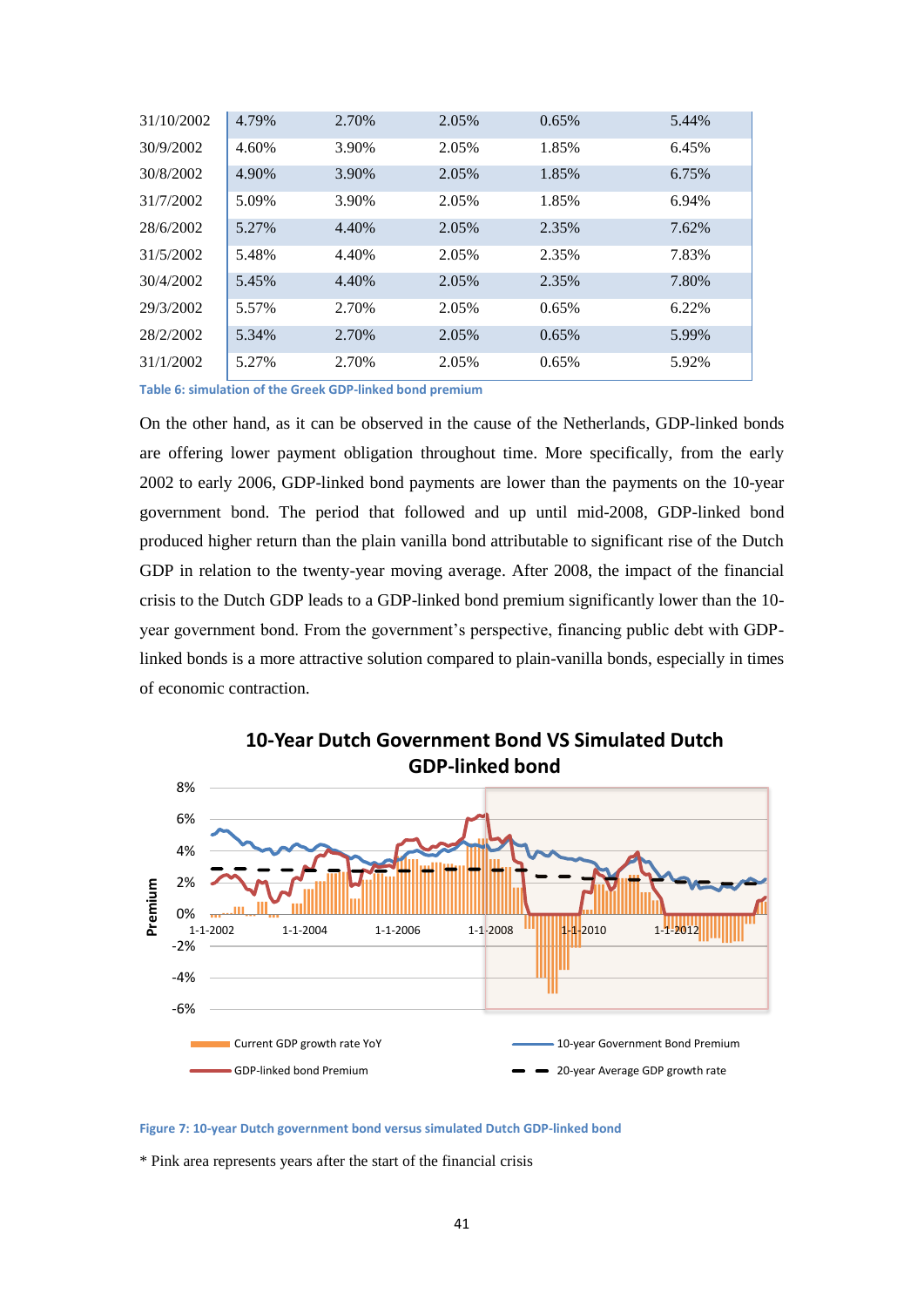| 31/10/2002 | 4.79% | 2.70% | 2.05% | 0.65% | 5.44% |
|------------|-------|-------|-------|-------|-------|
| 30/9/2002  | 4.60% | 3.90% | 2.05% | 1.85% | 6.45% |
| 30/8/2002  | 4.90% | 3.90% | 2.05% | 1.85% | 6.75% |
| 31/7/2002  | 5.09% | 3.90% | 2.05% | 1.85% | 6.94% |
| 28/6/2002  | 5.27% | 4.40% | 2.05% | 2.35% | 7.62% |
| 31/5/2002  | 5.48% | 4.40% | 2.05% | 2.35% | 7.83% |
| 30/4/2002  | 5.45% | 4.40% | 2.05% | 2.35% | 7.80% |
| 29/3/2002  | 5.57% | 2.70% | 2.05% | 0.65% | 6.22% |
| 28/2/2002  | 5.34% | 2.70% | 2.05% | 0.65% | 5.99% |
| 31/1/2002  | 5.27% | 2.70% | 2.05% | 0.65% | 5.92% |

<span id="page-40-1"></span>**Table 6: simulation of the Greek GDP-linked bond premium**

On the other hand, as it can be observed in the cause of the Netherlands, GDP-linked bonds are offering lower payment obligation throughout time. More specifically, from the early 2002 to early 2006, GDP-linked bond payments are lower than the payments on the 10-year government bond. The period that followed and up until mid-2008, GDP-linked bond produced higher return than the plain vanilla bond attributable to significant rise of the Dutch GDP in relation to the twenty-year moving average. After 2008, the impact of the financial crisis to the Dutch GDP leads to a GDP-linked bond premium significantly lower than the 10 year government bond. From the government's perspective, financing public debt with GDPlinked bonds is a more attractive solution compared to plain-vanilla bonds, especially in times of economic contraction.





#### <span id="page-40-0"></span>**Figure 7: 10-year Dutch government bond versus simulated Dutch GDP-linked bond**

\* Pink area represents years after the start of the financial crisis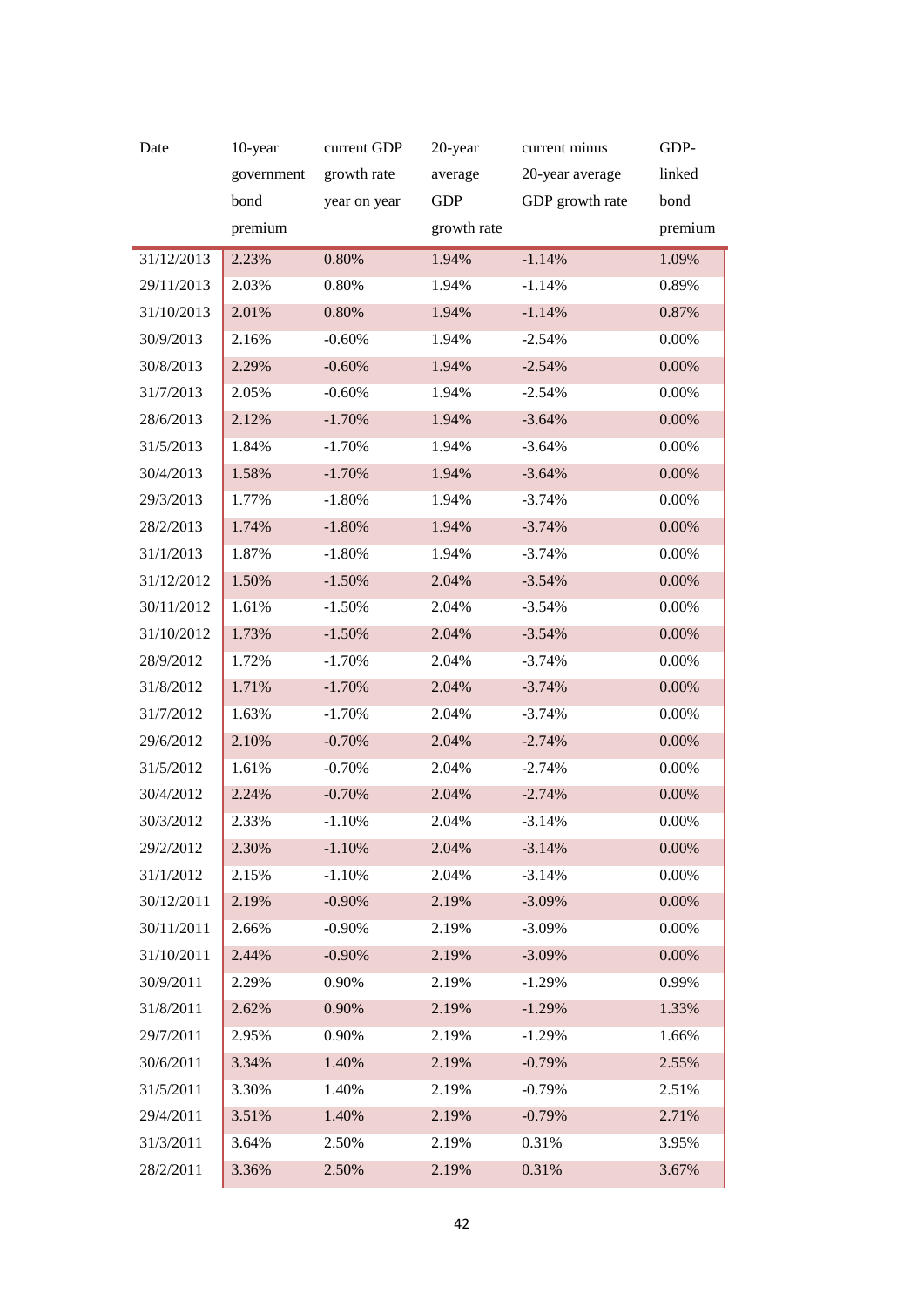| Date       | 10-year    | current GDP  | 20-year     | current minus   | GDP-     |
|------------|------------|--------------|-------------|-----------------|----------|
|            | government | growth rate  | average     | 20-year average | linked   |
|            | bond       | year on year | <b>GDP</b>  | GDP growth rate | bond     |
|            | premium    |              | growth rate |                 | premium  |
| 31/12/2013 | 2.23%      | 0.80%        | 1.94%       | $-1.14%$        | 1.09%    |
| 29/11/2013 | 2.03%      | 0.80%        | 1.94%       | $-1.14%$        | 0.89%    |
| 31/10/2013 | 2.01%      | 0.80%        | 1.94%       | $-1.14%$        | 0.87%    |
| 30/9/2013  | 2.16%      | $-0.60%$     | 1.94%       | $-2.54%$        | 0.00%    |
| 30/8/2013  | 2.29%      | $-0.60%$     | 1.94%       | $-2.54%$        | 0.00%    |
| 31/7/2013  | 2.05%      | $-0.60%$     | 1.94%       | $-2.54%$        | $0.00\%$ |
| 28/6/2013  | 2.12%      | $-1.70%$     | 1.94%       | $-3.64%$        | 0.00%    |
| 31/5/2013  | 1.84%      | $-1.70%$     | 1.94%       | $-3.64%$        | $0.00\%$ |
| 30/4/2013  | 1.58%      | $-1.70%$     | 1.94%       | $-3.64%$        | 0.00%    |
| 29/3/2013  | 1.77%      | $-1.80%$     | 1.94%       | $-3.74%$        | 0.00%    |
| 28/2/2013  | 1.74%      | $-1.80%$     | 1.94%       | $-3.74%$        | $0.00\%$ |
| 31/1/2013  | 1.87%      | $-1.80%$     | 1.94%       | $-3.74%$        | 0.00%    |
| 31/12/2012 | 1.50%      | $-1.50%$     | 2.04%       | $-3.54%$        | 0.00%    |
| 30/11/2012 | 1.61%      | $-1.50%$     | 2.04%       | $-3.54%$        | $0.00\%$ |
| 31/10/2012 | 1.73%      | $-1.50%$     | 2.04%       | $-3.54%$        | 0.00%    |
| 28/9/2012  | 1.72%      | $-1.70%$     | 2.04%       | $-3.74%$        | $0.00\%$ |
| 31/8/2012  | 1.71%      | $-1.70%$     | 2.04%       | $-3.74%$        | 0.00%    |
| 31/7/2012  | 1.63%      | $-1.70%$     | 2.04%       | $-3.74%$        | $0.00\%$ |
| 29/6/2012  | 2.10%      | $-0.70%$     | 2.04%       | $-2.74%$        | $0.00\%$ |
| 31/5/2012  | 1.61%      | $-0.70%$     | 2.04%       | $-2.74%$        | 0.00%    |
| 30/4/2012  | 2.24%      | $-0.70%$     | 2.04%       | $-2.74%$        | $0.00\%$ |
| 30/3/2012  | 2.33%      | $-1.10%$     | 2.04%       | $-3.14%$        | 0.00%    |
| 29/2/2012  | 2.30%      | $-1.10%$     | 2.04%       | $-3.14%$        | $0.00\%$ |
| 31/1/2012  | 2.15%      | $-1.10%$     | 2.04%       | $-3.14%$        | 0.00%    |
| 30/12/2011 | 2.19%      | $-0.90%$     | 2.19%       | $-3.09%$        | 0.00%    |
| 30/11/2011 | 2.66%      | $-0.90%$     | 2.19%       | $-3.09%$        | $0.00\%$ |
| 31/10/2011 | 2.44%      | $-0.90%$     | 2.19%       | $-3.09%$        | 0.00%    |
| 30/9/2011  | 2.29%      | 0.90%        | 2.19%       | $-1.29%$        | 0.99%    |
| 31/8/2011  | 2.62%      | 0.90%        | 2.19%       | $-1.29%$        | 1.33%    |
| 29/7/2011  | 2.95%      | 0.90%        | 2.19%       | $-1.29%$        | 1.66%    |
| 30/6/2011  | 3.34%      | 1.40%        | 2.19%       | $-0.79%$        | 2.55%    |
| 31/5/2011  | 3.30%      | 1.40%        | 2.19%       | $-0.79%$        | 2.51%    |
| 29/4/2011  | 3.51%      | 1.40%        | 2.19%       | $-0.79%$        | 2.71%    |
| 31/3/2011  | 3.64%      | 2.50%        | 2.19%       | 0.31%           | 3.95%    |
| 28/2/2011  | 3.36%      | 2.50%        | 2.19%       | 0.31%           | 3.67%    |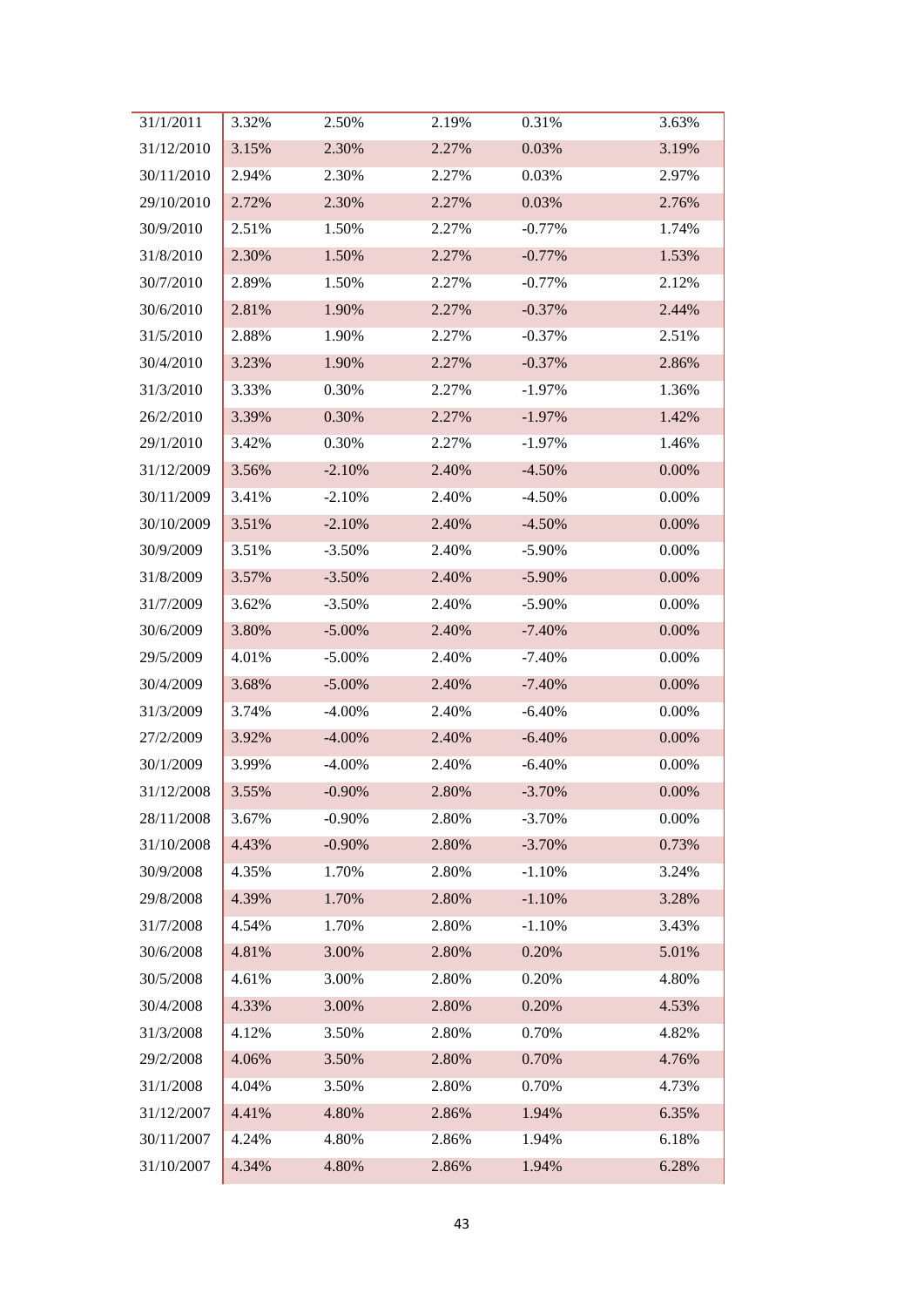| 31/1/2011  | 3.32% | 2.50%     | 2.19% | 0.31%     | 3.63% |
|------------|-------|-----------|-------|-----------|-------|
| 31/12/2010 | 3.15% | 2.30%     | 2.27% | 0.03%     | 3.19% |
| 30/11/2010 | 2.94% | 2.30%     | 2.27% | 0.03%     | 2.97% |
| 29/10/2010 | 2.72% | 2.30%     | 2.27% | 0.03%     | 2.76% |
| 30/9/2010  | 2.51% | 1.50%     | 2.27% | $-0.77%$  | 1.74% |
| 31/8/2010  | 2.30% | 1.50%     | 2.27% | $-0.77%$  | 1.53% |
| 30/7/2010  | 2.89% | 1.50%     | 2.27% | $-0.77%$  | 2.12% |
| 30/6/2010  | 2.81% | 1.90%     | 2.27% | $-0.37%$  | 2.44% |
| 31/5/2010  | 2.88% | 1.90%     | 2.27% | $-0.37%$  | 2.51% |
| 30/4/2010  | 3.23% | 1.90%     | 2.27% | $-0.37%$  | 2.86% |
| 31/3/2010  | 3.33% | 0.30%     | 2.27% | $-1.97\%$ | 1.36% |
| 26/2/2010  | 3.39% | 0.30%     | 2.27% | $-1.97\%$ | 1.42% |
| 29/1/2010  | 3.42% | 0.30%     | 2.27% | $-1.97\%$ | 1.46% |
| 31/12/2009 | 3.56% | $-2.10%$  | 2.40% | $-4.50%$  | 0.00% |
| 30/11/2009 | 3.41% | $-2.10%$  | 2.40% | $-4.50%$  | 0.00% |
| 30/10/2009 | 3.51% | $-2.10%$  | 2.40% | $-4.50%$  | 0.00% |
| 30/9/2009  | 3.51% | $-3.50%$  | 2.40% | $-5.90\%$ | 0.00% |
| 31/8/2009  | 3.57% | $-3.50%$  | 2.40% | $-5.90\%$ | 0.00% |
| 31/7/2009  | 3.62% | $-3.50%$  | 2.40% | $-5.90\%$ | 0.00% |
| 30/6/2009  | 3.80% | $-5.00\%$ | 2.40% | $-7.40%$  | 0.00% |
| 29/5/2009  | 4.01% | $-5.00\%$ | 2.40% | $-7.40%$  | 0.00% |
| 30/4/2009  | 3.68% | $-5.00\%$ | 2.40% | $-7.40%$  | 0.00% |
| 31/3/2009  | 3.74% | $-4.00\%$ | 2.40% | $-6.40%$  | 0.00% |
| 27/2/2009  | 3.92% | $-4.00\%$ | 2.40% | $-6.40%$  | 0.00% |
| 30/1/2009  | 3.99% | $-4.00\%$ | 2.40% | $-6.40%$  | 0.00% |
| 31/12/2008 | 3.55% | $-0.90%$  | 2.80% | $-3.70%$  | 0.00% |
| 28/11/2008 | 3.67% | $-0.90%$  | 2.80% | $-3.70%$  | 0.00% |
| 31/10/2008 | 4.43% | $-0.90%$  | 2.80% | $-3.70%$  | 0.73% |
| 30/9/2008  | 4.35% | 1.70%     | 2.80% | $-1.10%$  | 3.24% |
| 29/8/2008  | 4.39% | 1.70%     | 2.80% | $-1.10%$  | 3.28% |
| 31/7/2008  | 4.54% | 1.70%     | 2.80% | $-1.10%$  | 3.43% |
| 30/6/2008  | 4.81% | 3.00%     | 2.80% | 0.20%     | 5.01% |
| 30/5/2008  | 4.61% | 3.00%     | 2.80% | 0.20%     | 4.80% |
| 30/4/2008  | 4.33% | 3.00%     | 2.80% | 0.20%     | 4.53% |
| 31/3/2008  | 4.12% | 3.50%     | 2.80% | 0.70%     | 4.82% |
| 29/2/2008  | 4.06% | 3.50%     | 2.80% | 0.70%     | 4.76% |
| 31/1/2008  | 4.04% | 3.50%     | 2.80% | 0.70%     | 4.73% |
| 31/12/2007 | 4.41% | 4.80%     | 2.86% | 1.94%     | 6.35% |
| 30/11/2007 | 4.24% | 4.80%     | 2.86% | 1.94%     | 6.18% |
| 31/10/2007 | 4.34% | 4.80%     | 2.86% | 1.94%     | 6.28% |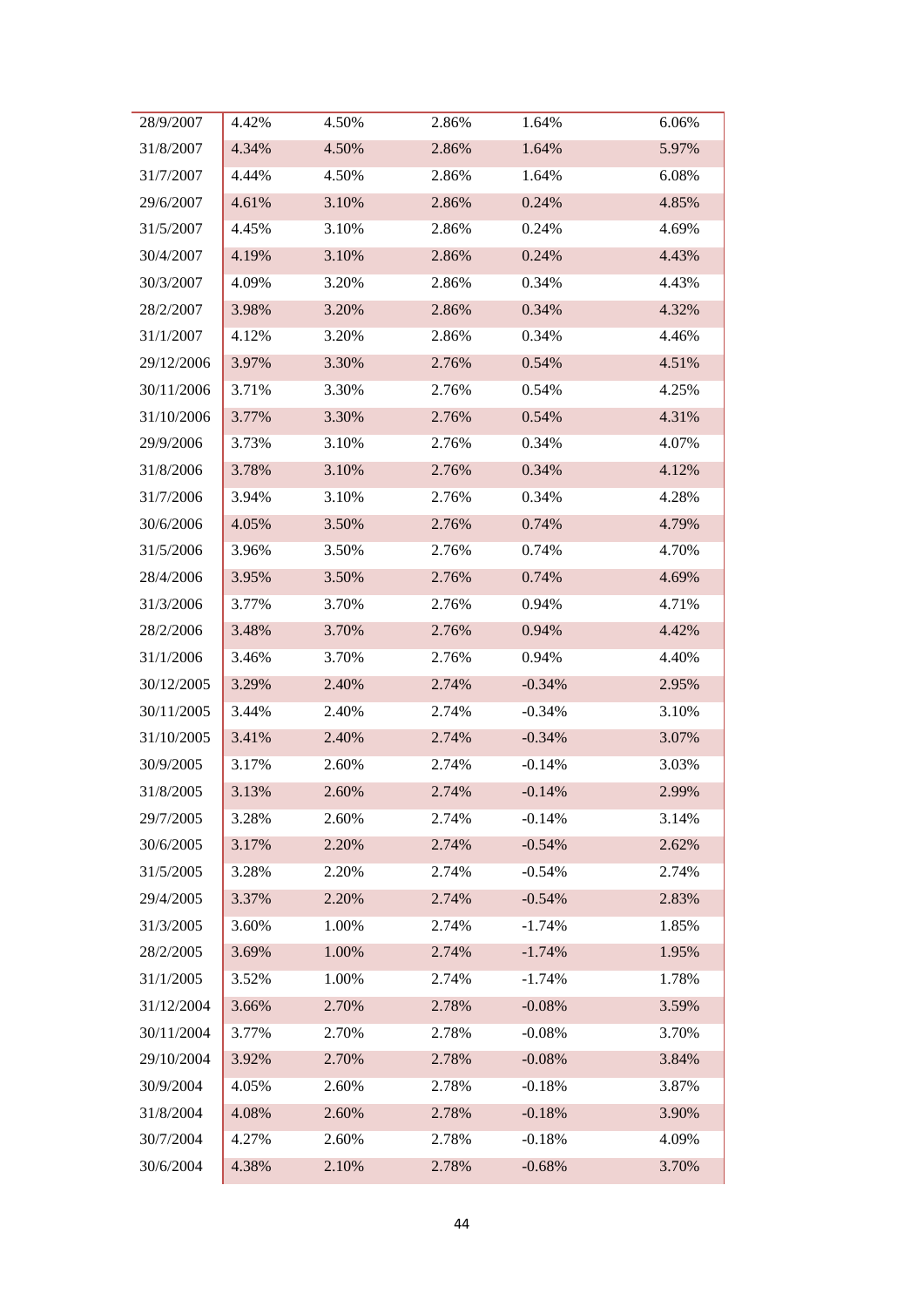| 28/9/2007  | 4.42% | 4.50% | 2.86% | 1.64%    | 6.06% |
|------------|-------|-------|-------|----------|-------|
| 31/8/2007  | 4.34% | 4.50% | 2.86% | 1.64%    | 5.97% |
| 31/7/2007  | 4.44% | 4.50% | 2.86% | 1.64%    | 6.08% |
| 29/6/2007  | 4.61% | 3.10% | 2.86% | 0.24%    | 4.85% |
| 31/5/2007  | 4.45% | 3.10% | 2.86% | 0.24%    | 4.69% |
| 30/4/2007  | 4.19% | 3.10% | 2.86% | 0.24%    | 4.43% |
| 30/3/2007  | 4.09% | 3.20% | 2.86% | 0.34%    | 4.43% |
| 28/2/2007  | 3.98% | 3.20% | 2.86% | 0.34%    | 4.32% |
| 31/1/2007  | 4.12% | 3.20% | 2.86% | 0.34%    | 4.46% |
| 29/12/2006 | 3.97% | 3.30% | 2.76% | 0.54%    | 4.51% |
| 30/11/2006 | 3.71% | 3.30% | 2.76% | 0.54%    | 4.25% |
| 31/10/2006 | 3.77% | 3.30% | 2.76% | 0.54%    | 4.31% |
| 29/9/2006  | 3.73% | 3.10% | 2.76% | 0.34%    | 4.07% |
| 31/8/2006  | 3.78% | 3.10% | 2.76% | 0.34%    | 4.12% |
| 31/7/2006  | 3.94% | 3.10% | 2.76% | 0.34%    | 4.28% |
| 30/6/2006  | 4.05% | 3.50% | 2.76% | 0.74%    | 4.79% |
| 31/5/2006  | 3.96% | 3.50% | 2.76% | 0.74%    | 4.70% |
| 28/4/2006  | 3.95% | 3.50% | 2.76% | 0.74%    | 4.69% |
| 31/3/2006  | 3.77% | 3.70% | 2.76% | 0.94%    | 4.71% |
| 28/2/2006  | 3.48% | 3.70% | 2.76% | 0.94%    | 4.42% |
| 31/1/2006  | 3.46% | 3.70% | 2.76% | 0.94%    | 4.40% |
| 30/12/2005 | 3.29% | 2.40% | 2.74% | $-0.34%$ | 2.95% |
| 30/11/2005 | 3.44% | 2.40% | 2.74% | $-0.34%$ | 3.10% |
| 31/10/2005 | 3.41% | 2.40% | 2.74% | $-0.34%$ | 3.07% |
| 30/9/2005  | 3.17% | 2.60% | 2.74% | $-0.14%$ | 3.03% |
| 31/8/2005  | 3.13% | 2.60% | 2.74% | $-0.14%$ | 2.99% |
| 29/7/2005  | 3.28% | 2.60% | 2.74% | $-0.14%$ | 3.14% |
| 30/6/2005  | 3.17% | 2.20% | 2.74% | $-0.54%$ | 2.62% |
| 31/5/2005  | 3.28% | 2.20% | 2.74% | $-0.54%$ | 2.74% |
| 29/4/2005  | 3.37% | 2.20% | 2.74% | $-0.54%$ | 2.83% |
| 31/3/2005  | 3.60% | 1.00% | 2.74% | $-1.74%$ | 1.85% |
| 28/2/2005  | 3.69% | 1.00% | 2.74% | $-1.74%$ | 1.95% |
| 31/1/2005  | 3.52% | 1.00% | 2.74% | $-1.74%$ | 1.78% |
| 31/12/2004 | 3.66% | 2.70% | 2.78% | $-0.08%$ | 3.59% |
| 30/11/2004 | 3.77% | 2.70% | 2.78% | $-0.08%$ | 3.70% |
| 29/10/2004 | 3.92% | 2.70% | 2.78% | $-0.08%$ | 3.84% |
| 30/9/2004  | 4.05% | 2.60% | 2.78% | $-0.18%$ | 3.87% |
| 31/8/2004  | 4.08% | 2.60% | 2.78% | $-0.18%$ | 3.90% |
| 30/7/2004  | 4.27% | 2.60% | 2.78% | $-0.18%$ | 4.09% |
| 30/6/2004  | 4.38% | 2.10% | 2.78% | $-0.68%$ | 3.70% |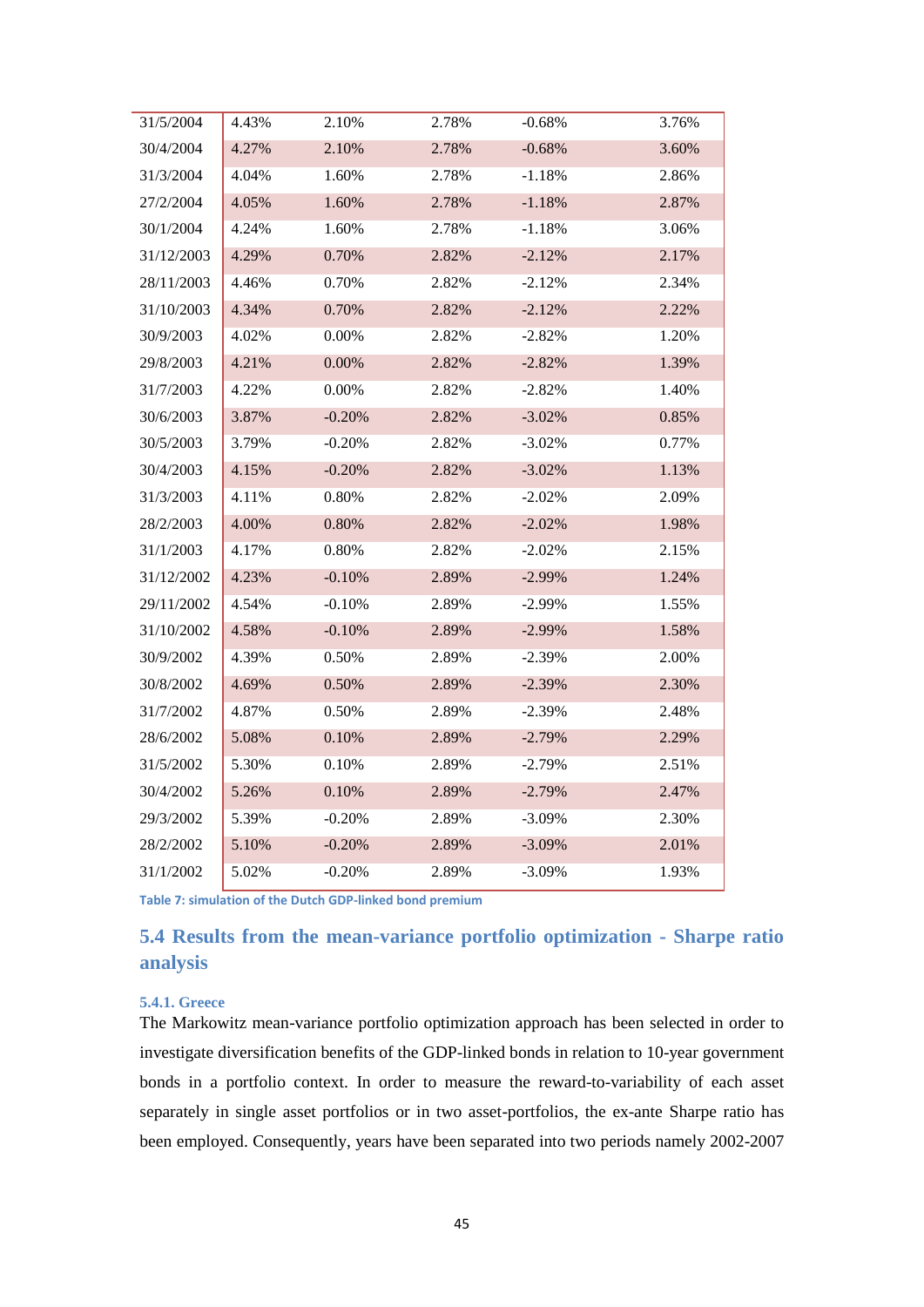| 31/5/2004  | 4.43% | 2.10%     | 2.78% | $-0.68%$  | 3.76% |
|------------|-------|-----------|-------|-----------|-------|
| 30/4/2004  | 4.27% | 2.10%     | 2.78% | $-0.68%$  | 3.60% |
| 31/3/2004  | 4.04% | 1.60%     | 2.78% | $-1.18%$  | 2.86% |
| 27/2/2004  | 4.05% | 1.60%     | 2.78% | $-1.18%$  | 2.87% |
| 30/1/2004  | 4.24% | 1.60%     | 2.78% | $-1.18%$  | 3.06% |
| 31/12/2003 | 4.29% | 0.70%     | 2.82% | $-2.12%$  | 2.17% |
| 28/11/2003 | 4.46% | 0.70%     | 2.82% | $-2.12%$  | 2.34% |
| 31/10/2003 | 4.34% | 0.70%     | 2.82% | $-2.12%$  | 2.22% |
| 30/9/2003  | 4.02% | $0.00\%$  | 2.82% | $-2.82%$  | 1.20% |
| 29/8/2003  | 4.21% | $0.00\%$  | 2.82% | $-2.82%$  | 1.39% |
| 31/7/2003  | 4.22% | $0.00\%$  | 2.82% | $-2.82%$  | 1.40% |
| 30/6/2003  | 3.87% | $-0.20%$  | 2.82% | $-3.02%$  | 0.85% |
| 30/5/2003  | 3.79% | $-0.20%$  | 2.82% | $-3.02%$  | 0.77% |
| 30/4/2003  | 4.15% | $-0.20%$  | 2.82% | $-3.02\%$ | 1.13% |
| 31/3/2003  | 4.11% | 0.80%     | 2.82% | $-2.02\%$ | 2.09% |
| 28/2/2003  | 4.00% | 0.80%     | 2.82% | $-2.02%$  | 1.98% |
| 31/1/2003  | 4.17% | 0.80%     | 2.82% | $-2.02%$  | 2.15% |
| 31/12/2002 | 4.23% | $-0.10%$  | 2.89% | $-2.99\%$ | 1.24% |
| 29/11/2002 | 4.54% | $-0.10%$  | 2.89% | $-2.99%$  | 1.55% |
| 31/10/2002 | 4.58% | $-0.10%$  | 2.89% | $-2.99%$  | 1.58% |
| 30/9/2002  | 4.39% | 0.50%     | 2.89% | $-2.39%$  | 2.00% |
| 30/8/2002  | 4.69% | 0.50%     | 2.89% | $-2.39%$  | 2.30% |
| 31/7/2002  | 4.87% | 0.50%     | 2.89% | $-2.39%$  | 2.48% |
| 28/6/2002  | 5.08% | 0.10%     | 2.89% | $-2.79%$  | 2.29% |
| 31/5/2002  | 5.30% | 0.10%     | 2.89% | $-2.79%$  | 2.51% |
| 30/4/2002  | 5.26% | 0.10%     | 2.89% | $-2.79%$  | 2.47% |
| 29/3/2002  | 5.39% | $-0.20%$  | 2.89% | $-3.09%$  | 2.30% |
| 28/2/2002  | 5.10% | $-0.20%$  | 2.89% | $-3.09\%$ | 2.01% |
| 31/1/2002  | 5.02% | $-0.20\%$ | 2.89% | $-3.09%$  | 1.93% |

<span id="page-44-2"></span>**Table 7: simulation of the Dutch GDP-linked bond premium**

## <span id="page-44-0"></span>**5.4 Results from the mean-variance portfolio optimization - Sharpe ratio analysis**

#### <span id="page-44-1"></span>**5.4.1. Greece**

The Markowitz mean-variance portfolio optimization approach has been selected in order to investigate diversification benefits of the GDP-linked bonds in relation to 10-year government bonds in a portfolio context. In order to measure the reward-to-variability of each asset separately in single asset portfolios or in two asset-portfolios, the ex-ante Sharpe ratio has been employed. Consequently, years have been separated into two periods namely 2002-2007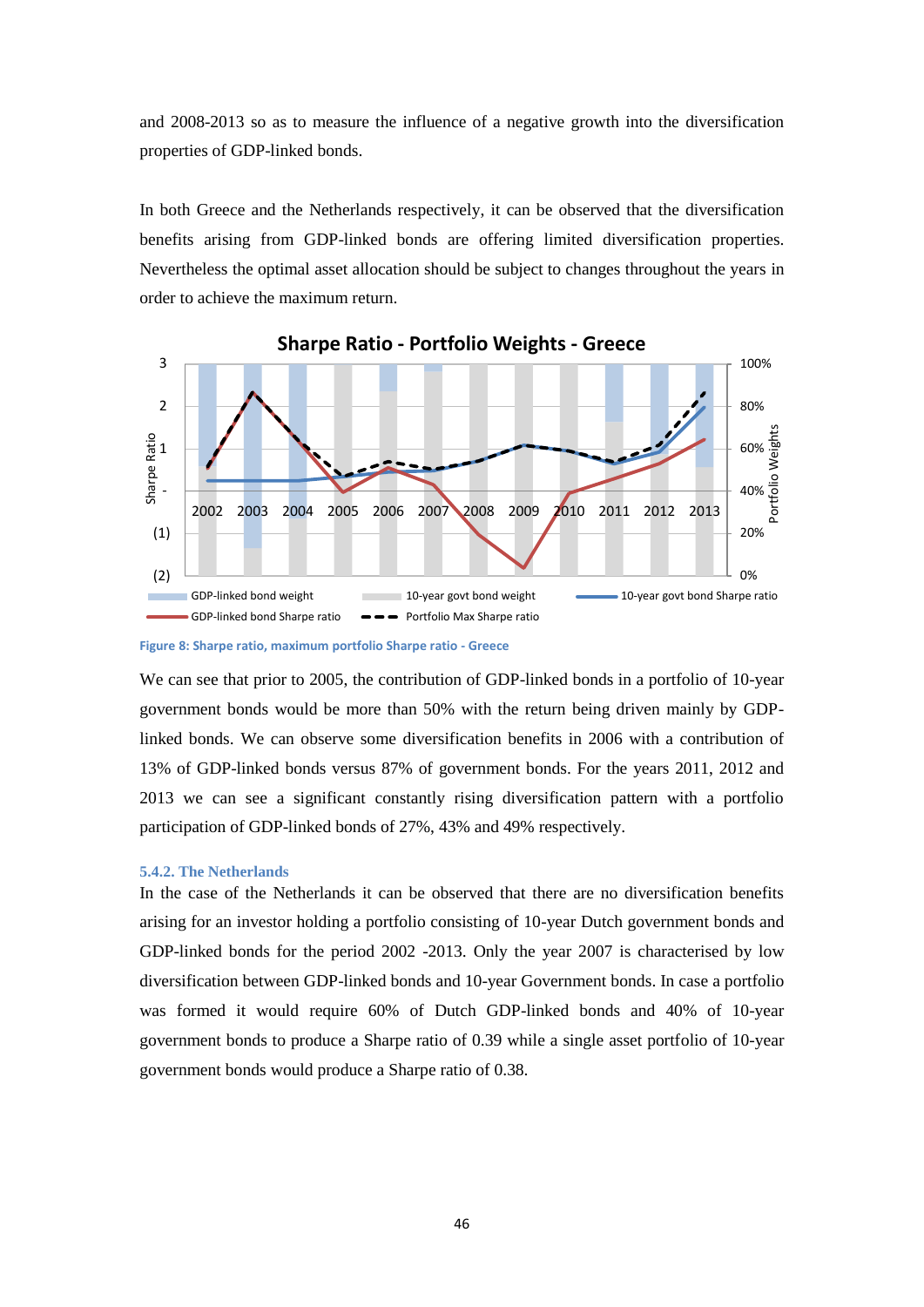and 2008-2013 so as to measure the influence of a negative growth into the diversification properties of GDP-linked bonds.

In both Greece and the Netherlands respectively, it can be observed that the diversification benefits arising from GDP-linked bonds are offering limited diversification properties. Nevertheless the optimal asset allocation should be subject to changes throughout the years in order to achieve the maximum return.



**Sharpe Ratio - Portfolio Weights - Greece** 

We can see that prior to 2005, the contribution of GDP-linked bonds in a portfolio of 10-year government bonds would be more than 50% with the return being driven mainly by GDPlinked bonds. We can observe some diversification benefits in 2006 with a contribution of 13% of GDP-linked bonds versus 87% of government bonds. For the years 2011, 2012 and 2013 we can see a significant constantly rising diversification pattern with a portfolio participation of GDP-linked bonds of 27%, 43% and 49% respectively.

#### <span id="page-45-0"></span>**5.4.2. The Netherlands**

In the case of the Netherlands it can be observed that there are no diversification benefits arising for an investor holding a portfolio consisting of 10-year Dutch government bonds and GDP-linked bonds for the period 2002 -2013. Only the year 2007 is characterised by low diversification between GDP-linked bonds and 10-year Government bonds. In case a portfolio was formed it would require 60% of Dutch GDP-linked bonds and 40% of 10-year government bonds to produce a Sharpe ratio of 0.39 while a single asset portfolio of 10-year government bonds would produce a Sharpe ratio of 0.38.

<span id="page-45-1"></span>**Figure 8: Sharpe ratio, maximum portfolio Sharpe ratio - Greece**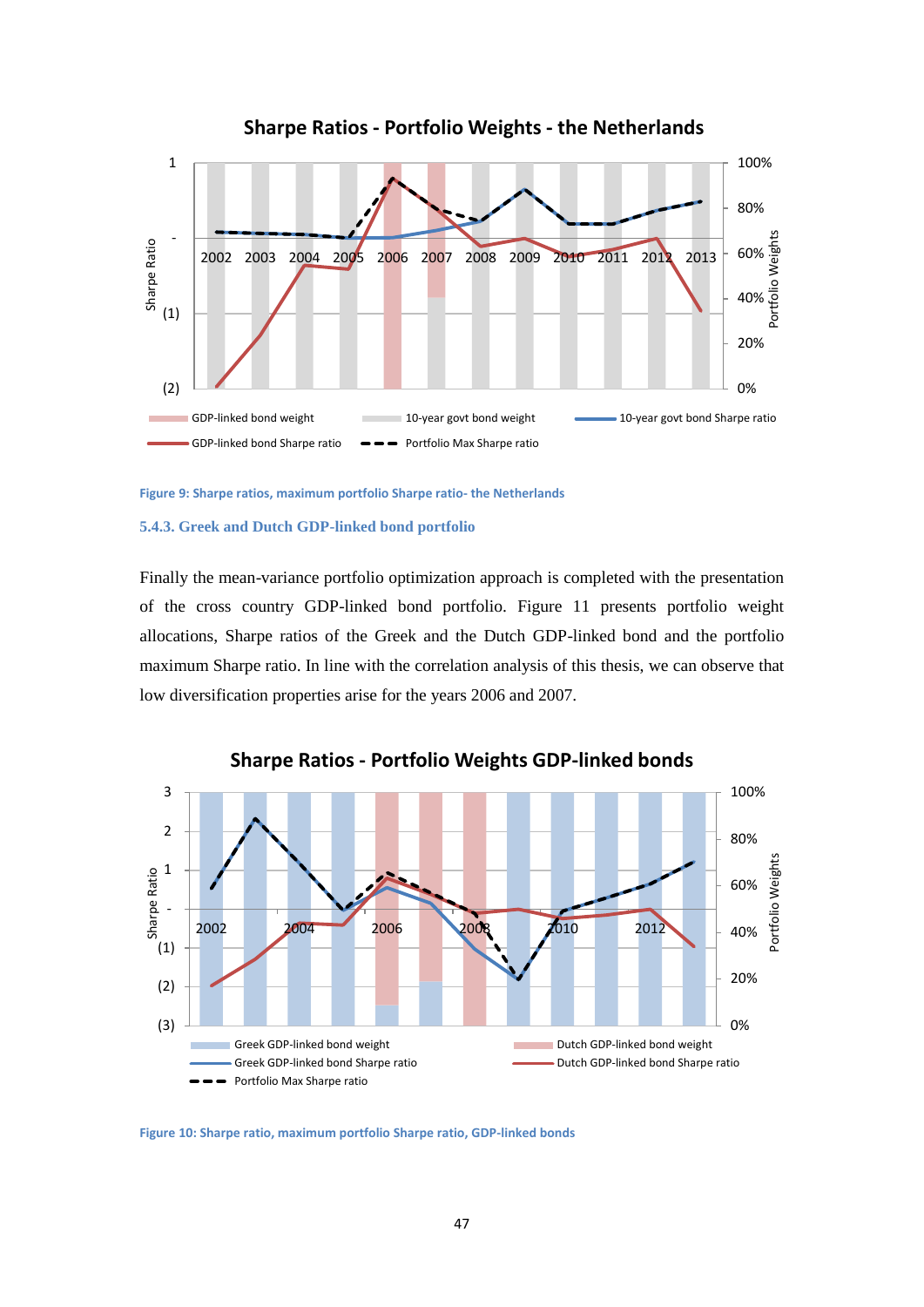

**Sharpe Ratios - Portfolio Weights - the Netherlands** 

<span id="page-46-1"></span>**Figure 9: Sharpe ratios, maximum portfolio Sharpe ratio- the Netherlands**

#### <span id="page-46-0"></span>**5.4.3. Greek and Dutch GDP-linked bond portfolio**

Finally the mean-variance portfolio optimization approach is completed with the presentation of the cross country GDP-linked bond portfolio. Figure 11 presents portfolio weight allocations, Sharpe ratios of the Greek and the Dutch GDP-linked bond and the portfolio maximum Sharpe ratio. In line with the correlation analysis of this thesis, we can observe that low diversification properties arise for the years 2006 and 2007.



**Sharpe Ratios - Portfolio Weights GDP-linked bonds** 

<span id="page-46-2"></span>**Figure 10: Sharpe ratio, maximum portfolio Sharpe ratio, GDP-linked bonds**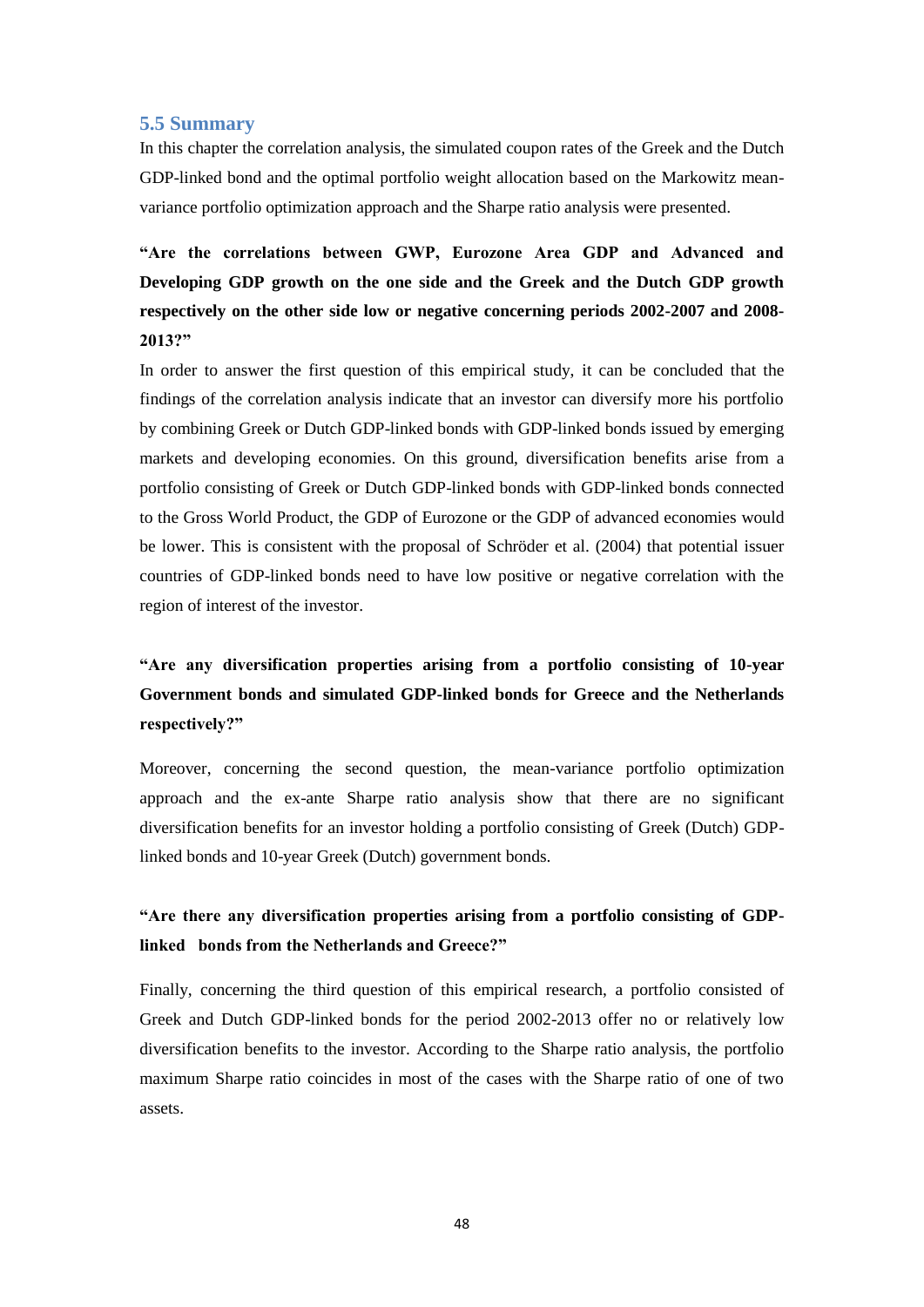## <span id="page-47-0"></span>**5.5 Summary**

In this chapter the correlation analysis, the simulated coupon rates of the Greek and the Dutch GDP-linked bond and the optimal portfolio weight allocation based on the Markowitz meanvariance portfolio optimization approach and the Sharpe ratio analysis were presented.

**"Are the correlations between GWP, Eurozone Area GDP and Advanced and Developing GDP growth on the one side and the Greek and the Dutch GDP growth respectively on the other side low or negative concerning periods 2002-2007 and 2008- 2013?"**

In order to answer the first question of this empirical study, it can be concluded that the findings of the correlation analysis indicate that an investor can diversify more his portfolio by combining Greek or Dutch GDP-linked bonds with GDP-linked bonds issued by emerging markets and developing economies. On this ground, diversification benefits arise from a portfolio consisting of Greek or Dutch GDP-linked bonds with GDP-linked bonds connected to the Gross World Product, the GDP of Eurozone or the GDP of advanced economies would be lower. This is consistent with the proposal of Schröder et al. (2004) that potential issuer countries of GDP-linked bonds need to have low positive or negative correlation with the region of interest of the investor.

## **"Are any diversification properties arising from a portfolio consisting of 10-year Government bonds and simulated GDP-linked bonds for Greece and the Netherlands respectively?"**

Moreover, concerning the second question, the mean-variance portfolio optimization approach and the ex-ante Sharpe ratio analysis show that there are no significant diversification benefits for an investor holding a portfolio consisting of Greek (Dutch) GDPlinked bonds and 10-year Greek (Dutch) government bonds.

## **"Are there any diversification properties arising from a portfolio consisting of GDPlinked bonds from the Netherlands and Greece?"**

Finally, concerning the third question of this empirical research, a portfolio consisted of Greek and Dutch GDP-linked bonds for the period 2002-2013 offer no or relatively low diversification benefits to the investor. According to the Sharpe ratio analysis, the portfolio maximum Sharpe ratio coincides in most of the cases with the Sharpe ratio of one of two assets.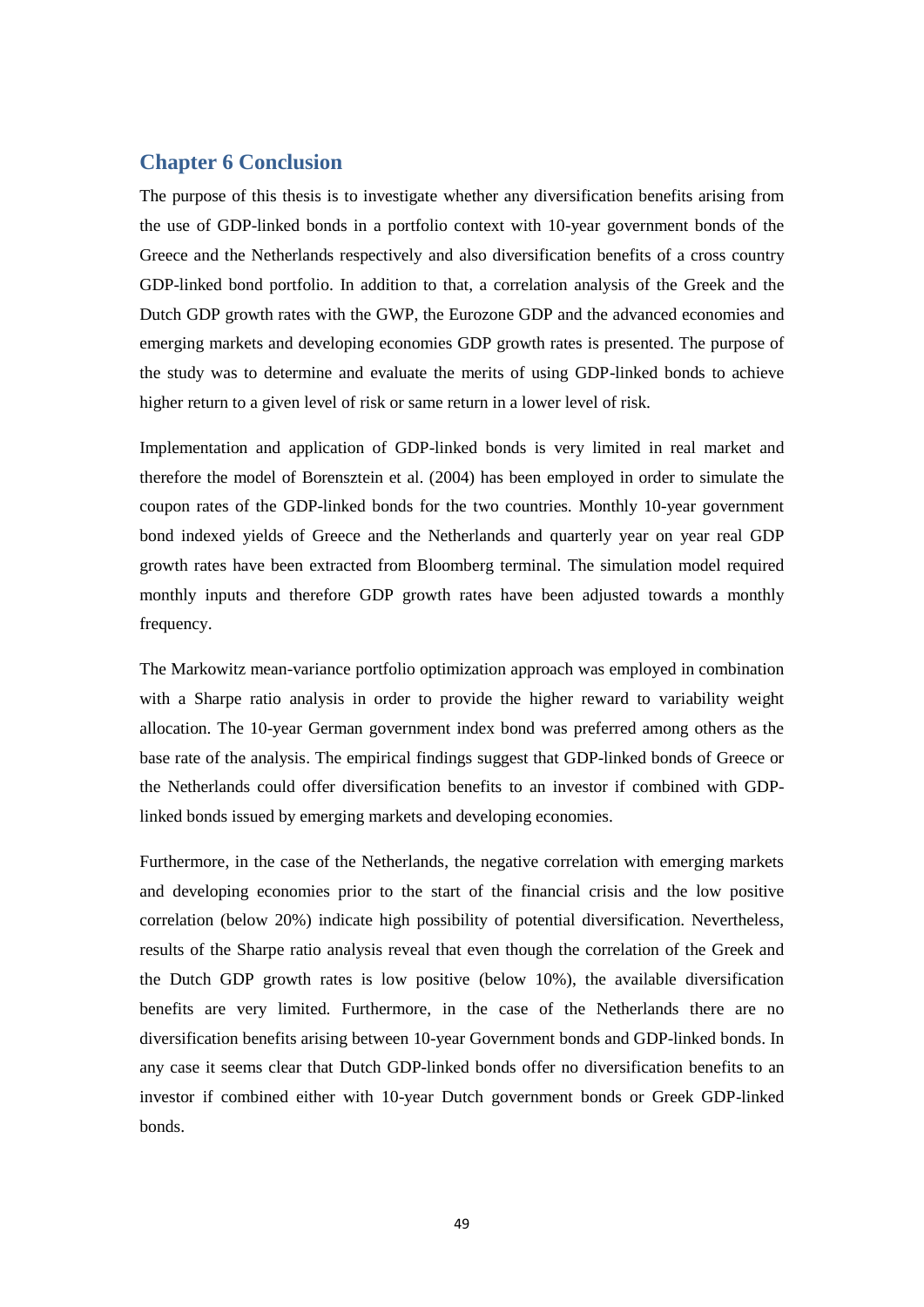## <span id="page-48-0"></span>**Chapter 6 Conclusion**

The purpose of this thesis is to investigate whether any diversification benefits arising from the use of GDP-linked bonds in a portfolio context with 10-year government bonds of the Greece and the Netherlands respectively and also diversification benefits of a cross country GDP-linked bond portfolio. In addition to that, a correlation analysis of the Greek and the Dutch GDP growth rates with the GWP, the Eurozone GDP and the advanced economies and emerging markets and developing economies GDP growth rates is presented. The purpose of the study was to determine and evaluate the merits of using GDP-linked bonds to achieve higher return to a given level of risk or same return in a lower level of risk.

Implementation and application of GDP-linked bonds is very limited in real market and therefore the model of Borensztein et al. (2004) has been employed in order to simulate the coupon rates of the GDP-linked bonds for the two countries. Monthly 10-year government bond indexed yields of Greece and the Netherlands and quarterly year on year real GDP growth rates have been extracted from Bloomberg terminal. The simulation model required monthly inputs and therefore GDP growth rates have been adjusted towards a monthly frequency.

The Markowitz mean-variance portfolio optimization approach was employed in combination with a Sharpe ratio analysis in order to provide the higher reward to variability weight allocation. The 10-year German government index bond was preferred among others as the base rate of the analysis. The empirical findings suggest that GDP-linked bonds of Greece or the Netherlands could offer diversification benefits to an investor if combined with GDPlinked bonds issued by emerging markets and developing economies.

Furthermore, in the case of the Netherlands, the negative correlation with emerging markets and developing economies prior to the start of the financial crisis and the low positive correlation (below 20%) indicate high possibility of potential diversification. Nevertheless, results of the Sharpe ratio analysis reveal that even though the correlation of the Greek and the Dutch GDP growth rates is low positive (below 10%), the available diversification benefits are very limited. Furthermore, in the case of the Netherlands there are no diversification benefits arising between 10-year Government bonds and GDP-linked bonds. In any case it seems clear that Dutch GDP-linked bonds offer no diversification benefits to an investor if combined either with 10-year Dutch government bonds or Greek GDP-linked bonds.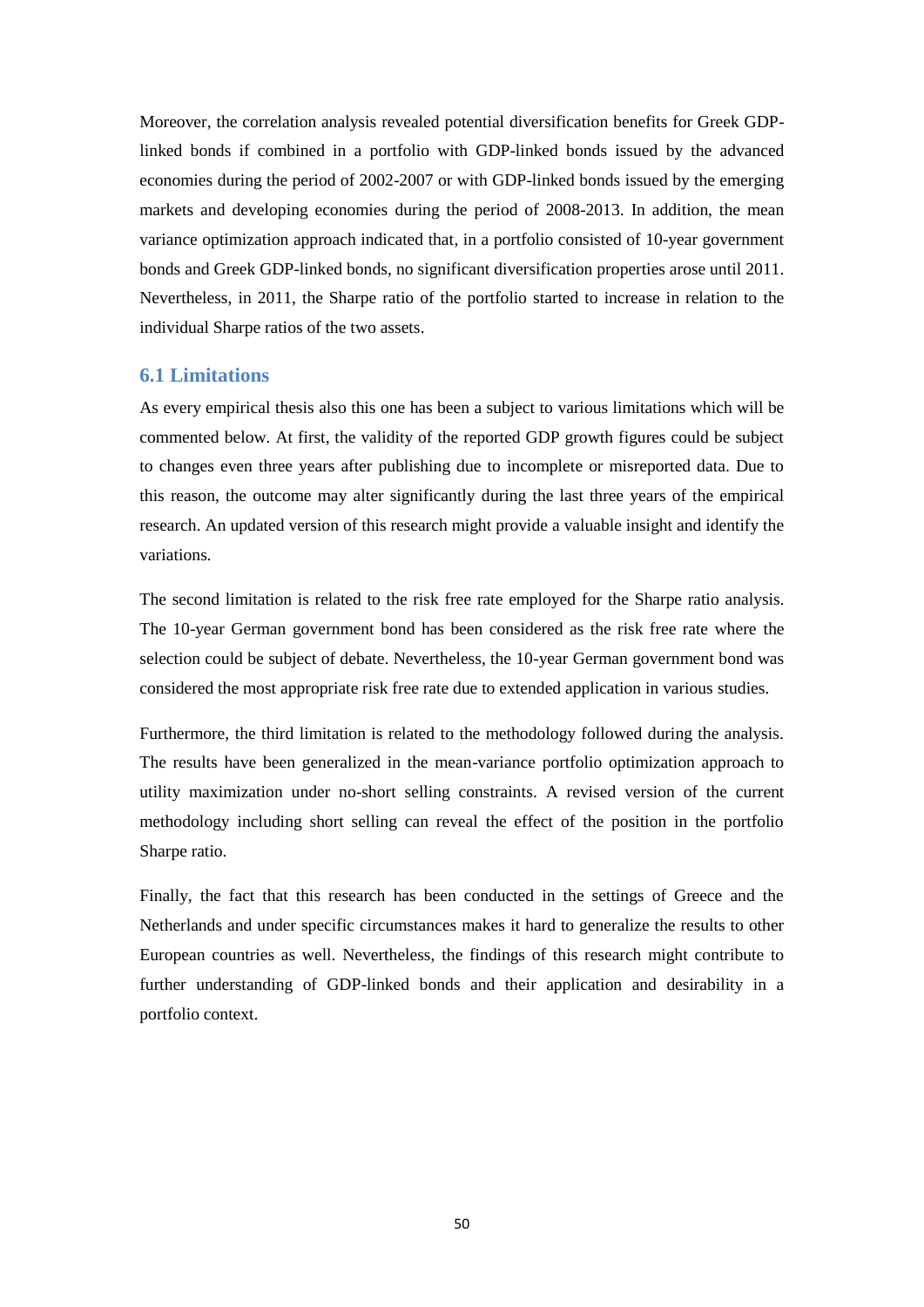Moreover, the correlation analysis revealed potential diversification benefits for Greek GDPlinked bonds if combined in a portfolio with GDP-linked bonds issued by the advanced economies during the period of 2002-2007 or with GDP-linked bonds issued by the emerging markets and developing economies during the period of 2008-2013. In addition, the mean variance optimization approach indicated that, in a portfolio consisted of 10-year government bonds and Greek GDP-linked bonds, no significant diversification properties arose until 2011. Nevertheless, in 2011, the Sharpe ratio of the portfolio started to increase in relation to the individual Sharpe ratios of the two assets.

### <span id="page-49-0"></span>**6.1 Limitations**

As every empirical thesis also this one has been a subject to various limitations which will be commented below. At first, the validity of the reported GDP growth figures could be subject to changes even three years after publishing due to incomplete or misreported data. Due to this reason, the outcome may alter significantly during the last three years of the empirical research. An updated version of this research might provide a valuable insight and identify the variations.

The second limitation is related to the risk free rate employed for the Sharpe ratio analysis. The 10-year German government bond has been considered as the risk free rate where the selection could be subject of debate. Nevertheless, the 10-year German government bond was considered the most appropriate risk free rate due to extended application in various studies.

Furthermore, the third limitation is related to the methodology followed during the analysis. The results have been generalized in the mean-variance portfolio optimization approach to utility maximization under no-short selling constraints. A revised version of the current methodology including short selling can reveal the effect of the position in the portfolio Sharpe ratio.

Finally, the fact that this research has been conducted in the settings of Greece and the Netherlands and under specific circumstances makes it hard to generalize the results to other European countries as well. Nevertheless, the findings of this research might contribute to further understanding of GDP-linked bonds and their application and desirability in a portfolio context.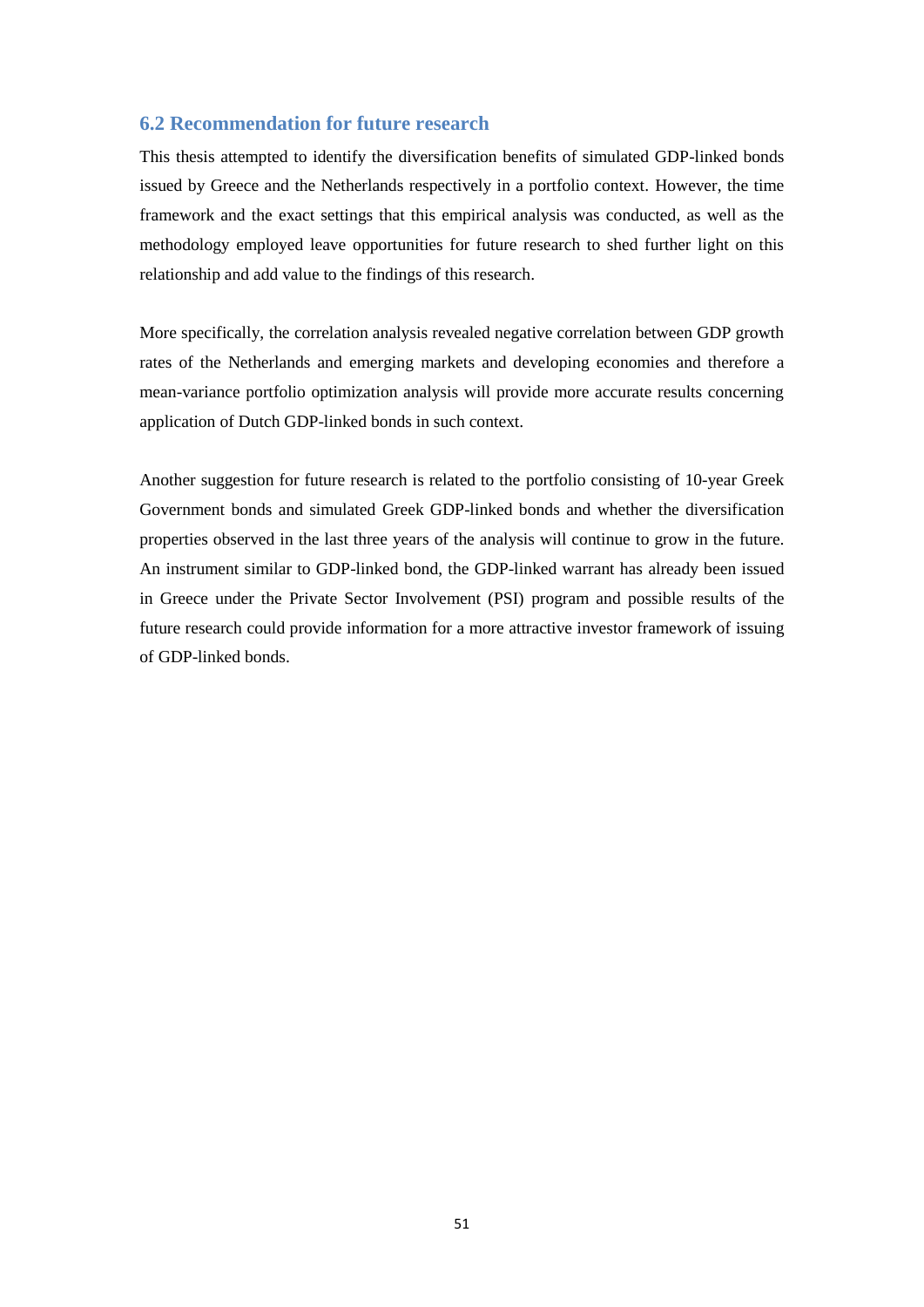## <span id="page-50-0"></span>**6.2 Recommendation for future research**

This thesis attempted to identify the diversification benefits of simulated GDP-linked bonds issued by Greece and the Netherlands respectively in a portfolio context. However, the time framework and the exact settings that this empirical analysis was conducted, as well as the methodology employed leave opportunities for future research to shed further light on this relationship and add value to the findings of this research.

More specifically, the correlation analysis revealed negative correlation between GDP growth rates of the Netherlands and emerging markets and developing economies and therefore a mean-variance portfolio optimization analysis will provide more accurate results concerning application of Dutch GDP-linked bonds in such context.

Another suggestion for future research is related to the portfolio consisting of 10-year Greek Government bonds and simulated Greek GDP-linked bonds and whether the diversification properties observed in the last three years of the analysis will continue to grow in the future. An instrument similar to GDP-linked bond, the GDP-linked warrant has already been issued in Greece under the Private Sector Involvement (PSI) program and possible results of the future research could provide information for a more attractive investor framework of issuing of GDP-linked bonds.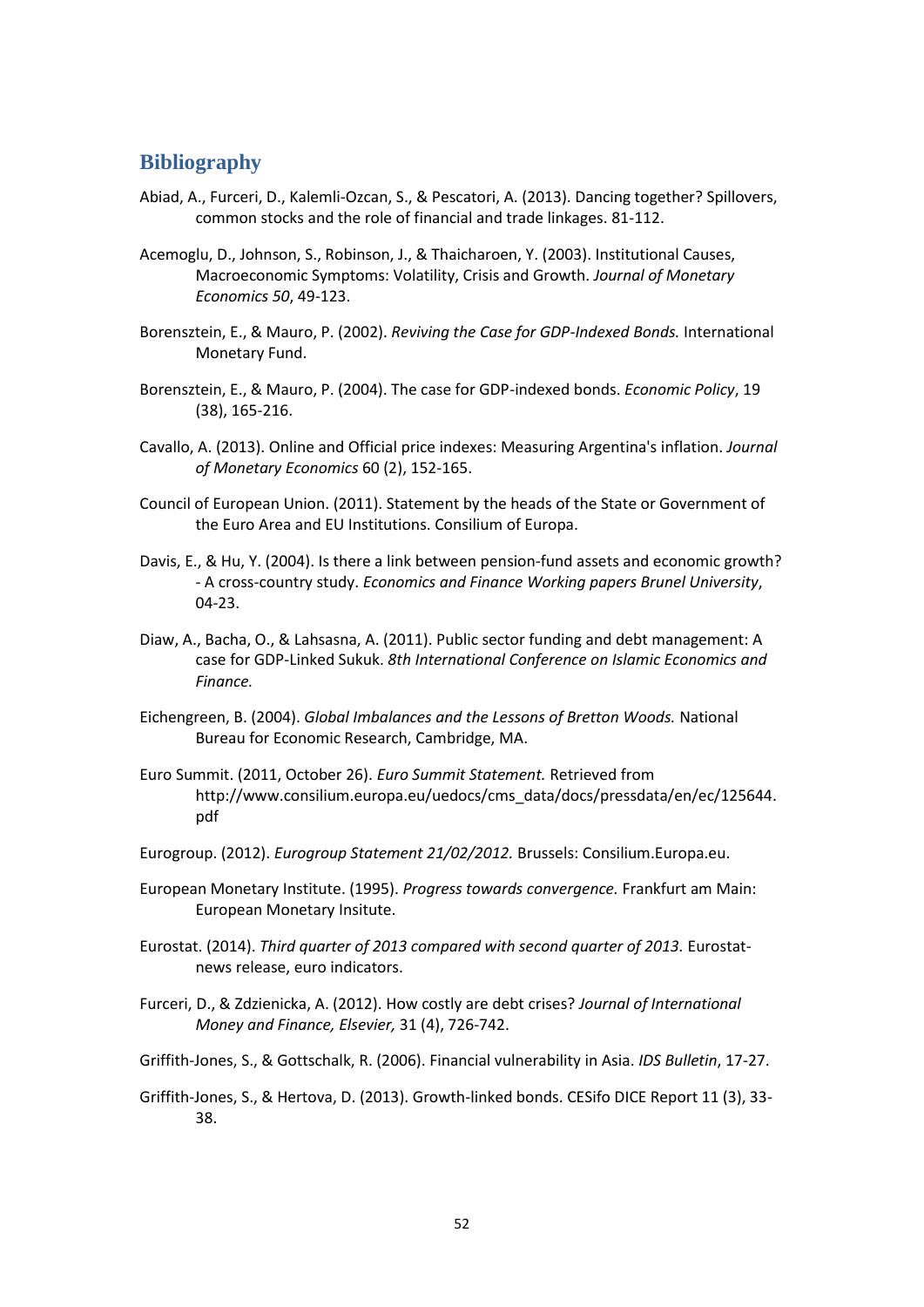## <span id="page-51-0"></span>**Bibliography**

- Abiad, A., Furceri, D., Kalemli-Ozcan, S., & Pescatori, A. (2013). Dancing together? Spillovers, common stocks and the role of financial and trade linkages. 81-112.
- Acemoglu, D., Johnson, S., Robinson, J., & Thaicharoen, Y. (2003). Institutional Causes, Macroeconomic Symptoms: Volatility, Crisis and Growth. *Journal of Monetary Economics 50*, 49-123.
- Borensztein, E., & Mauro, P. (2002). *Reviving the Case for GDP-Indexed Bonds.* International Monetary Fund.
- Borensztein, E., & Mauro, P. (2004). The case for GDP-indexed bonds. *Economic Policy*, 19 (38), 165-216.
- Cavallo, A. (2013). Online and Official price indexes: Measuring Argentina's inflation. *Journal of Monetary Economics* 60 (2), 152-165.
- Council of European Union. (2011). Statement by the heads of the State or Government of the Euro Area and EU Institutions. Consilium of Europa.
- Davis, E., & Hu, Y. (2004). Is there a link between pension-fund assets and economic growth? - A cross-country study. *Economics and Finance Working papers Brunel University*, 04-23.
- Diaw, A., Bacha, O., & Lahsasna, A. (2011). Public sector funding and debt management: A case for GDP-Linked Sukuk. *8th International Conference on Islamic Economics and Finance.*
- Eichengreen, B. (2004). *Global Imbalances and the Lessons of Bretton Woods.* National Bureau for Economic Research, Cambridge, MA.
- Euro Summit. (2011, October 26). *Euro Summit Statement.* Retrieved from http://www.consilium.europa.eu/uedocs/cms\_data/docs/pressdata/en/ec/125644. pdf
- Eurogroup. (2012). *Eurogroup Statement 21/02/2012.* Brussels: Consilium.Europa.eu.
- European Monetary Institute. (1995). *Progress towards convergence.* Frankfurt am Main: European Monetary Insitute.
- Eurostat. (2014). *Third quarter of 2013 compared with second quarter of 2013.* Eurostatnews release, euro indicators.
- Furceri, D., & Zdzienicka, A. (2012). How costly are debt crises? *Journal of International Money and Finance, Elsevier,* 31 (4), 726-742.
- Griffith-Jones, S., & Gottschalk, R. (2006). Financial vulnerability in Asia. *IDS Bulletin*, 17-27.
- Griffith-Jones, S., & Hertova, D. (2013). Growth-linked bonds. CESifo DICE Report 11 (3), 33- 38.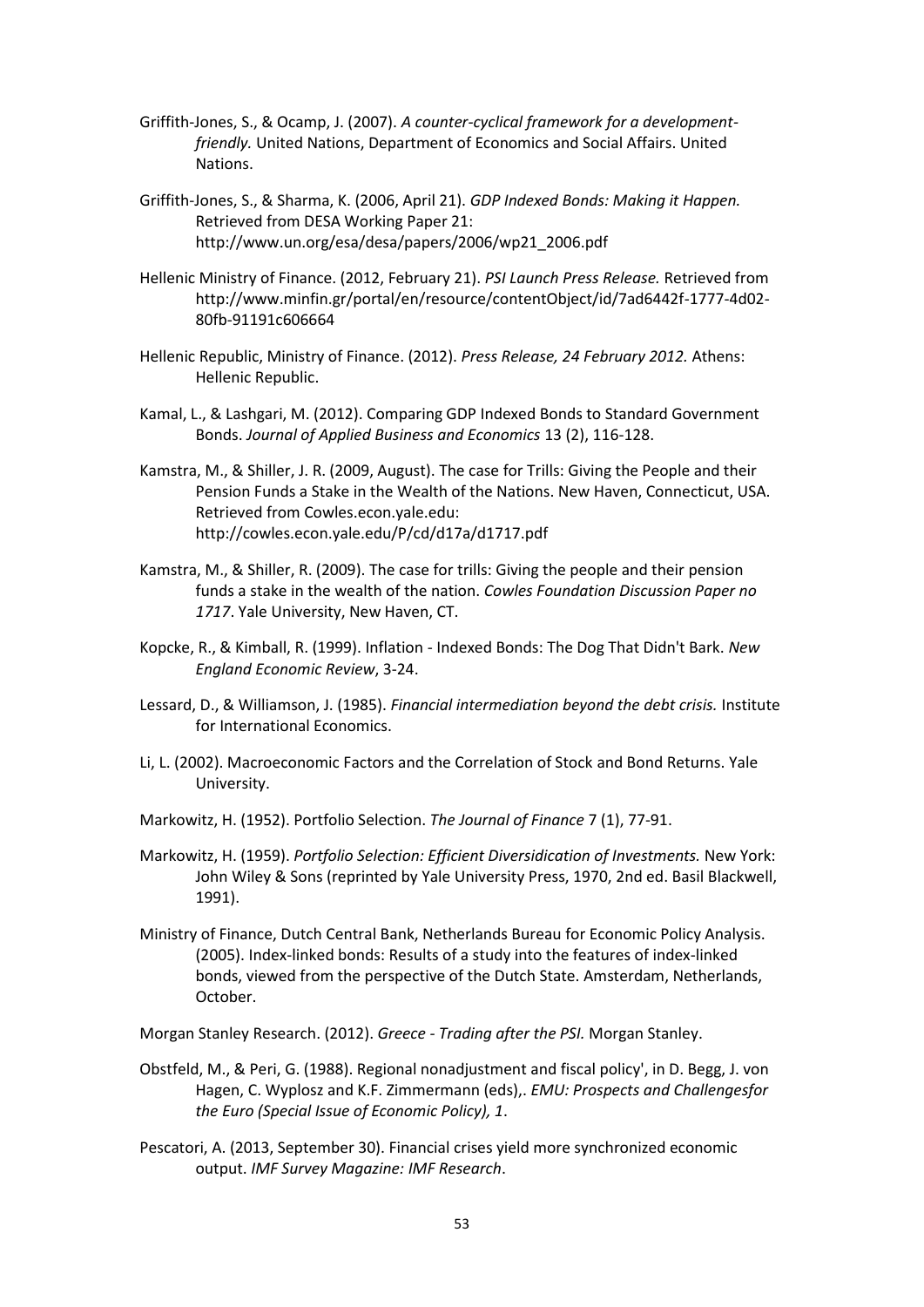- Griffith-Jones, S., & Ocamp, J. (2007). *A counter-cyclical framework for a developmentfriendly.* United Nations, Department of Economics and Social Affairs. United Nations.
- Griffith-Jones, S., & Sharma, K. (2006, April 21). *GDP Indexed Bonds: Making it Happen.* Retrieved from DESA Working Paper 21: http://www.un.org/esa/desa/papers/2006/wp21\_2006.pdf
- Hellenic Ministry of Finance. (2012, February 21). *PSI Launch Press Release.* Retrieved from http://www.minfin.gr/portal/en/resource/contentObject/id/7ad6442f-1777-4d02- 80fb-91191c606664
- Hellenic Republic, Ministry of Finance. (2012). *Press Release, 24 February 2012.* Athens: Hellenic Republic.
- Kamal, L., & Lashgari, M. (2012). Comparing GDP Indexed Bonds to Standard Government Bonds. *Journal of Applied Business and Economics* 13 (2), 116-128.
- Kamstra, M., & Shiller, J. R. (2009, August). The case for Trills: Giving the People and their Pension Funds a Stake in the Wealth of the Nations. New Haven, Connecticut, USA. Retrieved from Cowles.econ.yale.edu: http://cowles.econ.yale.edu/P/cd/d17a/d1717.pdf
- Kamstra, M., & Shiller, R. (2009). The case for trills: Giving the people and their pension funds a stake in the wealth of the nation. *Cowles Foundation Discussion Paper no 1717*. Yale University, New Haven, CT.
- Kopcke, R., & Kimball, R. (1999). Inflation Indexed Bonds: The Dog That Didn't Bark. *New England Economic Review*, 3-24.
- Lessard, D., & Williamson, J. (1985). *Financial intermediation beyond the debt crisis.* Institute for International Economics.
- Li, L. (2002). Macroeconomic Factors and the Correlation of Stock and Bond Returns. Yale University.
- Markowitz, H. (1952). Portfolio Selection. *The Journal of Finance* 7 (1), 77-91.
- Markowitz, H. (1959). *Portfolio Selection: Efficient Diversidication of Investments.* New York: John Wiley & Sons (reprinted by Yale University Press, 1970, 2nd ed. Basil Blackwell, 1991).
- Ministry of Finance, Dutch Central Bank, Netherlands Bureau for Economic Policy Analysis. (2005). Index-linked bonds: Results of a study into the features of index-linked bonds, viewed from the perspective of the Dutch State. Amsterdam, Netherlands, October.
- Morgan Stanley Research. (2012). *Greece Trading after the PSI.* Morgan Stanley.
- Obstfeld, M., & Peri, G. (1988). Regional nonadjustment and fiscal policy', in D. Begg, J. von Hagen, C. Wyplosz and K.F. Zimmermann (eds),. *EMU: Prospects and Challengesfor the Euro (Special Issue of Economic Policy), 1*.
- Pescatori, A. (2013, September 30). Financial crises yield more synchronized economic output. *IMF Survey Magazine: IMF Research*.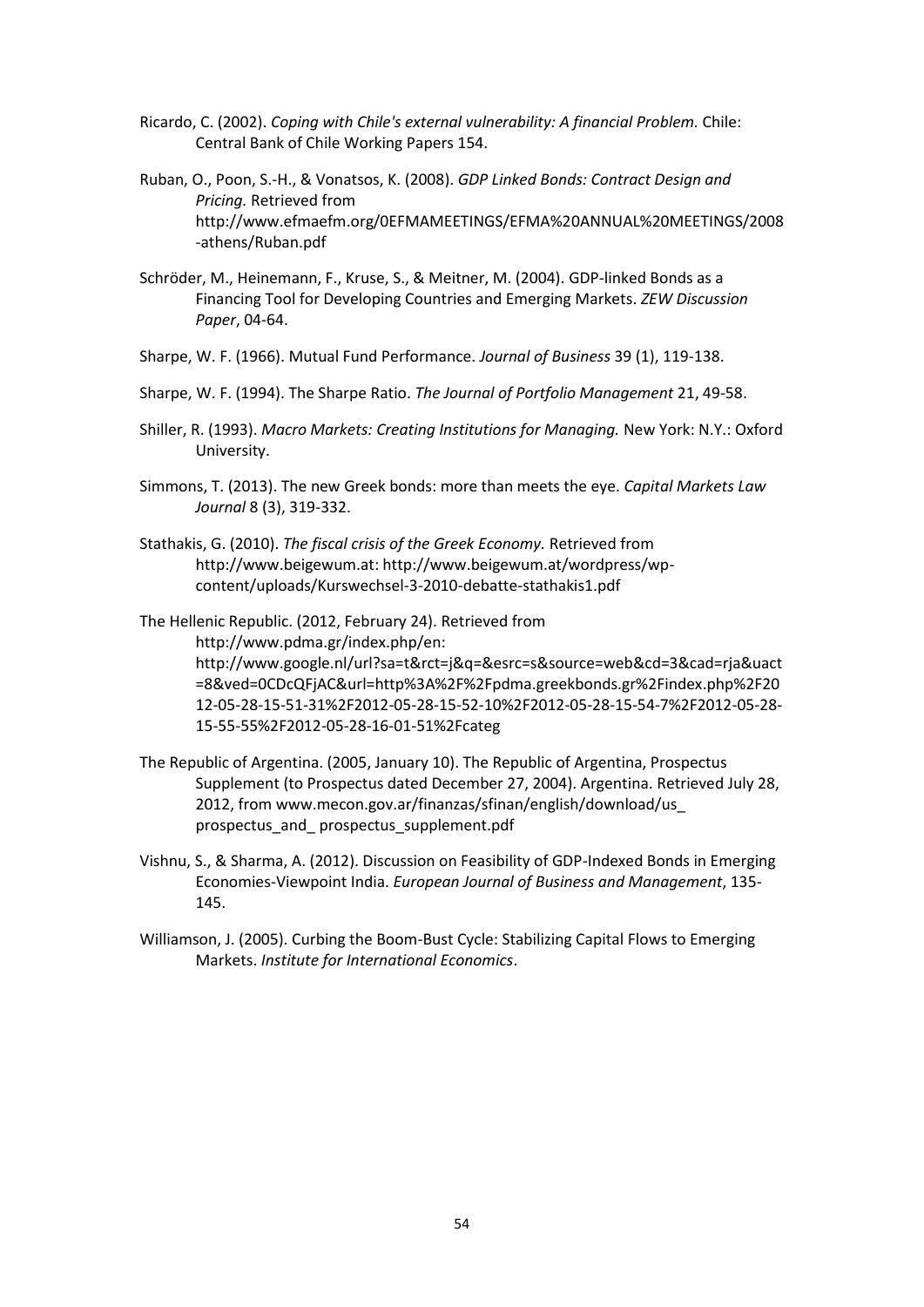- Ricardo, C. (2002). *Coping with Chile's external vulnerability: A financial Problem.* Chile: Central Bank of Chile Working Papers 154.
- Ruban, O., Poon, S.-H., & Vonatsos, K. (2008). *GDP Linked Bonds: Contract Design and Pricing.* Retrieved from http://www.efmaefm.org/0EFMAMEETINGS/EFMA%20ANNUAL%20MEETINGS/2008 -athens/Ruban.pdf
- Schröder, M., Heinemann, F., Kruse, S., & Meitner, M. (2004). GDP-linked Bonds as a Financing Tool for Developing Countries and Emerging Markets. *ZEW Discussion Paper*, 04-64.
- Sharpe, W. F. (1966). Mutual Fund Performance. *Journal of Business* 39 (1), 119-138.
- Sharpe, W. F. (1994). The Sharpe Ratio. *The Journal of Portfolio Management* 21, 49-58.
- Shiller, R. (1993). *Macro Markets: Creating Institutions for Managing.* New York: N.Y.: Oxford University.
- Simmons, T. (2013). The new Greek bonds: more than meets the eye. *Capital Markets Law Journal* 8 (3), 319-332.
- Stathakis, G. (2010). *The fiscal crisis of the Greek Economy.* Retrieved from http://www.beigewum.at: http://www.beigewum.at/wordpress/wpcontent/uploads/Kurswechsel-3-2010-debatte-stathakis1.pdf

The Hellenic Republic. (2012, February 24). Retrieved from http://www.pdma.gr/index.php/en: http://www.google.nl/url?sa=t&rct=j&q=&esrc=s&source=web&cd=3&cad=rja&uact =8&ved=0CDcQFjAC&url=http%3A%2F%2Fpdma.greekbonds.gr%2Findex.php%2F20 12-05-28-15-51-31%2F2012-05-28-15-52-10%2F2012-05-28-15-54-7%2F2012-05-28- 15-55-55%2F2012-05-28-16-01-51%2Fcateg

- The Republic of Argentina. (2005, January 10). The Republic of Argentina, Prospectus Supplement (to Prospectus dated December 27, 2004). Argentina. Retrieved July 28, 2012, from www.mecon.gov.ar/finanzas/sfinan/english/download/us\_ prospectus\_and\_ prospectus\_supplement.pdf
- Vishnu, S., & Sharma, A. (2012). Discussion on Feasibility of GDP-Indexed Bonds in Emerging Economies-Viewpoint India. *European Journal of Business and Management*, 135- 145.
- Williamson, J. (2005). Curbing the Boom-Bust Cycle: Stabilizing Capital Flows to Emerging Markets. *Institute for International Economics*.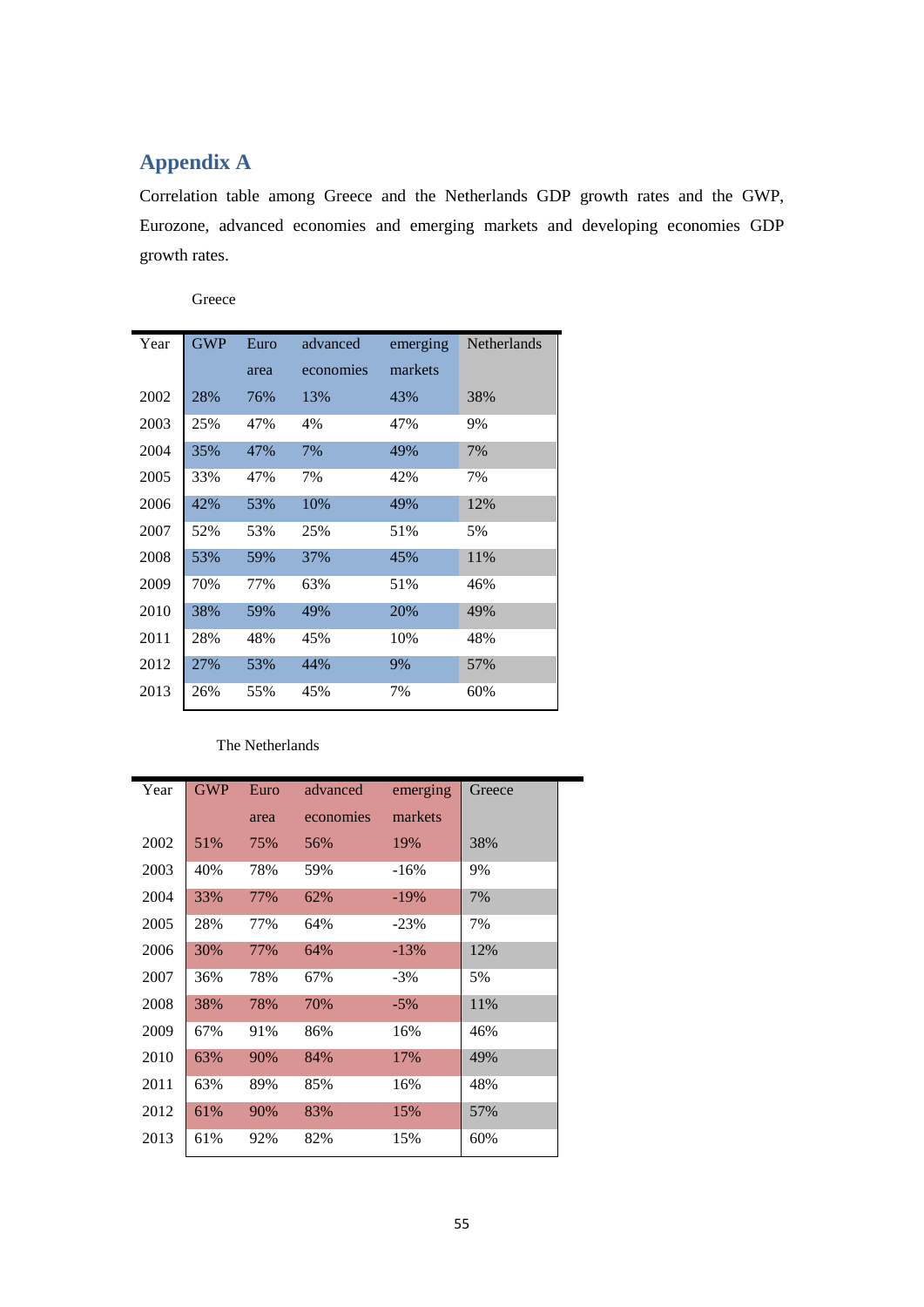## <span id="page-54-0"></span>**Appendix A**

Correlation table among Greece and the Netherlands GDP growth rates and the GWP, Eurozone, advanced economies and emerging markets and developing economies GDP growth rates.

Greece

| Year | <b>GWP</b> | Euro | advanced  | emerging | <b>Netherlands</b> |
|------|------------|------|-----------|----------|--------------------|
|      |            | area | economies | markets  |                    |
| 2002 | 28%        | 76%  | 13%       | 43%      | 38%                |
| 2003 | 25%        | 47%  | 4%        | 47%      | 9%                 |
| 2004 | 35%        | 47%  | 7%        | 49%      | 7%                 |
| 2005 | 33%        | 47%  | 7%        | 42%      | 7%                 |
| 2006 | 42%        | 53%  | 10%       | 49%      | 12%                |
| 2007 | 52%        | 53%  | 25%       | 51%      | 5%                 |
| 2008 | 53%        | 59%  | 37%       | 45%      | 11%                |
| 2009 | 70%        | 77%  | 63%       | 51%      | 46%                |
| 2010 | 38%        | 59%  | 49%       | 20%      | 49%                |
| 2011 | 28%        | 48%  | 45%       | 10%      | 48%                |
| 2012 | 27%        | 53%  | 44%       | 9%       | 57%                |
| 2013 | 26%        | 55%  | 45%       | 7%       | 60%                |

#### The Netherlands

| Year | <b>GWP</b> | Euro | advanced  | emerging | Greece |
|------|------------|------|-----------|----------|--------|
|      |            | area | economies | markets  |        |
| 2002 | 51%        | 75%  | 56%       | 19%      | 38%    |
| 2003 | 40%        | 78%  | 59%       | $-16%$   | 9%     |
| 2004 | 33%        | 77%  | 62%       | $-19%$   | 7%     |
| 2005 | 28%        | 77%  | 64%       | $-23%$   | 7%     |
| 2006 | 30%        | 77%  | 64%       | $-13%$   | 12%    |
| 2007 | 36%        | 78%  | 67%       | $-3\%$   | 5%     |
| 2008 | 38%        | 78%  | 70%       | $-5%$    | 11%    |
| 2009 | 67%        | 91%  | 86%       | 16%      | 46%    |
| 2010 | 63%        | 90%  | 84%       | 17%      | 49%    |
| 2011 | 63%        | 89%  | 85%       | 16%      | 48%    |
| 2012 | 61%        | 90%  | 83%       | 15%      | 57%    |
| 2013 | 61%        | 92%  | 82%       | 15%      | 60%    |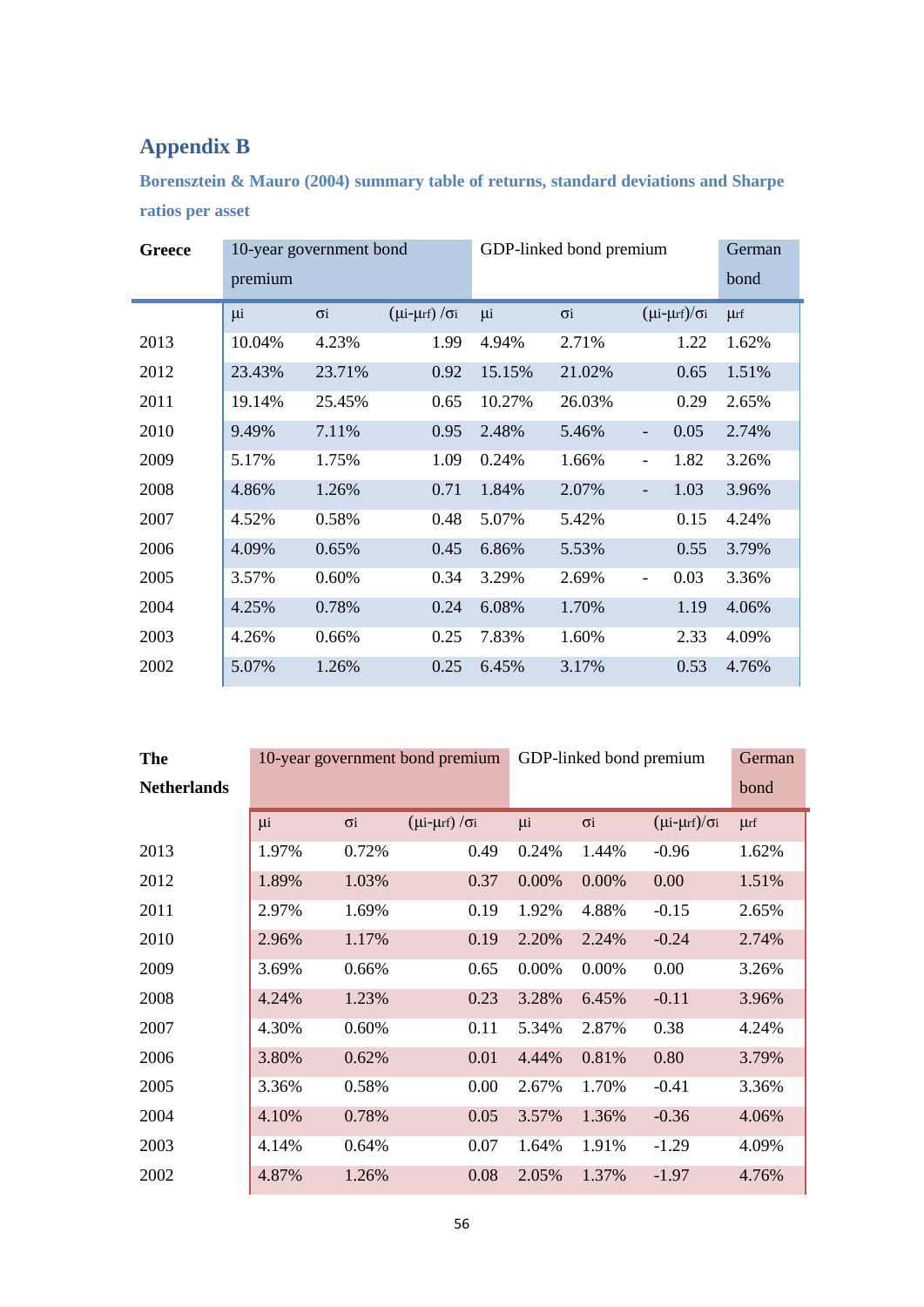# <span id="page-55-0"></span>**Appendix B**

**Borensztein & Mauro (2004) summary table of returns, standard deviations and Sharpe ratios per asset** 

| <b>Greece</b> | 10-year government bond |            |                                   | GDP-linked bond premium |            |                                  | German   |
|---------------|-------------------------|------------|-----------------------------------|-------------------------|------------|----------------------------------|----------|
|               | premium                 |            |                                   |                         |            |                                  | bond     |
|               | μi                      | $\sigma$ i | $(\mu i$ - $\mu$ rf) / $\sigma i$ | μi                      | $\sigma$ i | $(\mu i$ - $\mu$ rf)/ $\sigma i$ | $\mu$ rf |
| 2013          | 10.04%                  | 4.23%      | 1.99                              | 4.94%                   | 2.71%      | 1.22                             | 1.62%    |
| 2012          | 23.43%                  | 23.71%     | 0.92                              | 15.15%                  | 21.02%     | 0.65                             | 1.51%    |
| 2011          | 19.14%                  | 25.45%     | 0.65                              | 10.27%                  | 26.03%     | 0.29                             | 2.65%    |
| 2010          | 9.49%                   | 7.11%      | 0.95                              | 2.48%                   | 5.46%      | 0.05<br>$\overline{\phantom{0}}$ | 2.74%    |
| 2009          | 5.17%                   | 1.75%      | 1.09                              | 0.24%                   | 1.66%      | 1.82<br>$\overline{\phantom{0}}$ | 3.26%    |
| 2008          | 4.86%                   | 1.26%      | 0.71                              | 1.84%                   | 2.07%      | 1.03<br>$\overline{\phantom{0}}$ | 3.96%    |
| 2007          | 4.52%                   | 0.58%      | 0.48                              | 5.07%                   | 5.42%      | 0.15                             | 4.24%    |
| 2006          | 4.09%                   | 0.65%      | 0.45                              | 6.86%                   | 5.53%      | 0.55                             | 3.79%    |
| 2005          | 3.57%                   | 0.60%      | 0.34                              | 3.29%                   | 2.69%      | 0.03<br>$\overline{\phantom{0}}$ | 3.36%    |
| 2004          | 4.25%                   | 0.78%      | 0.24                              | 6.08%                   | 1.70%      | 1.19                             | 4.06%    |
| 2003          | 4.26%                   | 0.66%      | 0.25                              | 7.83%                   | 1.60%      | 2.33                             | 4.09%    |
| 2002          | 5.07%                   | 1.26%      | 0.25                              | 6.45%                   | 3.17%      | 0.53                             | 4.76%    |

| <b>The</b>         | 10-year government bond premium |            |                                   | GDP-linked bond premium | German                |                                  |          |
|--------------------|---------------------------------|------------|-----------------------------------|-------------------------|-----------------------|----------------------------------|----------|
| <b>Netherlands</b> |                                 |            |                                   |                         |                       |                                  | bond     |
|                    | μi                              | $\sigma$ i | $(\mu i$ - $\mu$ rf) / $\sigma i$ | μi                      | $\sigma$ <sub>i</sub> | $(\mu i$ - $\mu$ rf)/ $\sigma i$ | $\mu$ rf |
| 2013               | 1.97%                           | 0.72%      | 0.49                              | 0.24%                   | 1.44%                 | $-0.96$                          | 1.62%    |
| 2012               | 1.89%                           | 1.03%      | 0.37                              | 0.00%                   | 0.00%                 | 0.00                             | 1.51%    |
| 2011               | 2.97%                           | 1.69%      | 0.19                              | 1.92%                   | 4.88%                 | $-0.15$                          | 2.65%    |
| 2010               | 2.96%                           | 1.17%      | 0.19                              | 2.20%                   | 2.24%                 | $-0.24$                          | 2.74%    |
| 2009               | 3.69%                           | 0.66%      | 0.65                              | 0.00%                   | 0.00%                 | 0.00                             | 3.26%    |
| 2008               | 4.24%                           | 1.23%      | 0.23                              | 3.28%                   | 6.45%                 | $-0.11$                          | 3.96%    |
| 2007               | 4.30%                           | 0.60%      | 0.11                              | 5.34%                   | 2.87%                 | 0.38                             | 4.24%    |
| 2006               | 3.80%                           | 0.62%      | 0.01                              | 4.44%                   | 0.81%                 | 0.80                             | 3.79%    |
| 2005               | 3.36%                           | 0.58%      | 0.00                              | 2.67%                   | 1.70%                 | $-0.41$                          | 3.36%    |
| 2004               | 4.10%                           | 0.78%      | 0.05                              | 3.57%                   | 1.36%                 | $-0.36$                          | 4.06%    |
| 2003               | 4.14%                           | 0.64%      | 0.07                              | 1.64%                   | 1.91%                 | $-1.29$                          | 4.09%    |
| 2002               | 4.87%                           | 1.26%      | 0.08                              | 2.05%                   | 1.37%                 | $-1.97$                          | 4.76%    |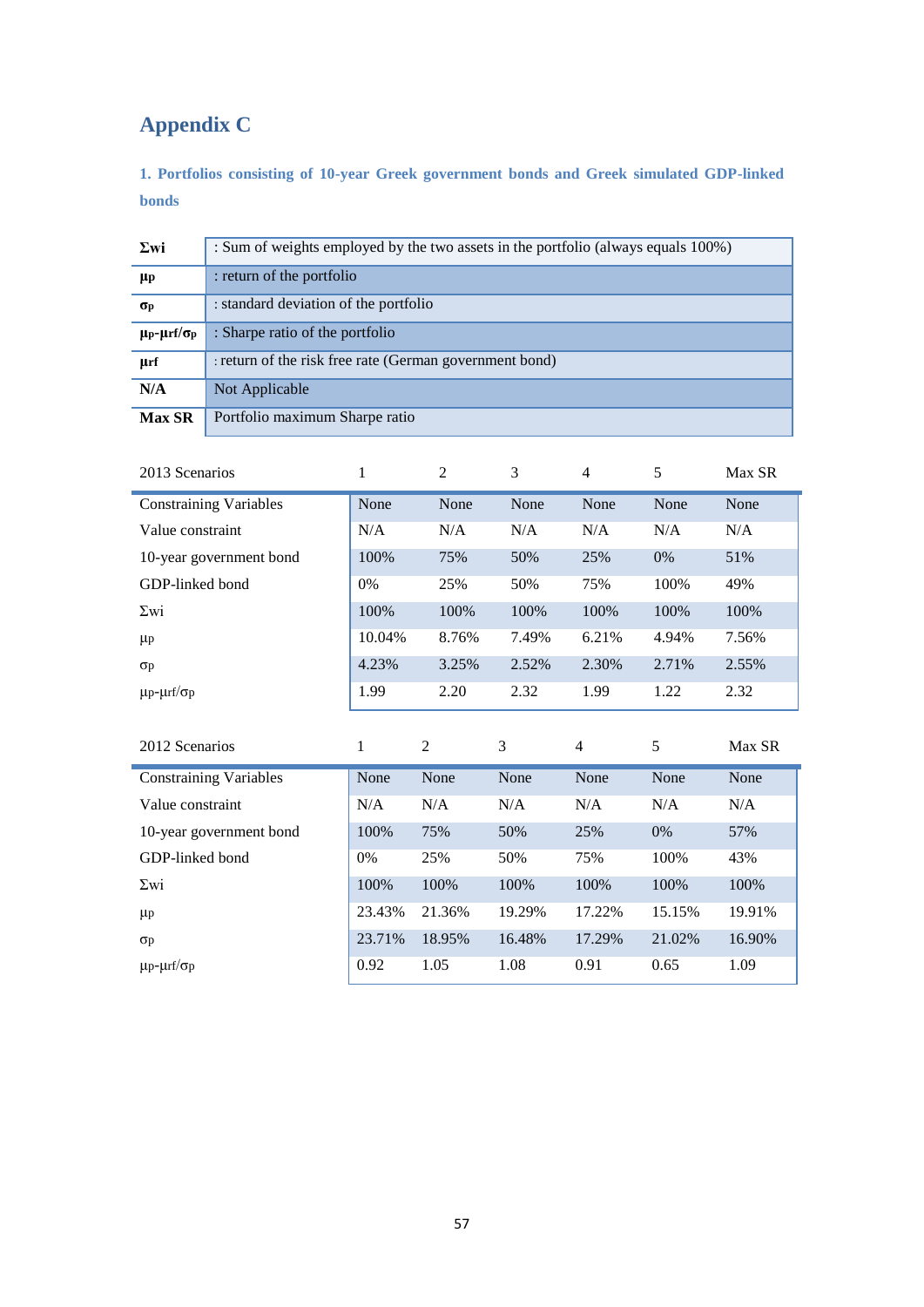# <span id="page-56-0"></span>**Appendix C**

<span id="page-56-1"></span>**1. Portfolios consisting of 10-year Greek government bonds and Greek simulated GDP-linked bonds** 

| $\Sigma$ wi                                  | : Sum of weights employed by the two assets in the portfolio (always equals 100%) |
|----------------------------------------------|-----------------------------------------------------------------------------------|
| $\mu_{\rm P}$                                | : return of the portfolio                                                         |
| $\sigma_{\rm p}$                             | : standard deviation of the portfolio                                             |
| $\mu$ <sub>P</sub> - $\mu$ rf/σ <sub>p</sub> | : Sharpe ratio of the portfolio                                                   |
| µrf                                          | : return of the risk free rate (German government bond)                           |
| N/A                                          | Not Applicable                                                                    |
| <b>Max SR</b>                                | Portfolio maximum Sharpe ratio                                                    |

| 2013 Scenarios                | $\mathbf{1}$ | $\overline{2}$ | 3      | 4              | 5      | Max SR |
|-------------------------------|--------------|----------------|--------|----------------|--------|--------|
| <b>Constraining Variables</b> | None         | None           | None   | None           | None   | None   |
| Value constraint              | N/A          | N/A            | N/A    | N/A            | N/A    | N/A    |
| 10-year government bond       | 100%         | 75%            | 50%    | 25%            | 0%     | 51%    |
| GDP-linked bond               | 0%           | 25%            | 50%    | 75%            | 100%   | 49%    |
| $\Sigma$ wi                   | 100%         | 100%           | 100%   | 100%           | 100%   | 100%   |
| $\mu$ p                       | 10.04%       | 8.76%          | 7.49%  | 6.21%          | 4.94%  | 7.56%  |
| $\sigma$                      | 4.23%        | 3.25%          | 2.52%  | 2.30%          | 2.71%  | 2.55%  |
| $\mu$ p- $\mu$ rf/ $\sigma$ p | 1.99         | 2.20           | 2.32   | 1.99           | 1.22   | 2.32   |
|                               |              |                |        |                |        |        |
|                               |              |                |        |                |        |        |
| 2012 Scenarios                | 1            | $\mathfrak{2}$ | 3      | $\overline{4}$ | 5      | Max SR |
| <b>Constraining Variables</b> | None         | None           | None   | None           | None   | None   |
| Value constraint              | N/A          | N/A            | N/A    | N/A            | N/A    | N/A    |
| 10-year government bond       | 100%         | 75%            | 50%    | 25%            | 0%     | 57%    |
| GDP-linked bond               | 0%           | 25%            | 50%    | 75%            | 100%   | 43%    |
| $\Sigma$ wi                   | 100%         | 100%           | 100%   | 100%           | 100%   | 100%   |
| $\mu$ p                       | 23.43%       | 21.36%         | 19.29% | 17.22%         | 15.15% | 19.91% |
| $\sigma$                      | 23.71%       | 18.95%         | 16.48% | 17.29%         | 21.02% | 16.90% |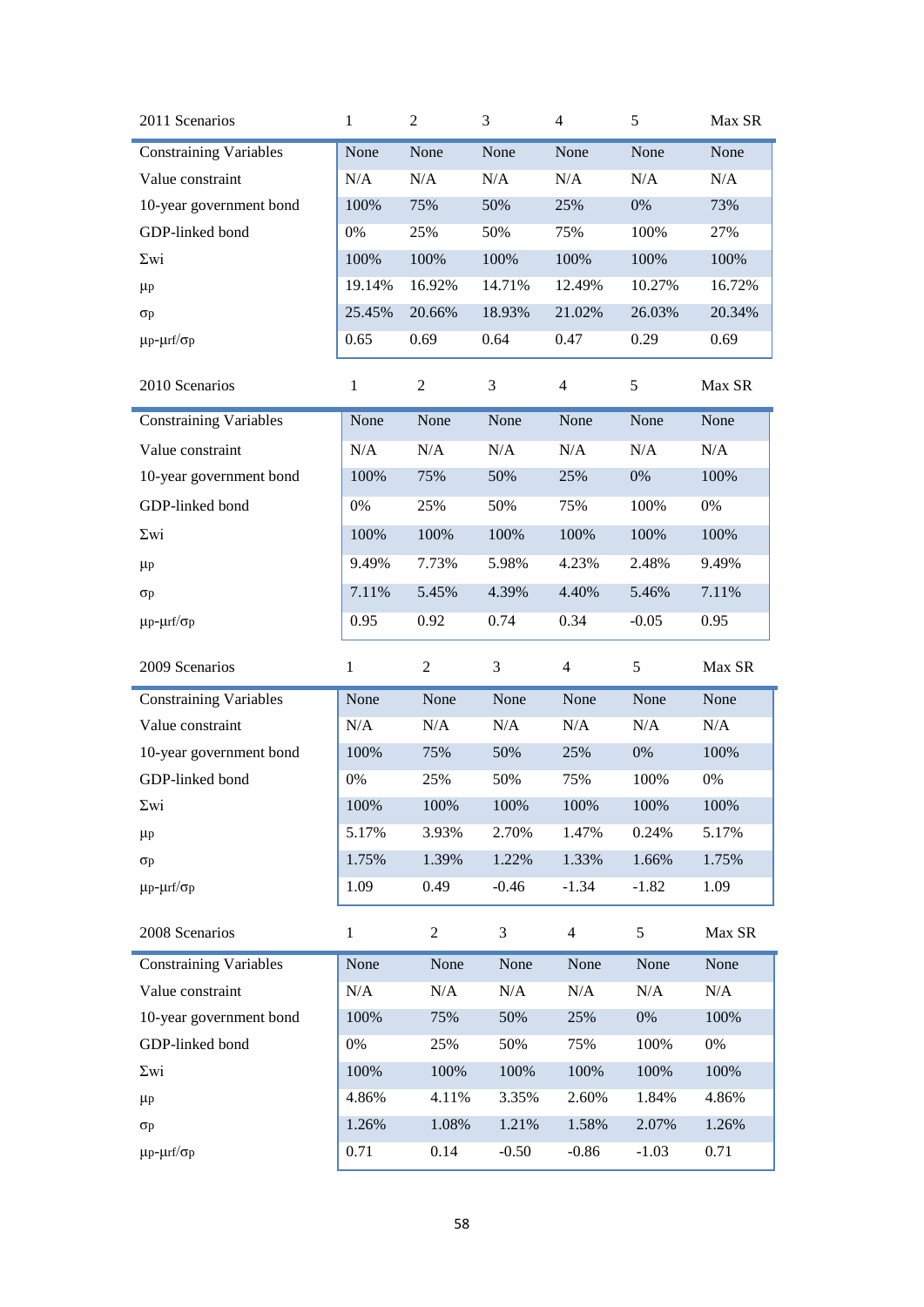| 2011 Scenarios                | 1            | 2              | 3       | $\overline{4}$ | 5       | Max SR |
|-------------------------------|--------------|----------------|---------|----------------|---------|--------|
| <b>Constraining Variables</b> | None         | None           | None    | None           | None    | None   |
| Value constraint              | N/A          | N/A            | N/A     | N/A            | N/A     | N/A    |
| 10-year government bond       | 100%         | 75%            | 50%     | 25%            | 0%      | 73%    |
| GDP-linked bond               | 0%           | 25%            | 50%     | 75%            | 100%    | 27%    |
| $\Sigma$ wi                   | 100%         | 100%           | 100%    | 100%           | 100%    | 100%   |
| $\mu$ p                       | 19.14%       | 16.92%         | 14.71%  | 12.49%         | 10.27%  | 16.72% |
| $\sigma$ p                    | 25.45%       | 20.66%         | 18.93%  | 21.02%         | 26.03%  | 20.34% |
| $\mu$ p- $\mu$ rf/ $\sigma$ p | 0.65         | 0.69           | 0.64    | 0.47           | 0.29    | 0.69   |
| 2010 Scenarios                | $\mathbf{1}$ | 2              | 3       | $\overline{4}$ | 5       | Max SR |
| <b>Constraining Variables</b> | None         | None           | None    | None           | None    | None   |
| Value constraint              | N/A          | N/A            | N/A     | N/A            | N/A     | N/A    |
| 10-year government bond       | 100%         | 75%            | 50%     | 25%            | 0%      | 100%   |
| GDP-linked bond               | 0%           | 25%            | 50%     | 75%            | 100%    | $0\%$  |
| $\Sigma$ wi                   | 100%         | 100%           | 100%    | 100%           | 100%    | 100%   |
| $\mu$ p                       | 9.49%        | 7.73%          | 5.98%   | 4.23%          | 2.48%   | 9.49%  |
| $\sigma$ p                    | 7.11%        | 5.45%          | 4.39%   | 4.40%          | 5.46%   | 7.11%  |
| $\mu$ p- $\mu$ rf/ $\sigma$ p | 0.95         | 0.92           | 0.74    | 0.34           | $-0.05$ | 0.95   |
|                               |              |                |         |                |         |        |
| 2009 Scenarios                | $\mathbf{1}$ | 2              | 3       | $\overline{4}$ | 5       | Max SR |
| <b>Constraining Variables</b> | None         | None           | None    | None           | None    | None   |
| Value constraint              | N/A          | N/A            | N/A     | N/A            | N/A     | N/A    |
| 10-year government bond       | 100%         | 75%            | 50%     | 25%            | 0%      | 100%   |
| GDP-linked bond               | 0%           | 25%            | 50%     | 75%            | 100%    | 0%     |
| $\Sigma$ wi                   | 100%         | 100%           | 100%    | 100%           | 100%    | 100%   |
| $\mu$ p                       | 5.17%        | 3.93%          | 2.70%   | 1.47%          | 0.24%   | 5.17%  |
| $\sigma$ p                    | 1.75%        | 1.39%          | 1.22%   | 1.33%          | 1.66%   | 1.75%  |
| $\mu$ p- $\mu$ rf/ $\sigma$ p | 1.09         | 0.49           | $-0.46$ | $-1.34$        | $-1.82$ | 1.09   |
| 2008 Scenarios                | $\mathbf{1}$ | $\overline{2}$ | 3       | $\overline{4}$ | 5       | Max SR |
| <b>Constraining Variables</b> | None         | None           | None    | None           | None    | None   |
| Value constraint              | N/A          | N/A            | N/A     | N/A            | N/A     | N/A    |
| 10-year government bond       | 100%         | 75%            | 50%     | 25%            | $0\%$   | 100%   |
| GDP-linked bond               | 0%           | 25%            | 50%     | 75%            | 100%    | 0%     |
| $\Sigma$ wi                   | 100%         | 100%           | 100%    | 100%           | 100%    | 100%   |
| $\mu$ p                       | 4.86%        | 4.11%          | 3.35%   | 2.60%          | 1.84%   | 4.86%  |
| $\sigma$ p                    | 1.26%        | 1.08%          | 1.21%   | 1.58%          | 2.07%   | 1.26%  |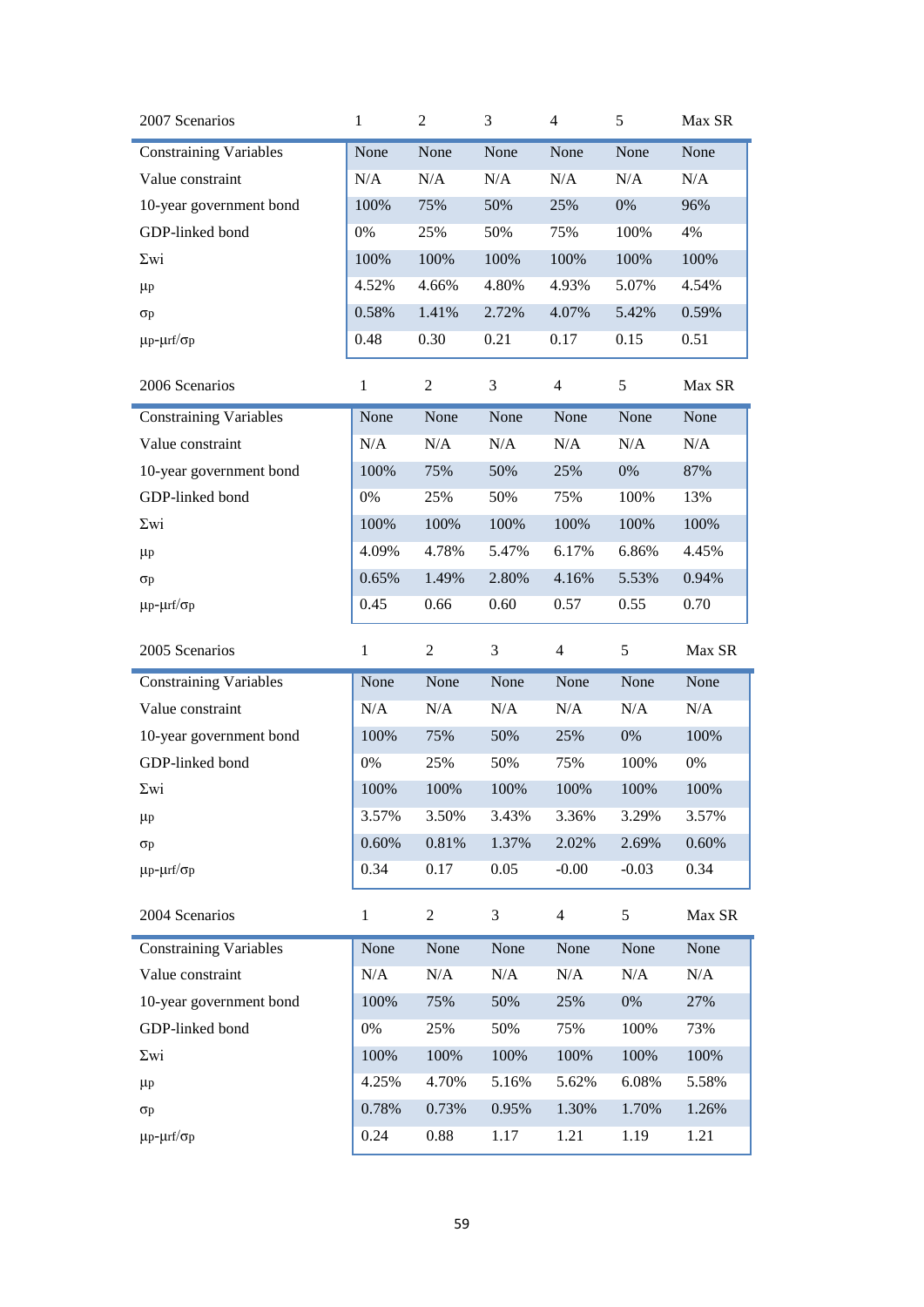| 2007 Scenarios                | 1            | $\overline{c}$ | 3     | $\overline{4}$ | 5       | Max SR |
|-------------------------------|--------------|----------------|-------|----------------|---------|--------|
| <b>Constraining Variables</b> | None         | None           | None  | None           | None    | None   |
| Value constraint              | N/A          | N/A            | N/A   | N/A            | N/A     | N/A    |
| 10-year government bond       | 100%         | 75%            | 50%   | 25%            | 0%      | 96%    |
| GDP-linked bond               | 0%           | 25%            | 50%   | 75%            | 100%    | 4%     |
| $\Sigma$ wi                   | 100%         | 100%           | 100%  | 100%           | 100%    | 100%   |
| $\mu$ p                       | 4.52%        | 4.66%          | 4.80% | 4.93%          | 5.07%   | 4.54%  |
| $\sigma$ p                    | 0.58%        | 1.41%          | 2.72% | 4.07%          | 5.42%   | 0.59%  |
| $\mu$ p- $\mu$ rf/ $\sigma$ p | 0.48         | 0.30           | 0.21  | 0.17           | 0.15    | 0.51   |
| 2006 Scenarios                | $\mathbf{1}$ | $\overline{c}$ | 3     | 4              | 5       | Max SR |
| <b>Constraining Variables</b> | None         | None           | None  | None           | None    | None   |
| Value constraint              | N/A          | N/A            | N/A   | N/A            | N/A     | N/A    |
| 10-year government bond       | 100%         | 75%            | 50%   | 25%            | 0%      | 87%    |
| GDP-linked bond               | 0%           | 25%            | 50%   | 75%            | 100%    | 13%    |
| $\Sigma$ wi                   | 100%         | 100%           | 100%  | 100%           | 100%    | 100%   |
| $\mu$ p                       | 4.09%        | 4.78%          | 5.47% | 6.17%          | 6.86%   | 4.45%  |
| Op                            | 0.65%        | 1.49%          | 2.80% | 4.16%          | 5.53%   | 0.94%  |
| $\mu$ p- $\mu$ rf/ $\sigma$ p | 0.45         | 0.66           | 0.60  | 0.57           | 0.55    | 0.70   |
| 2005 Scenarios                | $\mathbf{1}$ | $\overline{c}$ | 3     | $\overline{4}$ | 5       | Max SR |
|                               |              |                |       |                |         |        |
| <b>Constraining Variables</b> | None         | None           | None  | None           | None    | None   |
| Value constraint              | N/A          | N/A            | N/A   | N/A            | N/A     | N/A    |
| 10-year government bond       | 100%         | 75%            | 50%   | 25%            | 0%      | 100%   |
| GDP-linked bond               | 0%           | 25%            | 50%   | 75%            | 100%    | $0\%$  |
| $\Sigma$ wi                   | 100%         | 100%           | 100%  | 100%           | 100%    | 100%   |
| $\mu$ p                       | 3.57%        | 3.50%          | 3.43% | 3.36%          | 3.29%   | 3.57%  |
| $\sigma$ p                    | 0.60%        | 0.81%          | 1.37% | 2.02%          | 2.69%   | 0.60%  |
| $\mu$ p- $\mu$ rf/ $\sigma$ p | 0.34         | 0.17           | 0.05  | $-0.00$        | $-0.03$ | 0.34   |
| 2004 Scenarios                | $\mathbf{1}$ | $\overline{2}$ | 3     | $\overline{4}$ | 5       | Max SR |
| <b>Constraining Variables</b> | None         | None           | None  | None           | None    | None   |
| Value constraint              | N/A          | N/A            | N/A   | N/A            | N/A     | N/A    |
| 10-year government bond       | 100%         | 75%            | 50%   | 25%            | 0%      | 27%    |
| GDP-linked bond               | $0\%$        | 25%            | 50%   | 75%            | 100%    | 73%    |
| $\Sigma$ wi                   | 100%         | 100%           | 100%  | 100%           | 100%    | 100%   |
| $\mu$ p                       | 4.25%        | 4.70%          | 5.16% | 5.62%          | 6.08%   | 5.58%  |
| Op                            | 0.78%        | 0.73%          | 0.95% | 1.30%          | 1.70%   | 1.26%  |
| $\mu$ p- $\mu$ rf/ $\sigma$ p | 0.24         | 0.88           | 1.17  | 1.21           | 1.19    | 1.21   |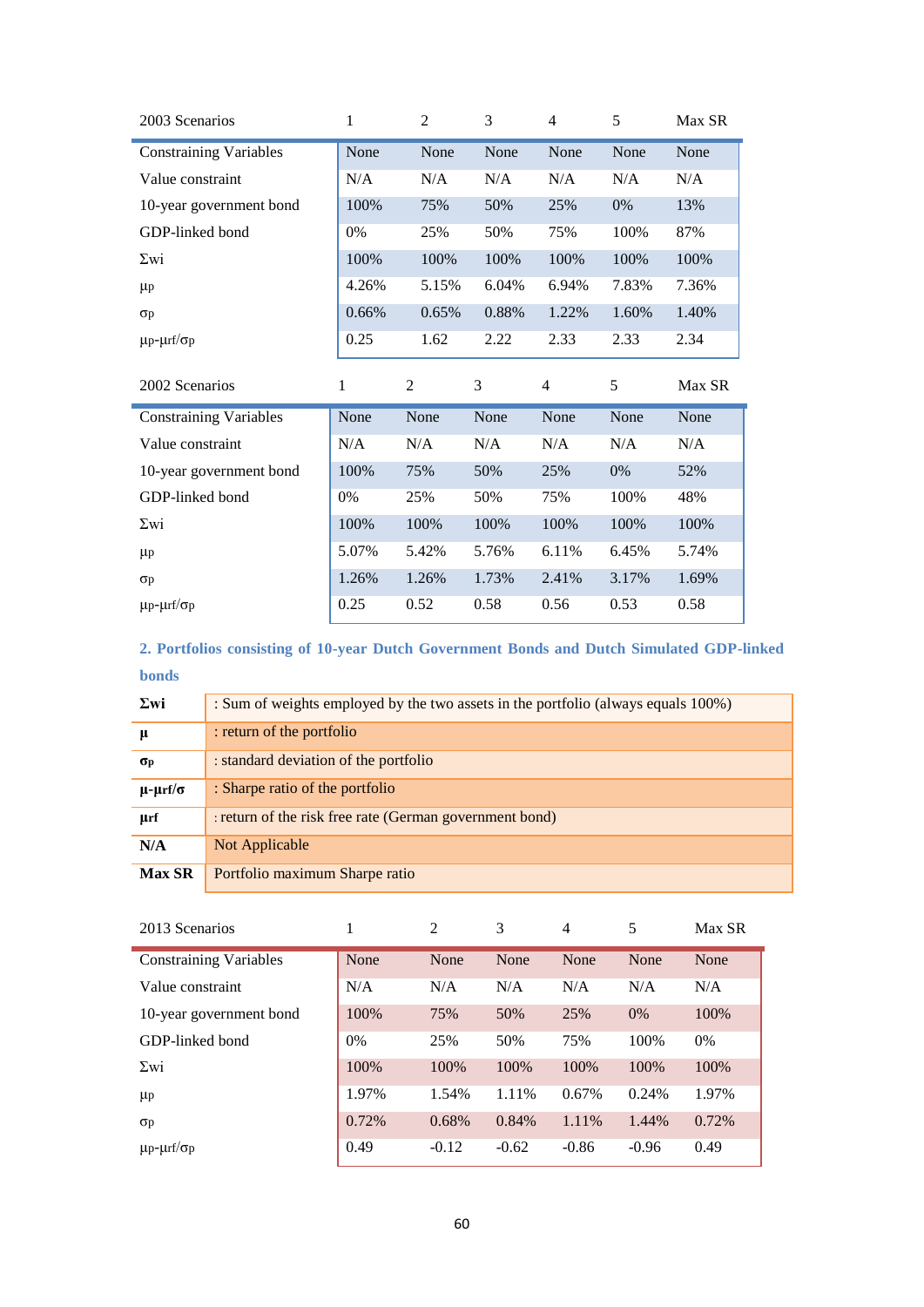| 2003 Scenarios                | 1            | 2              | 3     | $\overline{4}$           | 5     | Max SR |
|-------------------------------|--------------|----------------|-------|--------------------------|-------|--------|
| <b>Constraining Variables</b> | None         | None           | None  | None                     | None  | None   |
| Value constraint              | N/A          | N/A            | N/A   | N/A                      | N/A   | N/A    |
| 10-year government bond       | 100%         | 75%            | 50%   | 25%                      | 0%    | 13%    |
| GDP-linked bond               | $0\%$        | 25%            | 50%   | 75%                      | 100%  | 87%    |
| $\Sigma$ wi                   | 100%         | 100%           | 100%  | 100%                     | 100%  | 100%   |
| $\mu$ p                       | 4.26%        | 5.15%          | 6.04% | 6.94%                    | 7.83% | 7.36%  |
| $\sigma$ p                    | 0.66%        | 0.65%          | 0.88% | 1.22%                    | 1.60% | 1.40%  |
| $\mu$ p- $\mu$ rf/ $\sigma$ p | 0.25         | 1.62           | 2.22  | 2.33                     | 2.33  | 2.34   |
|                               |              |                |       |                          |       |        |
| 2002 Scenarios                | $\mathbf{1}$ | $\overline{c}$ | 3     | $\overline{\mathcal{A}}$ | 5     | Max SR |
| <b>Constraining Variables</b> | None         | None           | None  | None                     | None  | None   |
| Value constraint              | N/A          | N/A            | N/A   | N/A                      | N/A   | N/A    |
| 10-year government bond       | 100%         | 75%            | 50%   | 25%                      | 0%    | 52%    |
| GDP-linked bond               | $0\%$        | 25%            | 50%   | 75%                      | 100%  | 48%    |
| $\Sigma$ wi                   | 100%         | 100%           | 100%  | 100%                     | 100%  | 100%   |
| $\mu$ p                       | 5.07%        | 5.42%          | 5.76% | 6.11%                    | 6.45% | 5.74%  |
| $\sigma$                      | 1.26%        | 1.26%          | 1.73% | 2.41%                    | 3.17% | 1.69%  |
| $\mu$ p- $\mu$ rf/ $\sigma$ p | 0.25         | 0.52           | 0.58  | 0.56                     | 0.53  | 0.58   |

<span id="page-59-0"></span>**2. Portfolios consisting of 10-year Dutch Government Bonds and Dutch Simulated GDP-linked bonds** 

| $\Sigma$ wi        | : Sum of weights employed by the two assets in the portfolio (always equals 100%) |
|--------------------|-----------------------------------------------------------------------------------|
| μ                  | : return of the portfolio                                                         |
| $\sigma_{\rm p}$   | : standard deviation of the portfolio                                             |
| $\mu$ - $\mu$ rf/σ | : Sharpe ratio of the portfolio                                                   |
| µrf                | : return of the risk free rate (German government bond)                           |
| N/A                | Not Applicable                                                                    |
| <b>Max SR</b>      | Portfolio maximum Sharpe ratio                                                    |

| 2013 Scenarios                | 1     | 2       | 3       | $\overline{4}$ | 5       | Max SR |
|-------------------------------|-------|---------|---------|----------------|---------|--------|
| <b>Constraining Variables</b> | None  | None    | None    | None           | None    | None   |
| Value constraint              | N/A   | N/A     | N/A     | N/A            | N/A     | N/A    |
| 10-year government bond       | 100%  | 75%     | 50%     | 25%            | 0%      | 100%   |
| GDP-linked bond               | $0\%$ | 25%     | 50%     | 75%            | 100%    | $0\%$  |
| $\Sigma$ wi                   | 100%  | 100%    | 100%    | 100%           | 100%    | 100%   |
| $\mu$ p                       | 1.97% | 1.54%   | 1.11%   | 0.67%          | 0.24%   | 1.97%  |
| $\sigma$                      | 0.72% | 0.68%   | 0.84%   | 1.11%          | 1.44%   | 0.72%  |
| $\mu$ p- $\mu$ rf/ $\sigma$ p | 0.49  | $-0.12$ | $-0.62$ | $-0.86$        | $-0.96$ | 0.49   |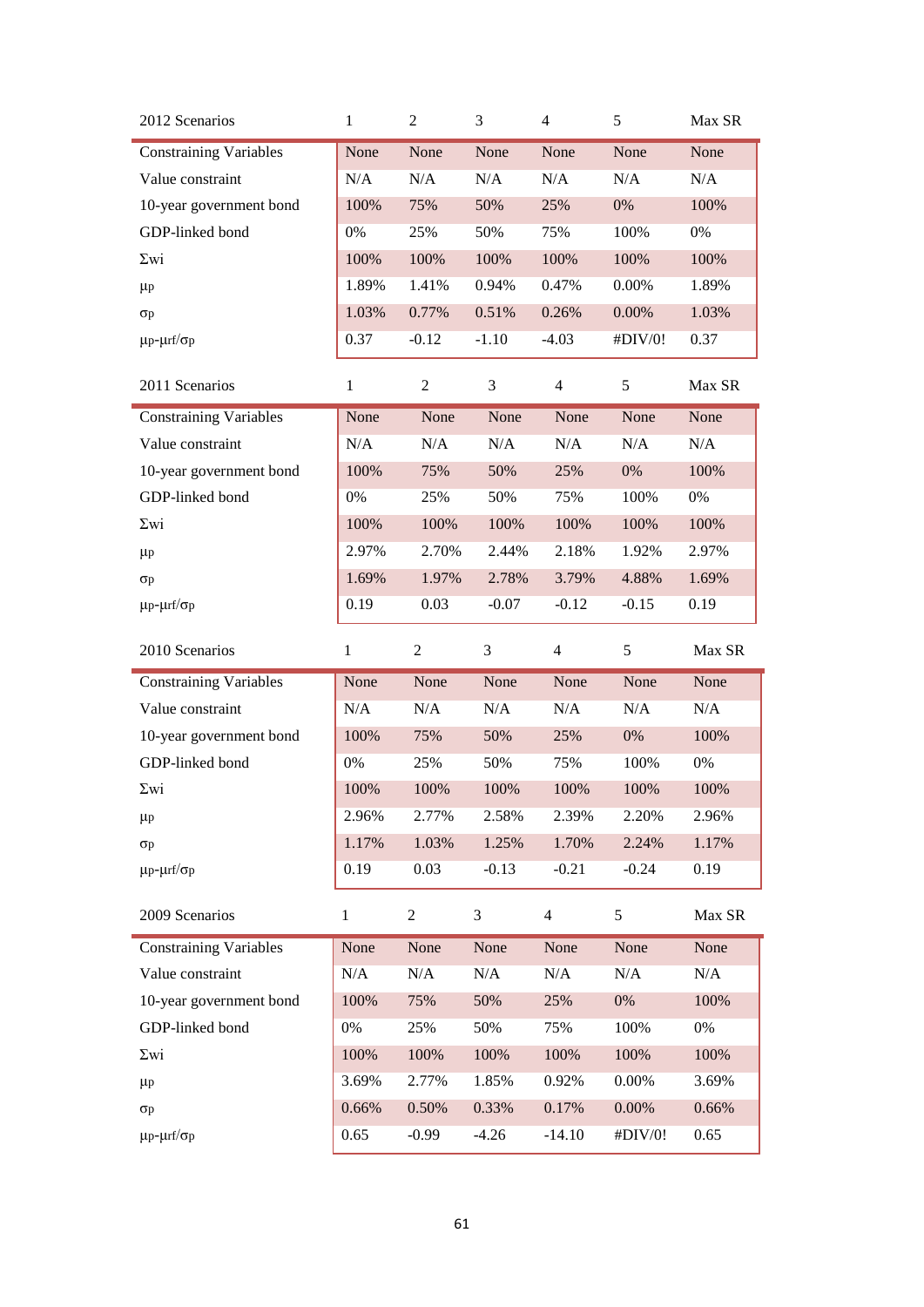| 2012 Scenarios                | $\mathbf{1}$ | $\overline{c}$ | 3       | $\overline{4}$ | 5       | Max SR |
|-------------------------------|--------------|----------------|---------|----------------|---------|--------|
| <b>Constraining Variables</b> | None         | None           | None    | None           | None    | None   |
| Value constraint              | N/A          | N/A            | N/A     | N/A            | N/A     | N/A    |
| 10-year government bond       | 100%         | 75%            | 50%     | 25%            | 0%      | 100%   |
| GDP-linked bond               | 0%           | 25%            | 50%     | 75%            | 100%    | 0%     |
| $\Sigma$ wi                   | 100%         | 100%           | 100%    | 100%           | 100%    | 100%   |
| $\mu$ p                       | 1.89%        | 1.41%          | 0.94%   | 0.47%          | 0.00%   | 1.89%  |
| $\sigma$ p                    | 1.03%        | 0.77%          | 0.51%   | 0.26%          | 0.00%   | 1.03%  |
| $\mu$ p- $\mu$ rf/ $\sigma$ p | 0.37         | $-0.12$        | $-1.10$ | $-4.03$        | #DIV/0! | 0.37   |
| 2011 Scenarios                | $\mathbf{1}$ | $\overline{2}$ | 3       | $\overline{4}$ | 5       | Max SR |
| <b>Constraining Variables</b> | None         | None           | None    | None           | None    | None   |
| Value constraint              | N/A          | N/A            | N/A     | N/A            | N/A     | N/A    |
| 10-year government bond       | 100%         | 75%            | 50%     | 25%            | 0%      | 100%   |
| GDP-linked bond               | 0%           | 25%            | 50%     | 75%            | 100%    | $0\%$  |
| $\Sigma$ wi                   | 100%         | 100%           | 100%    | 100%           | 100%    | 100%   |
| $\mu$ p                       | 2.97%        | 2.70%          | 2.44%   | 2.18%          | 1.92%   | 2.97%  |
| $\sigma$ p                    | 1.69%        | 1.97%          | 2.78%   | 3.79%          | 4.88%   | 1.69%  |
| $\mu$ p- $\mu$ rf/ $\sigma$ p | 0.19         | 0.03           | $-0.07$ | $-0.12$        | $-0.15$ | 0.19   |
|                               |              |                |         |                |         |        |
| 2010 Scenarios                | $\mathbf{1}$ | $\overline{2}$ | 3       | $\overline{4}$ | 5       | Max SR |
| <b>Constraining Variables</b> | None         | None           | None    | None           | None    | None   |
| Value constraint              | N/A          | N/A            | N/A     | N/A            | N/A     | N/A    |
| 10-year government bond       | 100%         | 75%            | 50%     | 25%            | 0%      | 100%   |
| GDP-linked bond               | 0%           | 25%            | 50%     | 75%            | 100%    | $0\%$  |
| $\Sigma$ wi                   | 100%         | 100%           | 100%    | 100%           | 100%    | 100%   |
| $\mu$ p                       | 2.96%        | 2.77%          | 2.58%   | 2.39%          | 2.20%   | 2.96%  |
| $\sigma p$                    | 1.17%        | 1.03%          | 1.25%   | 1.70%          | 2.24%   | 1.17%  |
| $\mu$ p- $\mu$ rf/ $\sigma$ p | 0.19         | 0.03           | $-0.13$ | $-0.21$        | $-0.24$ | 0.19   |
| 2009 Scenarios                | $\mathbf{1}$ | 2              | 3       | $\overline{4}$ | 5       | Max SR |
| <b>Constraining Variables</b> | None         | None           | None    | None           | None    | None   |
| Value constraint              | N/A          | N/A            | N/A     | $\rm N/A$      | N/A     | N/A    |
| 10-year government bond       | 100%         | 75%            | 50%     | 25%            | 0%      | 100%   |
| GDP-linked bond               | 0%           | 25%            | 50%     | 75%            | 100%    | 0%     |
| $\Sigma$ wi                   | 100%         | 100%           | 100%    | 100%           | 100%    | 100%   |
| $\mu$ p                       | 3.69%        | 2.77%          | 1.85%   | 0.92%          | 0.00%   | 3.69%  |
| $\sigma$ p                    | 0.66%        | 0.50%          | 0.33%   | 0.17%          | 0.00%   | 0.66%  |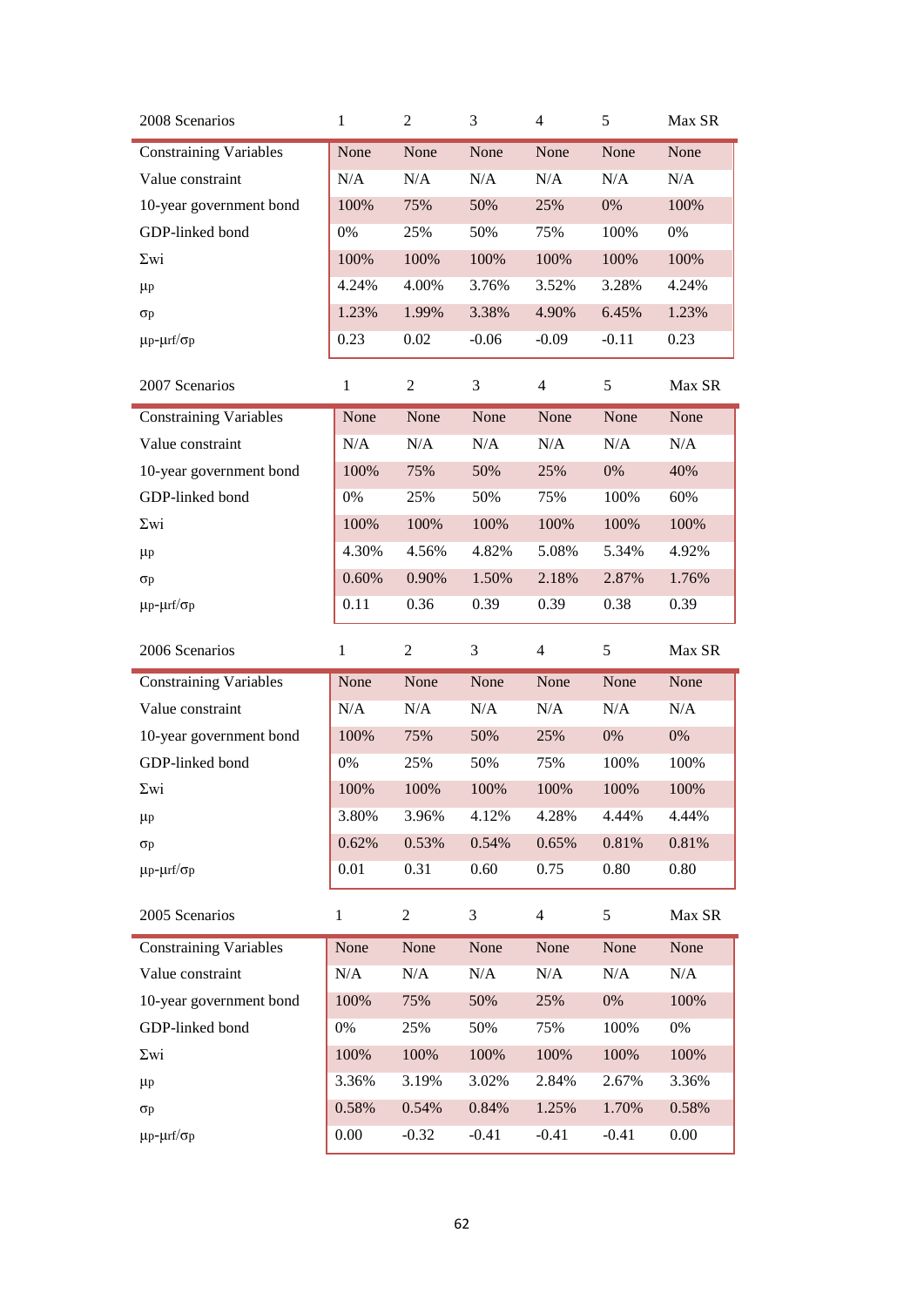| 2008 Scenarios                | $\mathbf{1}$ | 2              | 3       | $\overline{4}$ | 5       | Max SR    |
|-------------------------------|--------------|----------------|---------|----------------|---------|-----------|
| <b>Constraining Variables</b> | None         | None           | None    | None           | None    | None      |
| Value constraint              | N/A          | N/A            | N/A     | N/A            | N/A     | N/A       |
| 10-year government bond       | 100%         | 75%            | 50%     | 25%            | 0%      | 100%      |
| GDP-linked bond               | $0\%$        | 25%            | 50%     | 75%            | 100%    | $0\%$     |
| $\Sigma$ wi                   | 100%         | 100%           | 100%    | 100%           | 100%    | 100%      |
| $\mu$ p                       | 4.24%        | 4.00%          | 3.76%   | 3.52%          | 3.28%   | 4.24%     |
| $\sigma$ p                    | 1.23%        | 1.99%          | 3.38%   | 4.90%          | 6.45%   | 1.23%     |
| $\mu$ p- $\mu$ rf/ $\sigma$ p | 0.23         | 0.02           | $-0.06$ | $-0.09$        | $-0.11$ | 0.23      |
| 2007 Scenarios                | $\mathbf{1}$ | 2              | 3       | $\overline{4}$ | 5       | Max SR    |
| <b>Constraining Variables</b> | None         | None           | None    | None           | None    | None      |
| Value constraint              | N/A          | N/A            | N/A     | N/A            | N/A     | $\rm N/A$ |
| 10-year government bond       | 100%         | 75%            | 50%     | 25%            | 0%      | 40%       |
| GDP-linked bond               | 0%           | 25%            | 50%     | 75%            | 100%    | 60%       |
| $\Sigma$ wi                   | 100%         | 100%           | 100%    | 100%           | 100%    | 100%      |
| $\mu$ p                       | 4.30%        | 4.56%          | 4.82%   | 5.08%          | 5.34%   | 4.92%     |
| $\sigma$ p                    | 0.60%        | 0.90%          | 1.50%   | 2.18%          | 2.87%   | 1.76%     |
| $\mu$ p- $\mu$ rf/ $\sigma$ p | 0.11         | 0.36           | 0.39    | 0.39           | 0.38    | 0.39      |
|                               |              |                |         |                |         |           |
| 2006 Scenarios                | $\mathbf{1}$ | $\overline{2}$ | 3       | $\overline{4}$ | 5       | Max SR    |
| <b>Constraining Variables</b> | None         | None           | None    | None           | None    | None      |
| Value constraint              | N/A          | N/A            | N/A     | N/A            | N/A     | N/A       |
| 10-year government bond       | 100%         | 75%            | 50%     | 25%            | 0%      | $0\%$     |
| GDP-linked bond               | 0%           | 25%            | 50%     | 75%            | 100%    | 100%      |
| $\Sigma$ wi                   | 100%         | 100%           | 100%    | 100%           | 100%    | 100%      |
| $\mu$ p                       | 3.80%        | 3.96%          | 4.12%   | 4.28%          | 4.44%   | 4.44%     |
| $\sigma p$                    | 0.62%        | 0.53%          | 0.54%   | 0.65%          | 0.81%   | 0.81%     |
| $\mu$ p- $\mu$ rf/ $\sigma$ p | 0.01         | 0.31           | 0.60    | 0.75           | 0.80    | 0.80      |
| 2005 Scenarios                | $\mathbf{1}$ | $\overline{2}$ | 3       | $\overline{4}$ | 5       | Max SR    |
| <b>Constraining Variables</b> | None         | None           | None    | None           | None    | None      |
| Value constraint              | N/A          | N/A            | N/A     | $\rm N/A$      | N/A     | $\rm N/A$ |
| 10-year government bond       | 100%         | 75%            | 50%     | 25%            | $0\%$   | 100%      |
| GDP-linked bond               | 0%           | 25%            | 50%     | 75%            | 100%    | $0\%$     |
| $\Sigma$ wi                   | 100%         | 100%           | 100%    | 100%           | 100%    | 100%      |
| $\mu$ p                       | 3.36%        | 3.19%          | 3.02%   | 2.84%          | 2.67%   | 3.36%     |
| $\sigma$ p                    | 0.58%        | 0.54%          | 0.84%   | 1.25%          | 1.70%   | 0.58%     |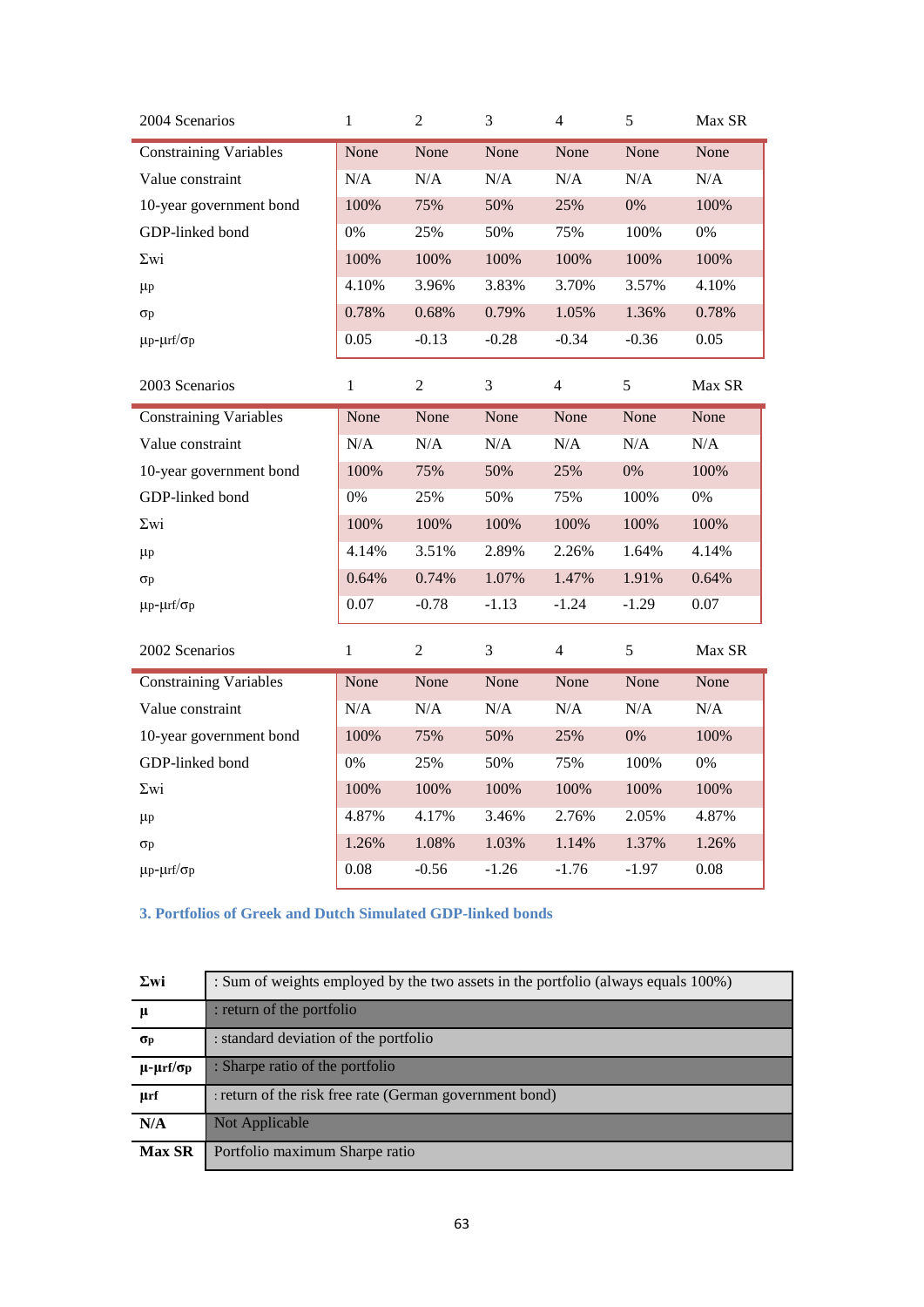| 2004 Scenarios                | $\mathbf{1}$ | $\mathbf{2}$   | $\mathfrak{Z}$ | $\overline{4}$ | 5       | Max SR |
|-------------------------------|--------------|----------------|----------------|----------------|---------|--------|
| <b>Constraining Variables</b> | None         | None           | None           | None           | None    | None   |
| Value constraint              | N/A          | N/A            | N/A            | N/A            | N/A     | N/A    |
| 10-year government bond       | 100%         | 75%            | 50%            | 25%            | 0%      | 100%   |
| GDP-linked bond               | 0%           | 25%            | 50%            | 75%            | 100%    | $0\%$  |
| $\Sigma$ wi                   | 100%         | 100%           | 100%           | 100%           | 100%    | 100%   |
| $\mu$                         | 4.10%        | 3.96%          | 3.83%          | 3.70%          | 3.57%   | 4.10%  |
| $\sigma$ p                    | 0.78%        | 0.68%          | 0.79%          | 1.05%          | 1.36%   | 0.78%  |
| $\mu$ p- $\mu$ rf/ $\sigma$ p | 0.05         | $-0.13$        | $-0.28$        | $-0.34$        | $-0.36$ | 0.05   |
| 2003 Scenarios                | $\mathbf{1}$ | $\mathfrak{2}$ | 3              | 4              | 5       | Max SR |
| <b>Constraining Variables</b> | None         | None           | None           | None           | None    | None   |
| Value constraint              | N/A          | $\rm N/A$      | $\rm N/A$      | $\rm N/A$      | N/A     | N/A    |
| 10-year government bond       | 100%         | 75%            | 50%            | 25%            | 0%      | 100%   |
| GDP-linked bond               | 0%           | 25%            | 50%            | 75%            | 100%    | $0\%$  |
| $\Sigma$ wi                   | 100%         | 100%           | 100%           | 100%           | 100%    | 100%   |
| $\mu$                         | 4.14%        | 3.51%          | 2.89%          | 2.26%          | 1.64%   | 4.14%  |
| $\sigma$ p                    | 0.64%        | 0.74%          | 1.07%          | 1.47%          | 1.91%   | 0.64%  |
| $\mu$ p- $\mu$ rf/ $\sigma$ p | 0.07         | $-0.78$        | $-1.13$        | $-1.24$        | $-1.29$ | 0.07   |
| 2002 Scenarios                | $\mathbf{1}$ | $\mathbf{2}$   | 3              | $\overline{4}$ | 5       | Max SR |
| Constraining Variables        | None         | None           | None           | None           | None    | None   |
| Value constraint              | N/A          | N/A            | N/A            | N/A            | N/A     | N/A    |
| 10-year government bond       | 100%         | 75%            | 50%            | 25%            | 0%      | 100%   |
| GDP-linked bond               | 0%           | 25%            | 50%            | 75%            | 100%    | $0\%$  |
| $\Sigma$ wi                   | 100%         | 100%           | 100%           | 100%           | 100%    | 100%   |
| $\mu$ p                       | 4.87%        | 4.17%          | 3.46%          | 2.76%          | 2.05%   | 4.87%  |
| $\sigma$ p                    | 1.26%        | 1.08%          | 1.03%          | 1.14%          | 1.37%   | 1.26%  |
| $\mu$ p- $\mu$ rf/ $\sigma$ p | 0.08         | $-0.56$        | $-1.26$        | $-1.76$        | $-1.97$ | 0.08   |

<span id="page-62-0"></span>**3. Portfolios of Greek and Dutch Simulated GDP-linked bonds** 

| $\Sigma$ wi              | : Sum of weights employed by the two assets in the portfolio (always equals 100%) |
|--------------------------|-----------------------------------------------------------------------------------|
| μ                        | : return of the portfolio                                                         |
| σр                       | : standard deviation of the portfolio                                             |
| $\mu$ - $\mu$ rf/σ $\mu$ | : Sharpe ratio of the portfolio                                                   |
| µrf                      | : return of the risk free rate (German government bond)                           |
| N/A                      | Not Applicable                                                                    |
| <b>Max SR</b>            | Portfolio maximum Sharpe ratio                                                    |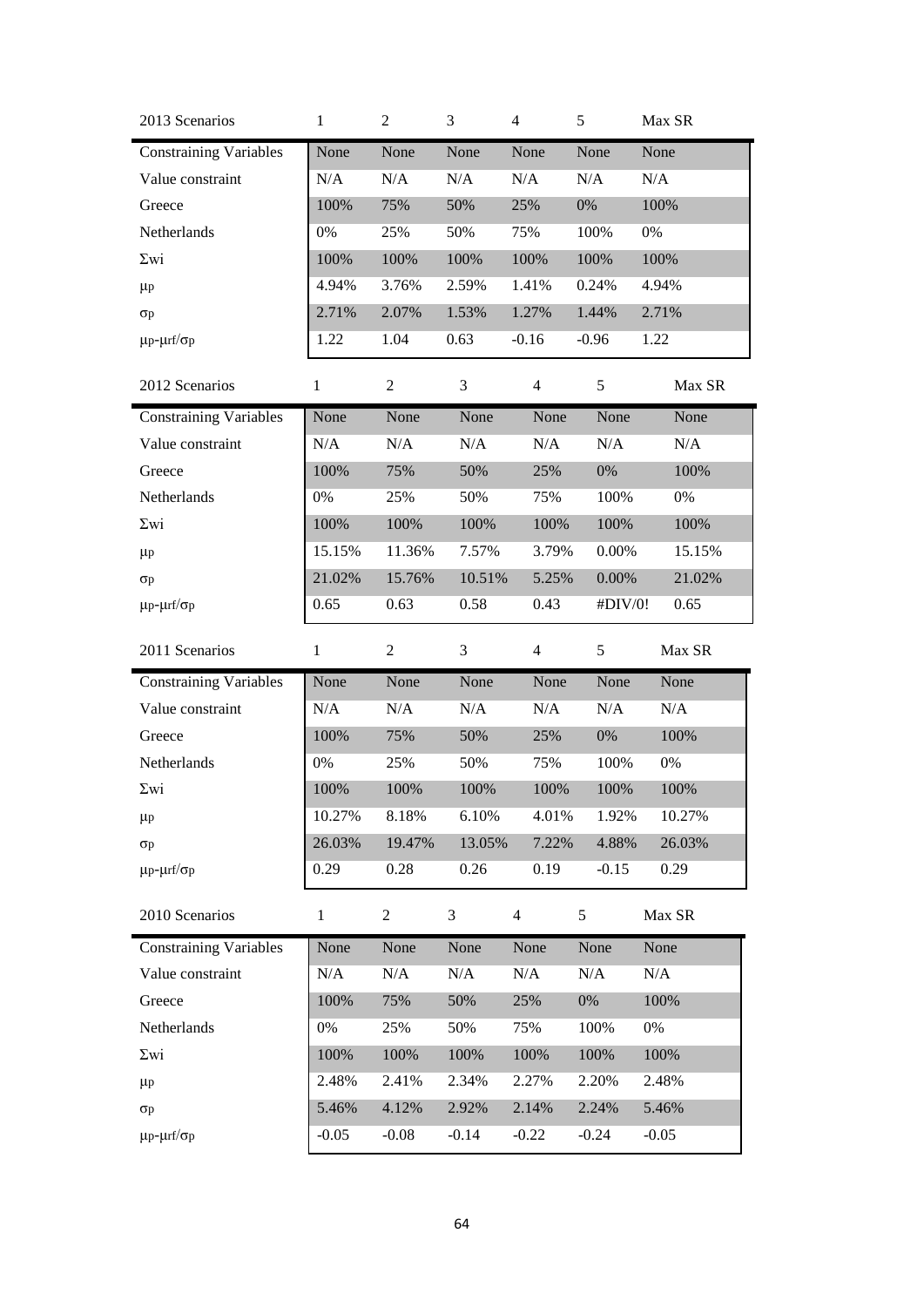| 2013 Scenarios                | $\mathbf{1}$ | $\overline{c}$ | 3      | 4              | 5         | Max SR |
|-------------------------------|--------------|----------------|--------|----------------|-----------|--------|
| <b>Constraining Variables</b> | None         | None           | None   | None           | None      | None   |
| Value constraint              | N/A          | N/A            | N/A    | N/A            | $\rm N/A$ | N/A    |
| Greece                        | 100%         | 75%            | 50%    | 25%            | 0%        | 100%   |
| Netherlands                   | 0%           | 25%            | 50%    | 75%            | 100%      | 0%     |
| $\Sigma$ wi                   | 100%         | 100%           | 100%   | 100%           | 100%      | 100%   |
| $\mu$ p                       | 4.94%        | 3.76%          | 2.59%  | 1.41%          | 0.24%     | 4.94%  |
| $\sigma$ p                    | 2.71%        | 2.07%          | 1.53%  | 1.27%          | 1.44%     | 2.71%  |
| $\mu$ p- $\mu$ rf/ $\sigma$ p | 1.22         | 1.04           | 0.63   | $-0.16$        | $-0.96$   | 1.22   |
| 2012 Scenarios                | $\mathbf{1}$ | $\overline{c}$ | 3      | $\overline{4}$ | 5         | Max SR |
| <b>Constraining Variables</b> | None         | None           | None   | None           | None      | None   |
| Value constraint              | N/A          | N/A            | N/A    | N/A            | N/A       | N/A    |
| Greece                        | 100%         | 75%            | 50%    | 25%            | $0\%$     | 100%   |
| Netherlands                   | 0%           | 25%            | 50%    | 75%            | 100%      | 0%     |
| $\Sigma$ wi                   | 100%         | 100%           | 100%   | 100%           | 100%      | 100%   |
| $\mu$ p                       | 15.15%       | 11.36%         | 7.57%  | 3.79%          | $0.00\%$  | 15.15% |
| $\sigma$ p                    | 21.02%       | 15.76%         | 10.51% | 5.25%          | $0.00\%$  | 21.02% |
| $\mu$ p- $\mu$ rf/ $\sigma$ p | 0.65         | 0.63           | 0.58   | 0.43           | #DIV/0!   | 0.65   |
|                               |              |                |        |                |           |        |
| 2011 Scenarios                | $\mathbf{1}$ | $\mathbf{2}$   | 3      | $\overline{4}$ | 5         | Max SR |
| <b>Constraining Variables</b> | None         | None           | None   | None           | None      | None   |
| Value constraint              | N/A          | N/A            | N/A    | N/A            | N/A       | N/A    |
| Greece                        | 100%         | 75%            | 50%    | 25%            | $0\%$     | 100%   |
| Netherlands                   | 0%           | 25%            | 50%    | 75%            | 100%      | 0%     |
| $\Sigma$ wi                   | 100%         | 100%           | 100%   | 100%           | 100%      | 100%   |
| $\mu$ p                       | 10.27%       | 8.18%          | 6.10%  | 4.01%          | 1.92%     | 10.27% |
| $\sigma$ p                    | 26.03%       | 19.47%         | 13.05% | 7.22%          | 4.88%     | 26.03% |
| $\mu$ p- $\mu$ rf/ $\sigma$ p | 0.29         | 0.28           | 0.26   | 0.19           | $-0.15$   | 0.29   |
| 2010 Scenarios                | $\mathbf{1}$ | $\overline{c}$ | 3      | $\overline{4}$ | 5         | Max SR |
| <b>Constraining Variables</b> | None         | None           | None   | None           | None      | None   |
| Value constraint              | N/A          | N/A            | N/A    | N/A            | N/A       | N/A    |
| Greece                        | 100%         | 75%            | 50%    | 25%            | 0%        | 100%   |
| Netherlands                   | 0%           | 25%            | 50%    | 75%            | 100%      | 0%     |
| $\Sigma$ wi                   | 100%         | 100%           | 100%   | 100%           | 100%      | 100%   |
| $\mu$ p                       | 2.48%        | 2.41%          | 2.34%  | 2.27%          | 2.20%     | 2.48%  |
| $\sigma$ p                    | 5.46%        | 4.12%          | 2.92%  | 2.14%          | 2.24%     | 5.46%  |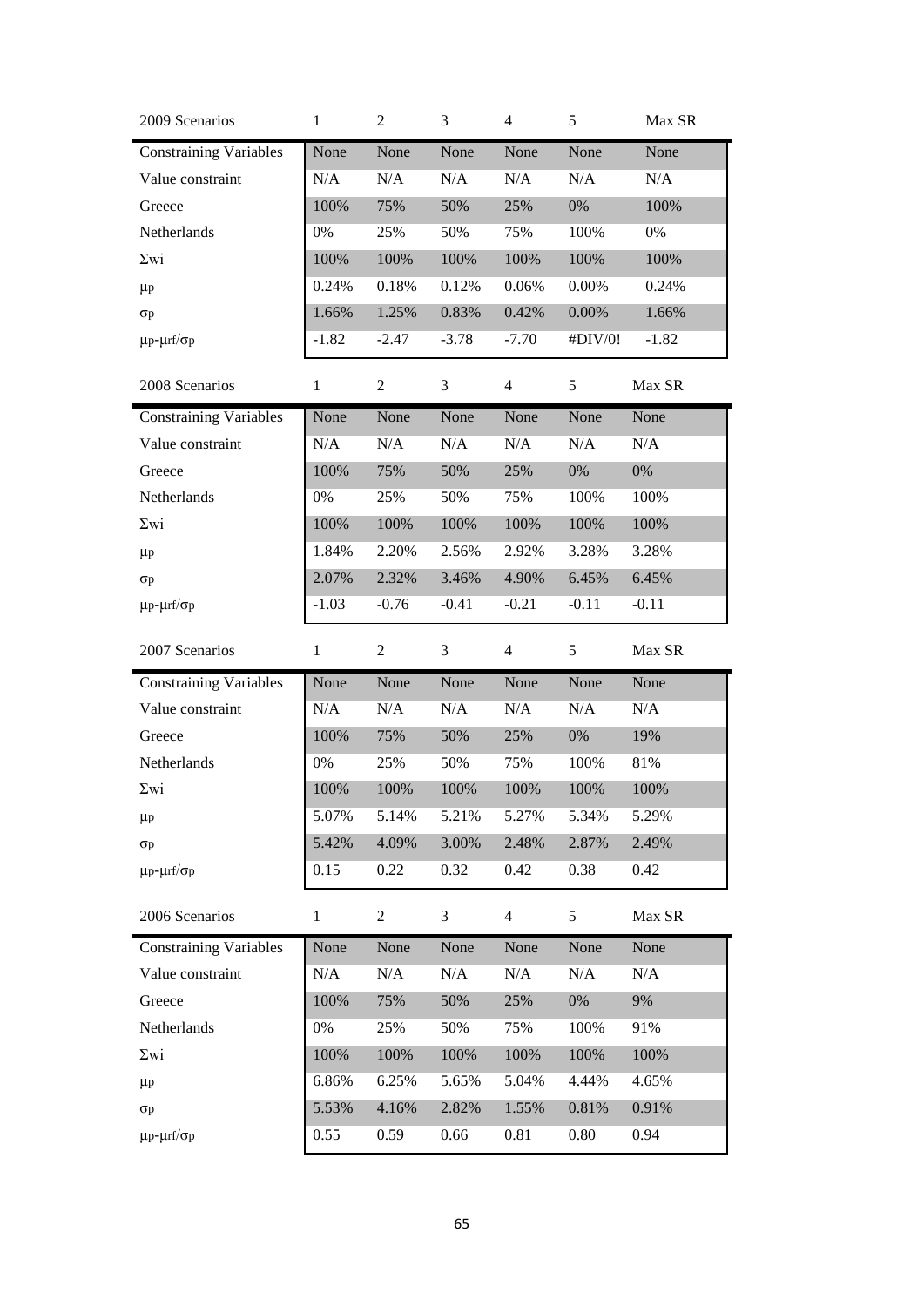| 2009 Scenarios                | $\mathbf{1}$ | $\overline{2}$ | 3       | 4              | 5        | Max SR  |
|-------------------------------|--------------|----------------|---------|----------------|----------|---------|
| <b>Constraining Variables</b> | None         | None           | None    | None           | None     | None    |
| Value constraint              | N/A          | N/A            | N/A     | N/A            | N/A      | N/A     |
| Greece                        | 100%         | 75%            | 50%     | 25%            | 0%       | 100%    |
| Netherlands                   | 0%           | 25%            | 50%     | 75%            | 100%     | 0%      |
| $\Sigma$ wi                   | 100%         | 100%           | 100%    | 100%           | 100%     | 100%    |
| $\mu$ p                       | 0.24%        | 0.18%          | 0.12%   | 0.06%          | 0.00%    | 0.24%   |
| $\sigma$ p                    | 1.66%        | 1.25%          | 0.83%   | 0.42%          | $0.00\%$ | 1.66%   |
| $\mu$ p- $\mu$ rf/ $\sigma$ p | $-1.82$      | $-2.47$        | $-3.78$ | $-7.70$        | #DIV/0!  | $-1.82$ |
| 2008 Scenarios                | $\mathbf{1}$ | $\overline{c}$ | 3       | $\overline{4}$ | 5        | Max SR  |
| <b>Constraining Variables</b> | None         | None           | None    | None           | None     | None    |
| Value constraint              | N/A          | N/A            | N/A     | N/A            | N/A      | N/A     |
| Greece                        | 100%         | 75%            | 50%     | 25%            | 0%       | 0%      |
| Netherlands                   | 0%           | 25%            | 50%     | 75%            | 100%     | 100%    |
| $\Sigma$ wi                   | 100%         | 100%           | 100%    | 100%           | 100%     | 100%    |
| $\mu$ p                       | 1.84%        | 2.20%          | 2.56%   | 2.92%          | 3.28%    | 3.28%   |
| $\sigma$ p                    | 2.07%        | 2.32%          | 3.46%   | 4.90%          | 6.45%    | 6.45%   |
| $\mu$ p- $\mu$ rf/ $\sigma$ p | $-1.03$      | $-0.76$        | $-0.41$ | $-0.21$        | $-0.11$  | $-0.11$ |
|                               |              |                |         |                |          |         |
| 2007 Scenarios                | $\mathbf{1}$ | $\overline{2}$ | 3       | $\overline{4}$ | 5        | Max SR  |
| <b>Constraining Variables</b> | None         | None           | None    | None           | None     | None    |
| Value constraint              | N/A          | N/A            | N/A     | N/A            | N/A      | N/A     |
| Greece                        | 100%         | 75%            | 50%     | 25%            | 0%       | 19%     |
| Netherlands                   | 0%           | 25%            | 50%     | 75%            | 100%     | 81%     |
| $\Sigma$ wi                   | 100%         | 100%           | 100%    | 100%           | 100%     | 100%    |
| $\mu$ p                       | 5.07%        | 5.14%          | 5.21%   | 5.27%          | 5.34%    | 5.29%   |
| $\sigma$ p                    | 5.42%        | 4.09%          | 3.00%   | 2.48%          | 2.87%    | 2.49%   |
| $\mu$ p- $\mu$ rf/ $\sigma$ p | 0.15         | 0.22           | 0.32    | 0.42           | 0.38     | 0.42    |
| 2006 Scenarios                | $\mathbf{1}$ | $\overline{2}$ | 3       | $\overline{4}$ | 5        | Max SR  |
| <b>Constraining Variables</b> | None         | None           | None    | None           | None     | None    |
| Value constraint              | N/A          | N/A            | N/A     | N/A            | N/A      | N/A     |
| Greece                        | 100%         | 75%            | 50%     | 25%            | 0%       | 9%      |
| Netherlands                   | 0%           | 25%            | 50%     | 75%            | 100%     | 91%     |
| $\Sigma$ wi                   | 100%         | 100%           | 100%    | 100%           | 100%     | 100%    |
| $\mu$ p                       | 6.86%        | 6.25%          | 5.65%   | 5.04%          | 4.44%    | 4.65%   |
| $\sigma$ p                    | 5.53%        | 4.16%          | 2.82%   | 1.55%          | 0.81%    | 0.91%   |